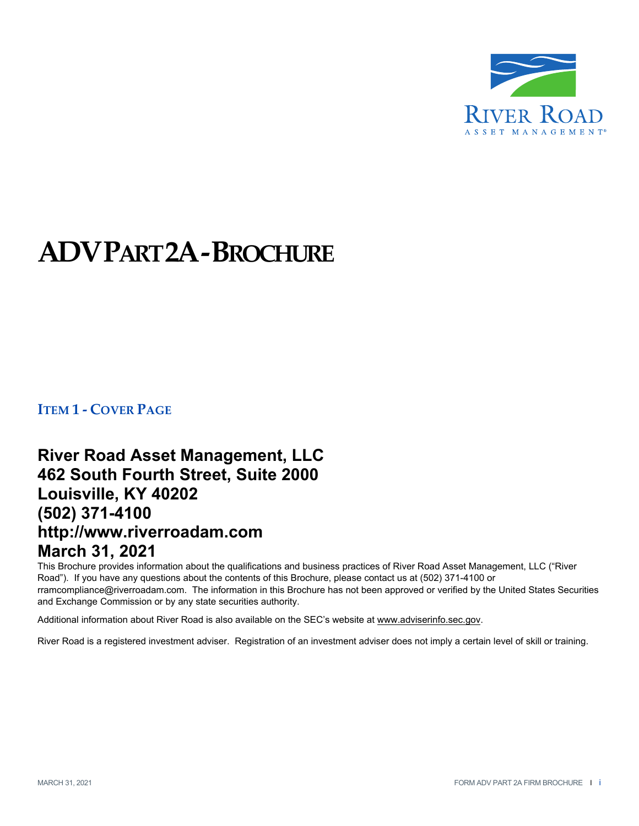

# **ADVPART2A‐BROCHURE**

**ITEM 1 ‐ COVER PAGE**

## **River Road Asset Management, LLC 462 South Fourth Street, Suite 2000 Louisville, KY 40202 (502) 371-4100 http://www.riverroadam.com March 31, 2021**

This Brochure provides information about the qualifications and business practices of River Road Asset Management, LLC ("River Road"). If you have any questions about the contents of this Brochure, please contact us at (502) 371-4100 or rramcompliance@riverroadam.com. The information in this Brochure has not been approved or verified by the United States Securities and Exchange Commission or by any state securities authority.

Additional information about River Road is also available on the SEC's website at www.adviserinfo.sec.gov.

River Road is a registered investment adviser. Registration of an investment adviser does not imply a certain level of skill or training.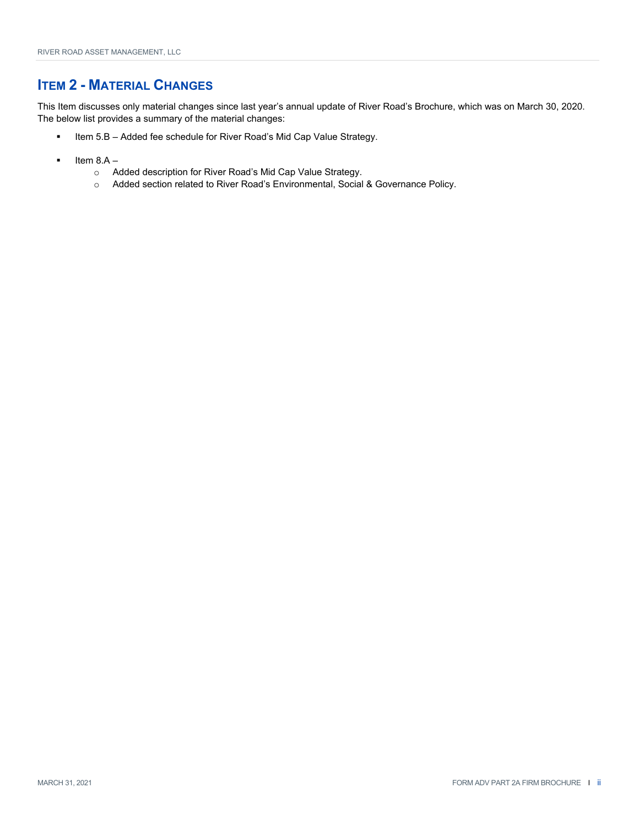### **ITEM 2 - MATERIAL CHANGES**

This Item discusses only material changes since last year's annual update of River Road's Brochure, which was on March 30, 2020. The below list provides a summary of the material changes:

- **Item 5.B Added fee schedule for River Road's Mid Cap Value Strategy.**
- Item 8.A
	- o Added description for River Road's Mid Cap Value Strategy.
	- o Added section related to River Road's Environmental, Social & Governance Policy.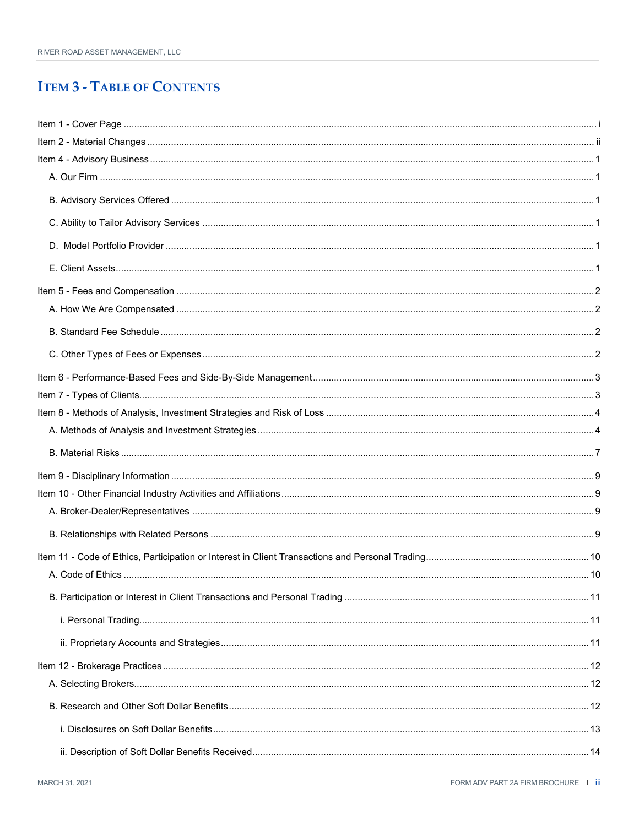## **ITEM 3 - TABLE OF CONTENTS**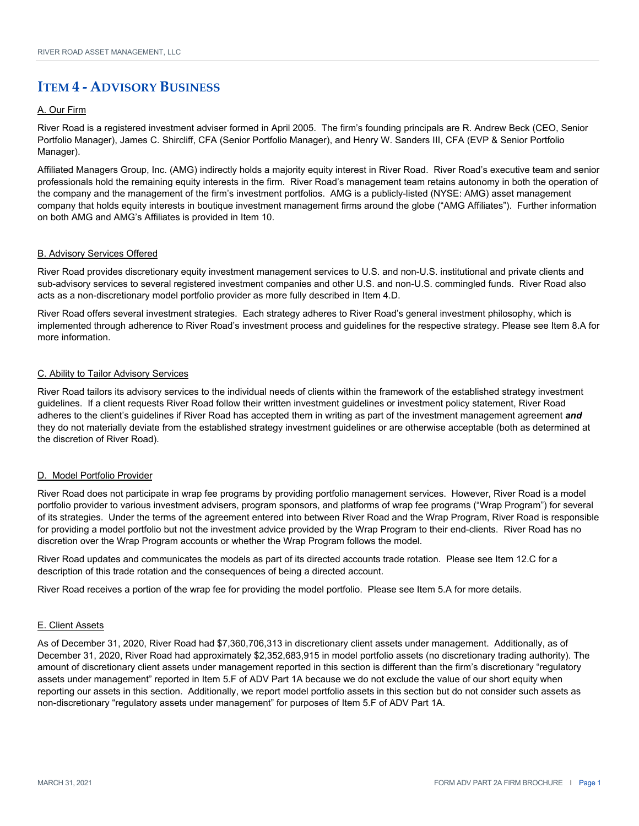### **ITEM 4 ‐ ADVISORY BUSINESS**

#### A. Our Firm

River Road is a registered investment adviser formed in April 2005. The firm's founding principals are R. Andrew Beck (CEO, Senior Portfolio Manager), James C. Shircliff, CFA (Senior Portfolio Manager), and Henry W. Sanders III, CFA (EVP & Senior Portfolio Manager).

Affiliated Managers Group, Inc. (AMG) indirectly holds a majority equity interest in River Road. River Road's executive team and senior professionals hold the remaining equity interests in the firm. River Road's management team retains autonomy in both the operation of the company and the management of the firm's investment portfolios. AMG is a publicly-listed (NYSE: AMG) asset management company that holds equity interests in boutique investment management firms around the globe ("AMG Affiliates"). Further information on both AMG and AMG's Affiliates is provided in Item 10.

#### B. Advisory Services Offered

River Road provides discretionary equity investment management services to U.S. and non-U.S. institutional and private clients and sub-advisory services to several registered investment companies and other U.S. and non-U.S. commingled funds. River Road also acts as a non-discretionary model portfolio provider as more fully described in Item 4.D.

River Road offers several investment strategies. Each strategy adheres to River Road's general investment philosophy, which is implemented through adherence to River Road's investment process and guidelines for the respective strategy. Please see Item 8.A for more information.

#### C. Ability to Tailor Advisory Services

River Road tailors its advisory services to the individual needs of clients within the framework of the established strategy investment guidelines. If a client requests River Road follow their written investment guidelines or investment policy statement, River Road adheres to the client's guidelines if River Road has accepted them in writing as part of the investment management agreement *and* they do not materially deviate from the established strategy investment guidelines or are otherwise acceptable (both as determined at the discretion of River Road).

#### D. Model Portfolio Provider

River Road does not participate in wrap fee programs by providing portfolio management services. However, River Road is a model portfolio provider to various investment advisers, program sponsors, and platforms of wrap fee programs ("Wrap Program") for several of its strategies. Under the terms of the agreement entered into between River Road and the Wrap Program, River Road is responsible for providing a model portfolio but not the investment advice provided by the Wrap Program to their end-clients. River Road has no discretion over the Wrap Program accounts or whether the Wrap Program follows the model.

River Road updates and communicates the models as part of its directed accounts trade rotation. Please see Item 12.C for a description of this trade rotation and the consequences of being a directed account.

River Road receives a portion of the wrap fee for providing the model portfolio. Please see Item 5.A for more details.

#### E. Client Assets

As of December 31, 2020, River Road had \$7,360,706,313 in discretionary client assets under management. Additionally, as of December 31, 2020, River Road had approximately \$2,352,683,915 in model portfolio assets (no discretionary trading authority). The amount of discretionary client assets under management reported in this section is different than the firm's discretionary "regulatory assets under management" reported in Item 5.F of ADV Part 1A because we do not exclude the value of our short equity when reporting our assets in this section. Additionally, we report model portfolio assets in this section but do not consider such assets as non-discretionary "regulatory assets under management" for purposes of Item 5.F of ADV Part 1A.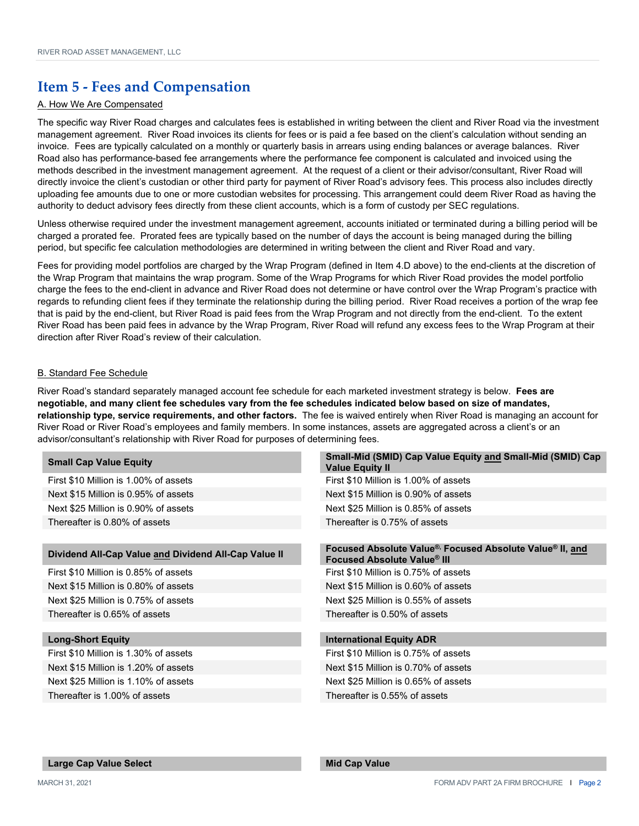### **Item 5 ‐ Fees and Compensation**

#### A. How We Are Compensated

The specific way River Road charges and calculates fees is established in writing between the client and River Road via the investment management agreement. River Road invoices its clients for fees or is paid a fee based on the client's calculation without sending an invoice. Fees are typically calculated on a monthly or quarterly basis in arrears using ending balances or average balances. River Road also has performance-based fee arrangements where the performance fee component is calculated and invoiced using the methods described in the investment management agreement. At the request of a client or their advisor/consultant, River Road will directly invoice the client's custodian or other third party for payment of River Road's advisory fees. This process also includes directly uploading fee amounts due to one or more custodian websites for processing. This arrangement could deem River Road as having the authority to deduct advisory fees directly from these client accounts, which is a form of custody per SEC regulations.

Unless otherwise required under the investment management agreement, accounts initiated or terminated during a billing period will be charged a prorated fee. Prorated fees are typically based on the number of days the account is being managed during the billing period, but specific fee calculation methodologies are determined in writing between the client and River Road and vary.

Fees for providing model portfolios are charged by the Wrap Program (defined in Item 4.D above) to the end-clients at the discretion of the Wrap Program that maintains the wrap program. Some of the Wrap Programs for which River Road provides the model portfolio charge the fees to the end-client in advance and River Road does not determine or have control over the Wrap Program's practice with regards to refunding client fees if they terminate the relationship during the billing period. River Road receives a portion of the wrap fee that is paid by the end-client, but River Road is paid fees from the Wrap Program and not directly from the end-client. To the extent River Road has been paid fees in advance by the Wrap Program, River Road will refund any excess fees to the Wrap Program at their direction after River Road's review of their calculation.

#### B. Standard Fee Schedule

River Road's standard separately managed account fee schedule for each marketed investment strategy is below. **Fees are negotiable, and many client fee schedules vary from the fee schedules indicated below based on size of mandates, relationship type, service requirements, and other factors.** The fee is waived entirely when River Road is managing an account for River Road or River Road's employees and family members. In some instances, assets are aggregated across a client's or an advisor/consultant's relationship with River Road for purposes of determining fees.

| <b>Small Cap Value Equity</b>                        | <b>Singh-mila (Simp) Sap value Equity and Singh-mila (Simp) Sap</b><br><b>Value Equity II</b> |
|------------------------------------------------------|-----------------------------------------------------------------------------------------------|
| First \$10 Million is 1.00% of assets                | First \$10 Million is 1.00% of assets                                                         |
| Next \$15 Million is 0.95% of assets                 | Next \$15 Million is 0.90% of assets                                                          |
| Next \$25 Million is 0.90% of assets                 | Next \$25 Million is 0.85% of assets                                                          |
| Thereafter is 0.80% of assets                        | Thereafter is 0.75% of assets                                                                 |
|                                                      |                                                                                               |
| Dividend All-Cap Value and Dividend All-Cap Value II | Focused Absolute Value® Focused Absolute Value® II, and<br><b>Focused Absolute Value® III</b> |
| First \$10 Million is 0.85% of assets                | First \$10 Million is 0.75% of assets                                                         |

Next \$15 Million is 0.80% of assets Next \$15 Million is 0.60% of assets Next \$25 Million is 0.75% of assets Next \$25 Million is 0.55% of assets Thereafter is 0.65% of assets Thereafter is 0.50% of assets

First \$10 Million is 1.30% of assets First \$10 Million is 0.75% of assets Next \$15 Million is 1.20% of assets Next \$15 Million is 0.70% of assets Next \$25 Million is 1.10% of assets Next \$25 Million is 0.65% of assets Thereafter is 1.00% of assets Thereafter is 0.55% of assets

**Small Cap Value Equity Small-Mid (SMID) Cap Value Equity and Small-Mid (SMID) Cap** 

#### **Long-Short Equity International Equity ADR**

#### **Large Cap Value Select Mid Cap Value Accord Accord Accord Mid Cap Value**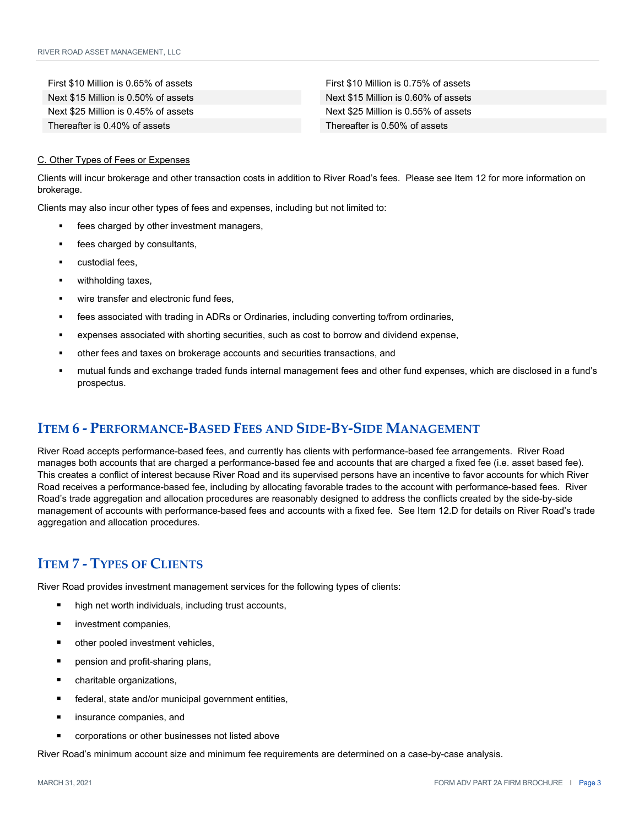First \$10 Million is 0.65% of assets First \$10 Million is 0.75% of assets Next \$15 Million is 0.50% of assets Next \$15 Million is 0.60% of assets Next \$25 Million is 0.45% of assets Next \$25 Million is 0.55% of assets Thereafter is 0.40% of assets Thereafter is 0.50% of assets

#### C. Other Types of Fees or Expenses

Clients will incur brokerage and other transaction costs in addition to River Road's fees. Please see Item 12 for more information on brokerage.

Clients may also incur other types of fees and expenses, including but not limited to:

- fees charged by other investment managers,
- fees charged by consultants,
- custodial fees,
- withholding taxes,
- wire transfer and electronic fund fees,
- fees associated with trading in ADRs or Ordinaries, including converting to/from ordinaries,
- expenses associated with shorting securities, such as cost to borrow and dividend expense,
- other fees and taxes on brokerage accounts and securities transactions, and
- mutual funds and exchange traded funds internal management fees and other fund expenses, which are disclosed in a fund's prospectus.

### **ITEM 6 ‐ PERFORMANCE‐BASED FEES AND SIDE‐BY‐SIDE MANAGEMENT**

River Road accepts performance-based fees, and currently has clients with performance-based fee arrangements. River Road manages both accounts that are charged a performance-based fee and accounts that are charged a fixed fee (i.e. asset based fee). This creates a conflict of interest because River Road and its supervised persons have an incentive to favor accounts for which River Road receives a performance-based fee, including by allocating favorable trades to the account with performance-based fees. River Road's trade aggregation and allocation procedures are reasonably designed to address the conflicts created by the side-by-side management of accounts with performance-based fees and accounts with a fixed fee. See Item 12.D for details on River Road's trade aggregation and allocation procedures.

### **ITEM 7 ‐ TYPES OF CLIENTS**

River Road provides investment management services for the following types of clients:

- high net worth individuals, including trust accounts,
- investment companies,
- other pooled investment vehicles,
- pension and profit-sharing plans,
- charitable organizations,
- federal, state and/or municipal government entities,
- insurance companies, and
- corporations or other businesses not listed above

River Road's minimum account size and minimum fee requirements are determined on a case-by-case analysis.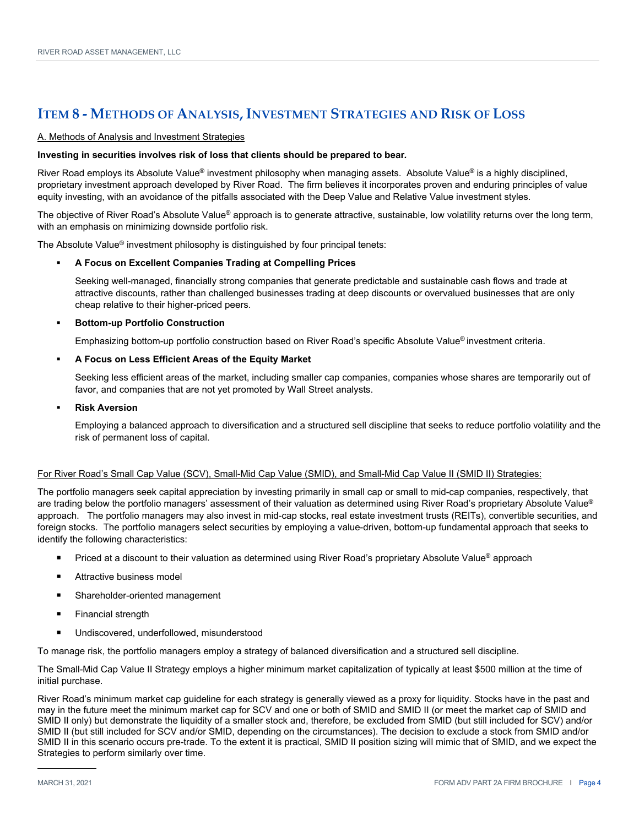### **ITEM 8 ‐ METHODS OF ANALYSIS, INVESTMENT STRATEGIES AND RISK OF LOSS**

#### A. Methods of Analysis and Investment Strategies

#### **Investing in securities involves risk of loss that clients should be prepared to bear***.*

River Road employs its Absolute Value<sup>®</sup> investment philosophy when managing assets. Absolute Value<sup>®</sup> is a highly disciplined, proprietary investment approach developed by River Road. The firm believes it incorporates proven and enduring principles of value equity investing, with an avoidance of the pitfalls associated with the Deep Value and Relative Value investment styles.

The objective of River Road's Absolute Value® approach is to generate attractive, sustainable, low volatility returns over the long term, with an emphasis on minimizing downside portfolio risk.

The Absolute Value<sup>®</sup> investment philosophy is distinguished by four principal tenets:

#### **A Focus on Excellent Companies Trading at Compelling Prices**

Seeking well-managed, financially strong companies that generate predictable and sustainable cash flows and trade at attractive discounts, rather than challenged businesses trading at deep discounts or overvalued businesses that are only cheap relative to their higher-priced peers.

#### **Bottom-up Portfolio Construction**

Emphasizing bottom-up portfolio construction based on River Road's specific Absolute Value® investment criteria.

#### **A Focus on Less Efficient Areas of the Equity Market**

Seeking less efficient areas of the market, including smaller cap companies, companies whose shares are temporarily out of favor, and companies that are not yet promoted by Wall Street analysts.

#### **Risk Aversion**

Employing a balanced approach to diversification and a structured sell discipline that seeks to reduce portfolio volatility and the risk of permanent loss of capital.

#### For River Road's Small Cap Value (SCV), Small-Mid Cap Value (SMID), and Small-Mid Cap Value II (SMID II) Strategies:

The portfolio managers seek capital appreciation by investing primarily in small cap or small to mid-cap companies, respectively, that are trading below the portfolio managers' assessment of their valuation as determined using River Road's proprietary Absolute Value® approach. The portfolio managers may also invest in mid-cap stocks, real estate investment trusts (REITs), convertible securities, and foreign stocks. The portfolio managers select securities by employing a value-driven, bottom-up fundamental approach that seeks to identify the following characteristics:

- Priced at a discount to their valuation as determined using River Road's proprietary Absolute Value® approach
- Attractive business model
- Shareholder-oriented management
- **Financial strength**
- Undiscovered, underfollowed, misunderstood

To manage risk, the portfolio managers employ a strategy of balanced diversification and a structured sell discipline.

The Small-Mid Cap Value II Strategy employs a higher minimum market capitalization of typically at least \$500 million at the time of initial purchase.

River Road's minimum market cap guideline for each strategy is generally viewed as a proxy for liquidity. Stocks have in the past and may in the future meet the minimum market cap for SCV and one or both of SMID and SMID II (or meet the market cap of SMID and SMID II only) but demonstrate the liquidity of a smaller stock and, therefore, be excluded from SMID (but still included for SCV) and/or SMID II (but still included for SCV and/or SMID, depending on the circumstances). The decision to exclude a stock from SMID and/or SMID II in this scenario occurs pre-trade. To the extent it is practical, SMID II position sizing will mimic that of SMID, and we expect the Strategies to perform similarly over time.

֦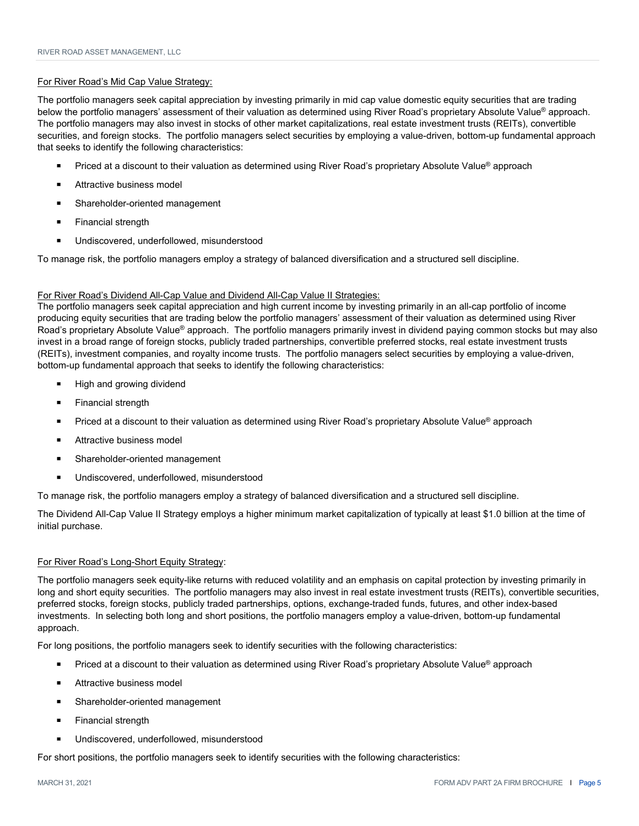#### For River Road's Mid Cap Value Strategy:

The portfolio managers seek capital appreciation by investing primarily in mid cap value domestic equity securities that are trading below the portfolio managers' assessment of their valuation as determined using River Road's proprietary Absolute Value® approach. The portfolio managers may also invest in stocks of other market capitalizations, real estate investment trusts (REITs), convertible securities, and foreign stocks. The portfolio managers select securities by employing a value-driven, bottom-up fundamental approach that seeks to identify the following characteristics:

- Priced at a discount to their valuation as determined using River Road's proprietary Absolute Value® approach
- Attractive business model
- Shareholder-oriented management
- **Financial strength**
- Undiscovered, underfollowed, misunderstood

To manage risk, the portfolio managers employ a strategy of balanced diversification and a structured sell discipline.

#### For River Road's Dividend All-Cap Value and Dividend All-Cap Value II Strategies:

The portfolio managers seek capital appreciation and high current income by investing primarily in an all-cap portfolio of income producing equity securities that are trading below the portfolio managers' assessment of their valuation as determined using River Road's proprietary Absolute Value® approach. The portfolio managers primarily invest in dividend paying common stocks but may also invest in a broad range of foreign stocks, publicly traded partnerships, convertible preferred stocks, real estate investment trusts (REITs), investment companies, and royalty income trusts. The portfolio managers select securities by employing a value-driven, bottom-up fundamental approach that seeks to identify the following characteristics:

- High and growing dividend
- Financial strength
- Priced at a discount to their valuation as determined using River Road's proprietary Absolute Value® approach
- Attractive business model
- Shareholder-oriented management
- Undiscovered, underfollowed, misunderstood

To manage risk, the portfolio managers employ a strategy of balanced diversification and a structured sell discipline.

The Dividend All-Cap Value II Strategy employs a higher minimum market capitalization of typically at least \$1.0 billion at the time of initial purchase.

#### For River Road's Long-Short Equity Strategy:

The portfolio managers seek equity-like returns with reduced volatility and an emphasis on capital protection by investing primarily in long and short equity securities. The portfolio managers may also invest in real estate investment trusts (REITs), convertible securities, preferred stocks, foreign stocks, publicly traded partnerships, options, exchange-traded funds, futures, and other index-based investments. In selecting both long and short positions, the portfolio managers employ a value-driven, bottom-up fundamental approach.

For long positions, the portfolio managers seek to identify securities with the following characteristics:

- Priced at a discount to their valuation as determined using River Road's proprietary Absolute Value<sup>®</sup> approach
- Attractive business model
- **Shareholder-oriented management**
- **Financial strength**
- Undiscovered, underfollowed, misunderstood

For short positions, the portfolio managers seek to identify securities with the following characteristics: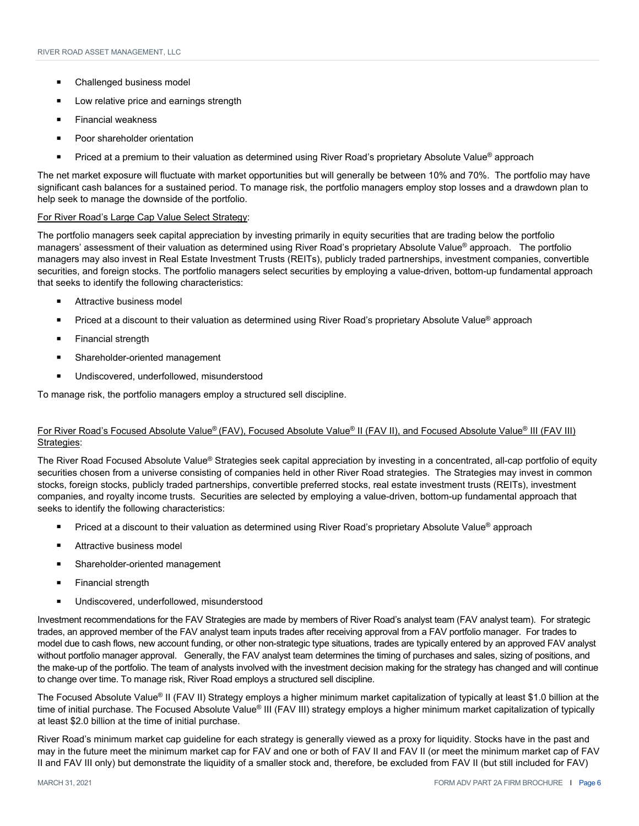- Challenged business model
- Low relative price and earnings strength
- Financial weakness
- Poor shareholder orientation
- Priced at a premium to their valuation as determined using River Road's proprietary Absolute Value® approach

The net market exposure will fluctuate with market opportunities but will generally be between 10% and 70%. The portfolio may have significant cash balances for a sustained period. To manage risk, the portfolio managers employ stop losses and a drawdown plan to help seek to manage the downside of the portfolio.

#### For River Road's Large Cap Value Select Strategy:

The portfolio managers seek capital appreciation by investing primarily in equity securities that are trading below the portfolio managers' assessment of their valuation as determined using River Road's proprietary Absolute Value® approach. The portfolio managers may also invest in Real Estate Investment Trusts (REITs), publicly traded partnerships, investment companies, convertible securities, and foreign stocks. The portfolio managers select securities by employing a value-driven, bottom-up fundamental approach that seeks to identify the following characteristics:

- Attractive business model
- Priced at a discount to their valuation as determined using River Road's proprietary Absolute Value® approach
- Financial strength
- Shareholder-oriented management
- Undiscovered, underfollowed, misunderstood

To manage risk, the portfolio managers employ a structured sell discipline.

#### For River Road's Focused Absolute Value® (FAV), Focused Absolute Value® II (FAV II), and Focused Absolute Value® III (FAV III) Strategies:

The River Road Focused Absolute Value<sup>®</sup> Strategies seek capital appreciation by investing in a concentrated, all-cap portfolio of equity securities chosen from a universe consisting of companies held in other River Road strategies. The Strategies may invest in common stocks, foreign stocks, publicly traded partnerships, convertible preferred stocks, real estate investment trusts (REITs), investment companies, and royalty income trusts. Securities are selected by employing a value-driven, bottom-up fundamental approach that seeks to identify the following characteristics:

- Priced at a discount to their valuation as determined using River Road's proprietary Absolute Value<sup>®</sup> approach
- Attractive business model
- Shareholder-oriented management
- **Financial strength**
- Undiscovered, underfollowed, misunderstood

Investment recommendations for the FAV Strategies are made by members of River Road's analyst team (FAV analyst team). For strategic trades, an approved member of the FAV analyst team inputs trades after receiving approval from a FAV portfolio manager. For trades to model due to cash flows, new account funding, or other non-strategic type situations, trades are typically entered by an approved FAV analyst without portfolio manager approval. Generally, the FAV analyst team determines the timing of purchases and sales, sizing of positions, and the make-up of the portfolio. The team of analysts involved with the investment decision making for the strategy has changed and will continue to change over time. To manage risk, River Road employs a structured sell discipline.

The Focused Absolute Value® II (FAV II) Strategy employs a higher minimum market capitalization of typically at least \$1.0 billion at the time of initial purchase. The Focused Absolute Value® III (FAV III) strategy employs a higher minimum market capitalization of typically at least \$2.0 billion at the time of initial purchase.

River Road's minimum market cap guideline for each strategy is generally viewed as a proxy for liquidity. Stocks have in the past and may in the future meet the minimum market cap for FAV and one or both of FAV II and FAV II (or meet the minimum market cap of FAV II and FAV III only) but demonstrate the liquidity of a smaller stock and, therefore, be excluded from FAV II (but still included for FAV)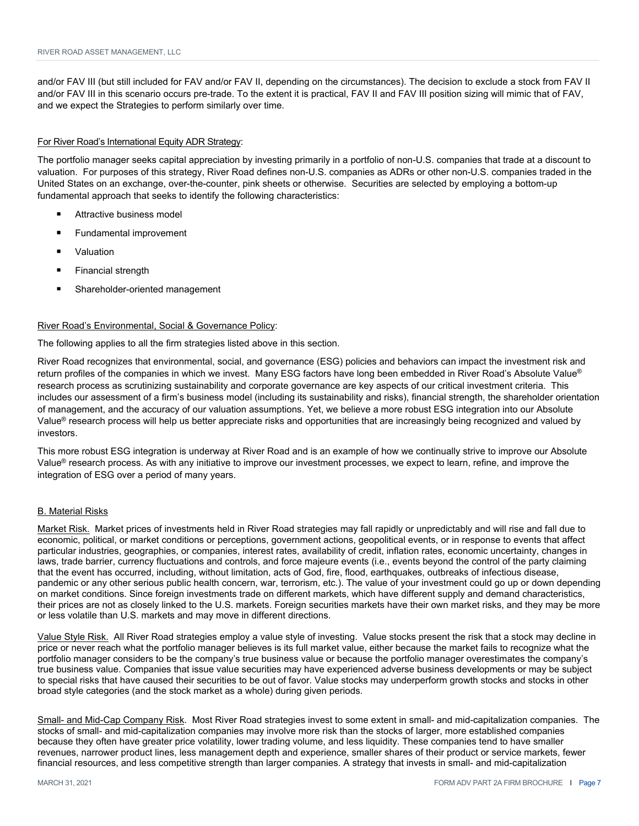and/or FAV III (but still included for FAV and/or FAV II, depending on the circumstances). The decision to exclude a stock from FAV II and/or FAV III in this scenario occurs pre-trade. To the extent it is practical, FAV II and FAV III position sizing will mimic that of FAV, and we expect the Strategies to perform similarly over time.

#### For River Road's International Equity ADR Strategy:

The portfolio manager seeks capital appreciation by investing primarily in a portfolio of non-U.S. companies that trade at a discount to valuation. For purposes of this strategy, River Road defines non-U.S. companies as ADRs or other non-U.S. companies traded in the United States on an exchange, over-the-counter, pink sheets or otherwise. Securities are selected by employing a bottom-up fundamental approach that seeks to identify the following characteristics:

- Attractive business model
- Fundamental improvement
- Valuation
- Financial strength
- Shareholder-oriented management

#### River Road's Environmental, Social & Governance Policy:

The following applies to all the firm strategies listed above in this section.

River Road recognizes that environmental, social, and governance (ESG) policies and behaviors can impact the investment risk and return profiles of the companies in which we invest. Many ESG factors have long been embedded in River Road's Absolute Value® research process as scrutinizing sustainability and corporate governance are key aspects of our critical investment criteria. This includes our assessment of a firm's business model (including its sustainability and risks), financial strength, the shareholder orientation of management, and the accuracy of our valuation assumptions. Yet, we believe a more robust ESG integration into our Absolute Value<sup>®</sup> research process will help us better appreciate risks and opportunities that are increasingly being recognized and valued by investors.

This more robust ESG integration is underway at River Road and is an example of how we continually strive to improve our Absolute Value® research process. As with any initiative to improve our investment processes, we expect to learn, refine, and improve the integration of ESG over a period of many years.

#### B. Material Risks

Market Risk. Market prices of investments held in River Road strategies may fall rapidly or unpredictably and will rise and fall due to economic, political, or market conditions or perceptions, government actions, geopolitical events, or in response to events that affect particular industries, geographies, or companies, interest rates, availability of credit, inflation rates, economic uncertainty, changes in laws, trade barrier, currency fluctuations and controls, and force majeure events (i.e., events beyond the control of the party claiming that the event has occurred, including, without limitation, acts of God, fire, flood, earthquakes, outbreaks of infectious disease, pandemic or any other serious public health concern, war, terrorism, etc.). The value of your investment could go up or down depending on market conditions. Since foreign investments trade on different markets, which have different supply and demand characteristics, their prices are not as closely linked to the U.S. markets. Foreign securities markets have their own market risks, and they may be more or less volatile than U.S. markets and may move in different directions.

Value Style Risk. All River Road strategies employ a value style of investing. Value stocks present the risk that a stock may decline in price or never reach what the portfolio manager believes is its full market value, either because the market fails to recognize what the portfolio manager considers to be the company's true business value or because the portfolio manager overestimates the company's true business value. Companies that issue value securities may have experienced adverse business developments or may be subject to special risks that have caused their securities to be out of favor. Value stocks may underperform growth stocks and stocks in other broad style categories (and the stock market as a whole) during given periods.

Small- and Mid-Cap Company Risk. Most River Road strategies invest to some extent in small- and mid-capitalization companies. The stocks of small- and mid-capitalization companies may involve more risk than the stocks of larger, more established companies because they often have greater price volatility, lower trading volume, and less liquidity. These companies tend to have smaller revenues, narrower product lines, less management depth and experience, smaller shares of their product or service markets, fewer financial resources, and less competitive strength than larger companies. A strategy that invests in small- and mid-capitalization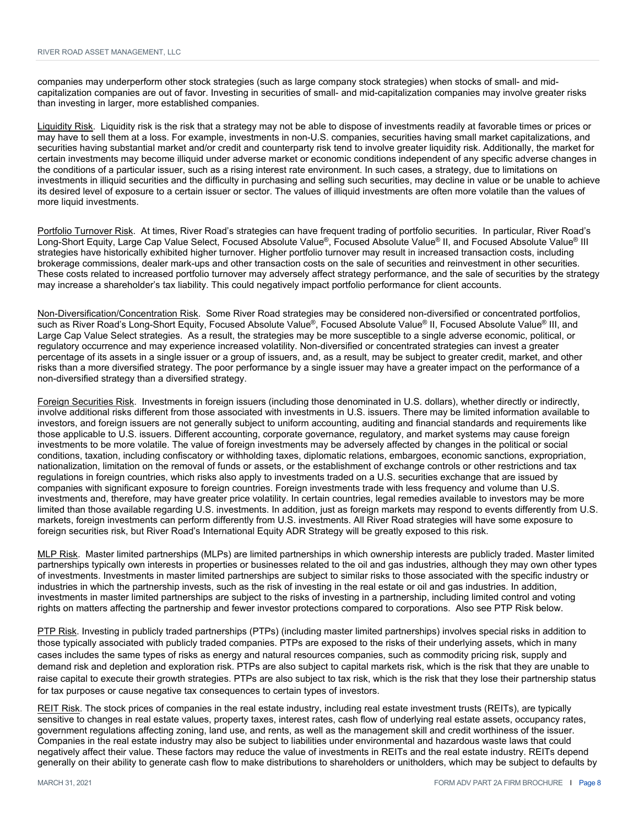companies may underperform other stock strategies (such as large company stock strategies) when stocks of small- and midcapitalization companies are out of favor. Investing in securities of small- and mid-capitalization companies may involve greater risks than investing in larger, more established companies.

Liquidity Risk. Liquidity risk is the risk that a strategy may not be able to dispose of investments readily at favorable times or prices or may have to sell them at a loss. For example, investments in non-U.S. companies, securities having small market capitalizations, and securities having substantial market and/or credit and counterparty risk tend to involve greater liquidity risk. Additionally, the market for certain investments may become illiquid under adverse market or economic conditions independent of any specific adverse changes in the conditions of a particular issuer, such as a rising interest rate environment. In such cases, a strategy, due to limitations on investments in illiquid securities and the difficulty in purchasing and selling such securities, may decline in value or be unable to achieve its desired level of exposure to a certain issuer or sector. The values of illiquid investments are often more volatile than the values of more liquid investments.

Portfolio Turnover Risk. At times, River Road's strategies can have frequent trading of portfolio securities. In particular, River Road's Long-Short Equity, Large Cap Value Select, Focused Absolute Value®, Focused Absolute Value® II, and Focused Absolute Value® III strategies have historically exhibited higher turnover. Higher portfolio turnover may result in increased transaction costs, including brokerage commissions, dealer mark-ups and other transaction costs on the sale of securities and reinvestment in other securities. These costs related to increased portfolio turnover may adversely affect strategy performance, and the sale of securities by the strategy may increase a shareholder's tax liability. This could negatively impact portfolio performance for client accounts.

Non-Diversification/Concentration Risk. Some River Road strategies may be considered non-diversified or concentrated portfolios, such as River Road's Long-Short Equity, Focused Absolute Value®, Focused Absolute Value® II, Focused Absolute Value® III, and Large Cap Value Select strategies. As a result, the strategies may be more susceptible to a single adverse economic, political, or regulatory occurrence and may experience increased volatility. Non-diversified or concentrated strategies can invest a greater percentage of its assets in a single issuer or a group of issuers, and, as a result, may be subject to greater credit, market, and other risks than a more diversified strategy. The poor performance by a single issuer may have a greater impact on the performance of a non-diversified strategy than a diversified strategy.

Foreign Securities Risk. Investments in foreign issuers (including those denominated in U.S. dollars), whether directly or indirectly, involve additional risks different from those associated with investments in U.S. issuers. There may be limited information available to investors, and foreign issuers are not generally subject to uniform accounting, auditing and financial standards and requirements like those applicable to U.S. issuers. Different accounting, corporate governance, regulatory, and market systems may cause foreign investments to be more volatile. The value of foreign investments may be adversely affected by changes in the political or social conditions, taxation, including confiscatory or withholding taxes, diplomatic relations, embargoes, economic sanctions, expropriation, nationalization, limitation on the removal of funds or assets, or the establishment of exchange controls or other restrictions and tax regulations in foreign countries, which risks also apply to investments traded on a U.S. securities exchange that are issued by companies with significant exposure to foreign countries. Foreign investments trade with less frequency and volume than U.S. investments and, therefore, may have greater price volatility. In certain countries, legal remedies available to investors may be more limited than those available regarding U.S. investments. In addition, just as foreign markets may respond to events differently from U.S. markets, foreign investments can perform differently from U.S. investments. All River Road strategies will have some exposure to foreign securities risk, but River Road's International Equity ADR Strategy will be greatly exposed to this risk.

MLP Risk. Master limited partnerships (MLPs) are limited partnerships in which ownership interests are publicly traded. Master limited partnerships typically own interests in properties or businesses related to the oil and gas industries, although they may own other types of investments. Investments in master limited partnerships are subject to similar risks to those associated with the specific industry or industries in which the partnership invests, such as the risk of investing in the real estate or oil and gas industries. In addition, investments in master limited partnerships are subject to the risks of investing in a partnership, including limited control and voting rights on matters affecting the partnership and fewer investor protections compared to corporations. Also see PTP Risk below.

PTP Risk. Investing in publicly traded partnerships (PTPs) (including master limited partnerships) involves special risks in addition to those typically associated with publicly traded companies. PTPs are exposed to the risks of their underlying assets, which in many cases includes the same types of risks as energy and natural resources companies, such as commodity pricing risk, supply and demand risk and depletion and exploration risk. PTPs are also subject to capital markets risk, which is the risk that they are unable to raise capital to execute their growth strategies. PTPs are also subject to tax risk, which is the risk that they lose their partnership status for tax purposes or cause negative tax consequences to certain types of investors.

REIT Risk. The stock prices of companies in the real estate industry, including real estate investment trusts (REITs), are typically sensitive to changes in real estate values, property taxes, interest rates, cash flow of underlying real estate assets, occupancy rates, government regulations affecting zoning, land use, and rents, as well as the management skill and credit worthiness of the issuer. Companies in the real estate industry may also be subject to liabilities under environmental and hazardous waste laws that could negatively affect their value. These factors may reduce the value of investments in REITs and the real estate industry. REITs depend generally on their ability to generate cash flow to make distributions to shareholders or unitholders, which may be subject to defaults by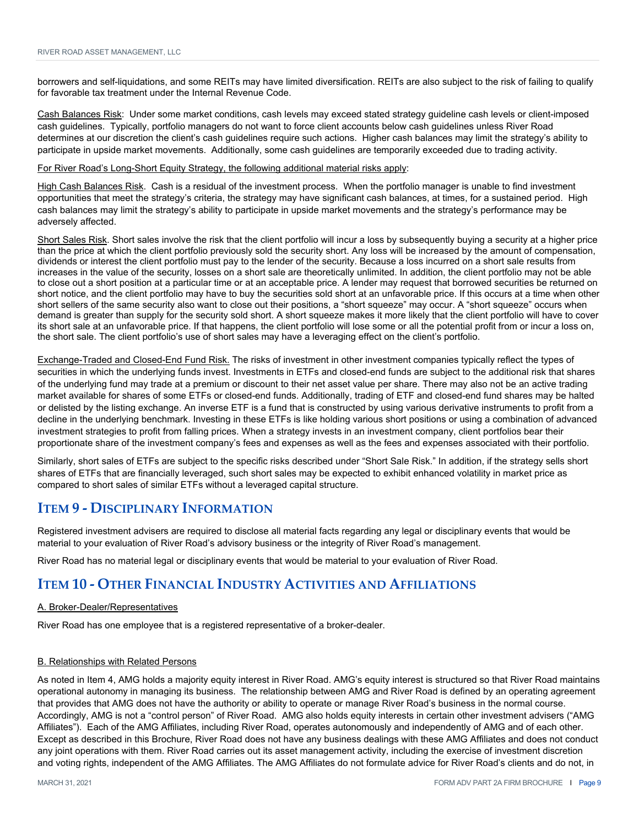borrowers and self-liquidations, and some REITs may have limited diversification. REITs are also subject to the risk of failing to qualify for favorable tax treatment under the Internal Revenue Code.

Cash Balances Risk: Under some market conditions, cash levels may exceed stated strategy guideline cash levels or client-imposed cash guidelines. Typically, portfolio managers do not want to force client accounts below cash guidelines unless River Road determines at our discretion the client's cash guidelines require such actions. Higher cash balances may limit the strategy's ability to participate in upside market movements. Additionally, some cash guidelines are temporarily exceeded due to trading activity.

#### For River Road's Long-Short Equity Strategy, the following additional material risks apply:

High Cash Balances Risk. Cash is a residual of the investment process. When the portfolio manager is unable to find investment opportunities that meet the strategy's criteria, the strategy may have significant cash balances, at times, for a sustained period. High cash balances may limit the strategy's ability to participate in upside market movements and the strategy's performance may be adversely affected.

Short Sales Risk. Short sales involve the risk that the client portfolio will incur a loss by subsequently buying a security at a higher price than the price at which the client portfolio previously sold the security short. Any loss will be increased by the amount of compensation, dividends or interest the client portfolio must pay to the lender of the security. Because a loss incurred on a short sale results from increases in the value of the security, losses on a short sale are theoretically unlimited. In addition, the client portfolio may not be able to close out a short position at a particular time or at an acceptable price. A lender may request that borrowed securities be returned on short notice, and the client portfolio may have to buy the securities sold short at an unfavorable price. If this occurs at a time when other short sellers of the same security also want to close out their positions, a "short squeeze" may occur. A "short squeeze" occurs when demand is greater than supply for the security sold short. A short squeeze makes it more likely that the client portfolio will have to cover its short sale at an unfavorable price. If that happens, the client portfolio will lose some or all the potential profit from or incur a loss on, the short sale. The client portfolio's use of short sales may have a leveraging effect on the client's portfolio.

Exchange-Traded and Closed-End Fund Risk. The risks of investment in other investment companies typically reflect the types of securities in which the underlying funds invest. Investments in ETFs and closed-end funds are subject to the additional risk that shares of the underlying fund may trade at a premium or discount to their net asset value per share. There may also not be an active trading market available for shares of some ETFs or closed-end funds. Additionally, trading of ETF and closed-end fund shares may be halted or delisted by the listing exchange. An inverse ETF is a fund that is constructed by using various derivative instruments to profit from a decline in the underlying benchmark. Investing in these ETFs is like holding various short positions or using a combination of advanced investment strategies to profit from falling prices. When a strategy invests in an investment company, client portfolios bear their proportionate share of the investment company's fees and expenses as well as the fees and expenses associated with their portfolio.

Similarly, short sales of ETFs are subject to the specific risks described under "Short Sale Risk." In addition, if the strategy sells short shares of ETFs that are financially leveraged, such short sales may be expected to exhibit enhanced volatility in market price as compared to short sales of similar ETFs without a leveraged capital structure.

#### **ITEM 9 ‐ DISCIPLINARY INFORMATION**

Registered investment advisers are required to disclose all material facts regarding any legal or disciplinary events that would be material to your evaluation of River Road's advisory business or the integrity of River Road's management.

River Road has no material legal or disciplinary events that would be material to your evaluation of River Road.

#### **ITEM 10 ‐ OTHER FINANCIAL INDUSTRY ACTIVITIES AND AFFILIATIONS**

#### A. Broker-Dealer/Representatives

River Road has one employee that is a registered representative of a broker-dealer.

#### B. Relationships with Related Persons

As noted in Item 4, AMG holds a majority equity interest in River Road. AMG's equity interest is structured so that River Road maintains operational autonomy in managing its business. The relationship between AMG and River Road is defined by an operating agreement that provides that AMG does not have the authority or ability to operate or manage River Road's business in the normal course. Accordingly, AMG is not a "control person" of River Road. AMG also holds equity interests in certain other investment advisers ("AMG Affiliates"). Each of the AMG Affiliates, including River Road, operates autonomously and independently of AMG and of each other. Except as described in this Brochure, River Road does not have any business dealings with these AMG Affiliates and does not conduct any joint operations with them. River Road carries out its asset management activity, including the exercise of investment discretion and voting rights, independent of the AMG Affiliates. The AMG Affiliates do not formulate advice for River Road's clients and do not, in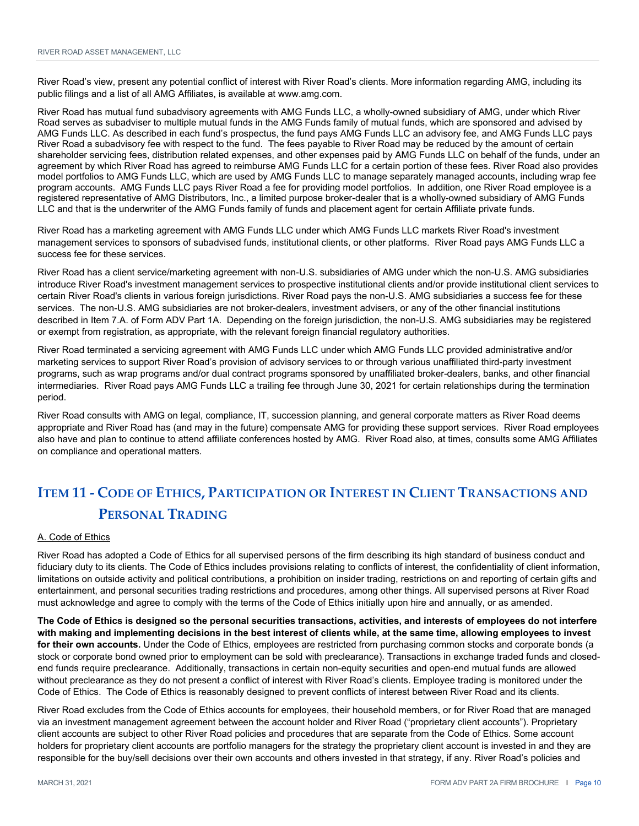River Road's view, present any potential conflict of interest with River Road's clients. More information regarding AMG, including its public filings and a list of all AMG Affiliates, is available at www.amg.com.

River Road has mutual fund subadvisory agreements with AMG Funds LLC, a wholly-owned subsidiary of AMG, under which River Road serves as subadviser to multiple mutual funds in the AMG Funds family of mutual funds, which are sponsored and advised by AMG Funds LLC. As described in each fund's prospectus, the fund pays AMG Funds LLC an advisory fee, and AMG Funds LLC pays River Road a subadvisory fee with respect to the fund. The fees payable to River Road may be reduced by the amount of certain shareholder servicing fees, distribution related expenses, and other expenses paid by AMG Funds LLC on behalf of the funds, under an agreement by which River Road has agreed to reimburse AMG Funds LLC for a certain portion of these fees. River Road also provides model portfolios to AMG Funds LLC, which are used by AMG Funds LLC to manage separately managed accounts, including wrap fee program accounts. AMG Funds LLC pays River Road a fee for providing model portfolios. In addition, one River Road employee is a registered representative of AMG Distributors, Inc., a limited purpose broker-dealer that is a wholly-owned subsidiary of AMG Funds LLC and that is the underwriter of the AMG Funds family of funds and placement agent for certain Affiliate private funds.

River Road has a marketing agreement with AMG Funds LLC under which AMG Funds LLC markets River Road's investment management services to sponsors of subadvised funds, institutional clients, or other platforms. River Road pays AMG Funds LLC a success fee for these services.

River Road has a client service/marketing agreement with non-U.S. subsidiaries of AMG under which the non-U.S. AMG subsidiaries introduce River Road's investment management services to prospective institutional clients and/or provide institutional client services to certain River Road's clients in various foreign jurisdictions. River Road pays the non-U.S. AMG subsidiaries a success fee for these services. The non-U.S. AMG subsidiaries are not broker-dealers, investment advisers, or any of the other financial institutions described in Item 7.A. of Form ADV Part 1A. Depending on the foreign jurisdiction, the non-U.S. AMG subsidiaries may be registered or exempt from registration, as appropriate, with the relevant foreign financial regulatory authorities.

River Road terminated a servicing agreement with AMG Funds LLC under which AMG Funds LLC provided administrative and/or marketing services to support River Road's provision of advisory services to or through various unaffiliated third-party investment programs, such as wrap programs and/or dual contract programs sponsored by unaffiliated broker-dealers, banks, and other financial intermediaries. River Road pays AMG Funds LLC a trailing fee through June 30, 2021 for certain relationships during the termination period.

River Road consults with AMG on legal, compliance, IT, succession planning, and general corporate matters as River Road deems appropriate and River Road has (and may in the future) compensate AMG for providing these support services. River Road employees also have and plan to continue to attend affiliate conferences hosted by AMG. River Road also, at times, consults some AMG Affiliates on compliance and operational matters.

## **ITEM 11 ‐ CODE OF ETHICS, PARTICIPATION OR INTEREST IN CLIENT TRANSACTIONS AND PERSONAL TRADING**

#### A. Code of Ethics

River Road has adopted a Code of Ethics for all supervised persons of the firm describing its high standard of business conduct and fiduciary duty to its clients. The Code of Ethics includes provisions relating to conflicts of interest, the confidentiality of client information, limitations on outside activity and political contributions, a prohibition on insider trading, restrictions on and reporting of certain gifts and entertainment, and personal securities trading restrictions and procedures, among other things. All supervised persons at River Road must acknowledge and agree to comply with the terms of the Code of Ethics initially upon hire and annually, or as amended.

**The Code of Ethics is designed so the personal securities transactions, activities, and interests of employees do not interfere with making and implementing decisions in the best interest of clients while, at the same time, allowing employees to invest for their own accounts.** Under the Code of Ethics, employees are restricted from purchasing common stocks and corporate bonds (a stock or corporate bond owned prior to employment can be sold with preclearance). Transactions in exchange traded funds and closedend funds require preclearance. Additionally, transactions in certain non-equity securities and open-end mutual funds are allowed without preclearance as they do not present a conflict of interest with River Road's clients. Employee trading is monitored under the Code of Ethics. The Code of Ethics is reasonably designed to prevent conflicts of interest between River Road and its clients.

River Road excludes from the Code of Ethics accounts for employees, their household members, or for River Road that are managed via an investment management agreement between the account holder and River Road ("proprietary client accounts"). Proprietary client accounts are subject to other River Road policies and procedures that are separate from the Code of Ethics. Some account holders for proprietary client accounts are portfolio managers for the strategy the proprietary client account is invested in and they are responsible for the buy/sell decisions over their own accounts and others invested in that strategy, if any. River Road's policies and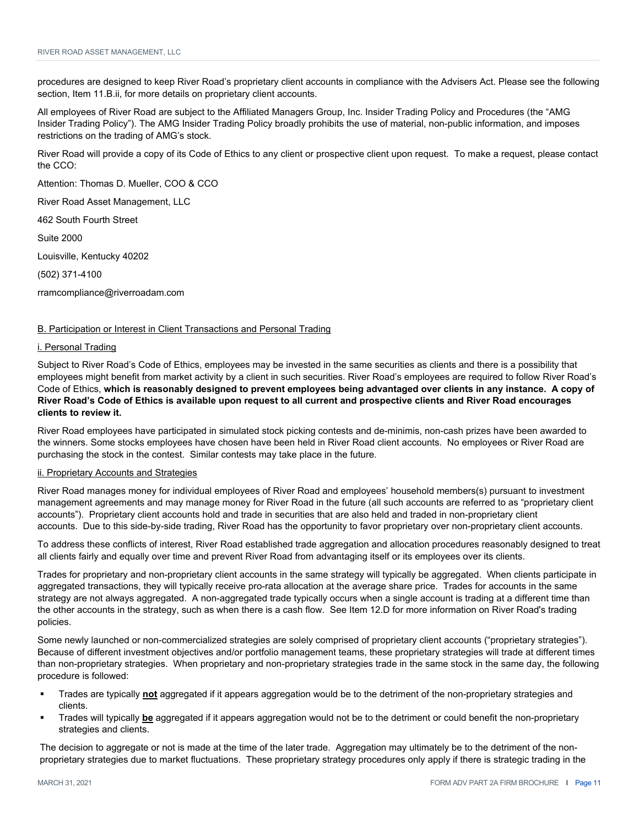procedures are designed to keep River Road's proprietary client accounts in compliance with the Advisers Act. Please see the following section, Item 11.B.ii, for more details on proprietary client accounts.

All employees of River Road are subject to the Affiliated Managers Group, Inc. Insider Trading Policy and Procedures (the "AMG Insider Trading Policy"). The AMG Insider Trading Policy broadly prohibits the use of material, non-public information, and imposes restrictions on the trading of AMG's stock.

River Road will provide a copy of its Code of Ethics to any client or prospective client upon request. To make a request, please contact the CCO:

Attention: Thomas D. Mueller, COO & CCO

River Road Asset Management, LLC

462 South Fourth Street

Suite 2000

Louisville, Kentucky 40202

(502) 371-4100

rramcompliance@riverroadam.com

#### B. Participation or Interest in Client Transactions and Personal Trading

#### i. Personal Trading

Subject to River Road's Code of Ethics, employees may be invested in the same securities as clients and there is a possibility that employees might benefit from market activity by a client in such securities. River Road's employees are required to follow River Road's Code of Ethics, **which is reasonably designed to prevent employees being advantaged over clients in any instance. A copy of River Road's Code of Ethics is available upon request to all current and prospective clients and River Road encourages clients to review it.**

River Road employees have participated in simulated stock picking contests and de-minimis, non-cash prizes have been awarded to the winners. Some stocks employees have chosen have been held in River Road client accounts. No employees or River Road are purchasing the stock in the contest. Similar contests may take place in the future.

#### ii. Proprietary Accounts and Strategies

River Road manages money for individual employees of River Road and employees' household members(s) pursuant to investment management agreements and may manage money for River Road in the future (all such accounts are referred to as "proprietary client accounts"). Proprietary client accounts hold and trade in securities that are also held and traded in non-proprietary client accounts. Due to this side-by-side trading, River Road has the opportunity to favor proprietary over non-proprietary client accounts.

To address these conflicts of interest, River Road established trade aggregation and allocation procedures reasonably designed to treat all clients fairly and equally over time and prevent River Road from advantaging itself or its employees over its clients.

Trades for proprietary and non-proprietary client accounts in the same strategy will typically be aggregated. When clients participate in aggregated transactions, they will typically receive pro-rata allocation at the average share price. Trades for accounts in the same strategy are not always aggregated. A non-aggregated trade typically occurs when a single account is trading at a different time than the other accounts in the strategy, such as when there is a cash flow. See Item 12.D for more information on River Road's trading policies.

Some newly launched or non-commercialized strategies are solely comprised of proprietary client accounts ("proprietary strategies"). Because of different investment objectives and/or portfolio management teams, these proprietary strategies will trade at different times than non-proprietary strategies. When proprietary and non-proprietary strategies trade in the same stock in the same day, the following procedure is followed:

- Trades are typically **not** aggregated if it appears aggregation would be to the detriment of the non-proprietary strategies and clients.
- Trades will typically **be** aggregated if it appears aggregation would not be to the detriment or could benefit the non-proprietary strategies and clients.

The decision to aggregate or not is made at the time of the later trade. Aggregation may ultimately be to the detriment of the nonproprietary strategies due to market fluctuations. These proprietary strategy procedures only apply if there is strategic trading in the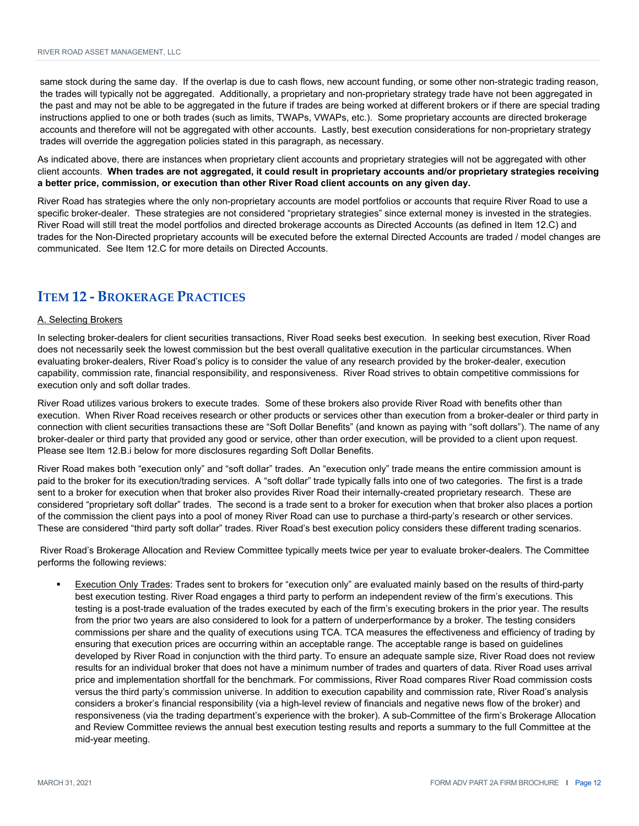same stock during the same day. If the overlap is due to cash flows, new account funding, or some other non-strategic trading reason, the trades will typically not be aggregated. Additionally, a proprietary and non-proprietary strategy trade have not been aggregated in the past and may not be able to be aggregated in the future if trades are being worked at different brokers or if there are special trading instructions applied to one or both trades (such as limits, TWAPs, VWAPs, etc.). Some proprietary accounts are directed brokerage accounts and therefore will not be aggregated with other accounts. Lastly, best execution considerations for non-proprietary strategy trades will override the aggregation policies stated in this paragraph, as necessary.

As indicated above, there are instances when proprietary client accounts and proprietary strategies will not be aggregated with other client accounts. **When trades are not aggregated, it could result in proprietary accounts and/or proprietary strategies receiving a better price, commission, or execution than other River Road client accounts on any given day.**

River Road has strategies where the only non-proprietary accounts are model portfolios or accounts that require River Road to use a specific broker-dealer. These strategies are not considered "proprietary strategies" since external money is invested in the strategies. River Road will still treat the model portfolios and directed brokerage accounts as Directed Accounts (as defined in Item 12.C) and trades for the Non-Directed proprietary accounts will be executed before the external Directed Accounts are traded / model changes are communicated. See Item 12.C for more details on Directed Accounts.

#### **ITEM 12 ‐ BROKERAGE PRACTICES**

#### A. Selecting Brokers

In selecting broker-dealers for client securities transactions, River Road seeks best execution. In seeking best execution, River Road does not necessarily seek the lowest commission but the best overall qualitative execution in the particular circumstances. When evaluating broker-dealers, River Road's policy is to consider the value of any research provided by the broker-dealer, execution capability, commission rate, financial responsibility, and responsiveness. River Road strives to obtain competitive commissions for execution only and soft dollar trades.

River Road utilizes various brokers to execute trades. Some of these brokers also provide River Road with benefits other than execution. When River Road receives research or other products or services other than execution from a broker-dealer or third party in connection with client securities transactions these are "Soft Dollar Benefits" (and known as paying with "soft dollars"). The name of any broker-dealer or third party that provided any good or service, other than order execution, will be provided to a client upon request. Please see Item 12.B.i below for more disclosures regarding Soft Dollar Benefits.

River Road makes both "execution only" and "soft dollar" trades. An "execution only" trade means the entire commission amount is paid to the broker for its execution/trading services. A "soft dollar" trade typically falls into one of two categories. The first is a trade sent to a broker for execution when that broker also provides River Road their internally-created proprietary research. These are considered "proprietary soft dollar" trades. The second is a trade sent to a broker for execution when that broker also places a portion of the commission the client pays into a pool of money River Road can use to purchase a third-party's research or other services. These are considered "third party soft dollar" trades. River Road's best execution policy considers these different trading scenarios.

 River Road's Brokerage Allocation and Review Committee typically meets twice per year to evaluate broker-dealers. The Committee performs the following reviews:

 Execution Only Trades: Trades sent to brokers for "execution only" are evaluated mainly based on the results of third-party best execution testing. River Road engages a third party to perform an independent review of the firm's executions. This testing is a post-trade evaluation of the trades executed by each of the firm's executing brokers in the prior year. The results from the prior two years are also considered to look for a pattern of underperformance by a broker. The testing considers commissions per share and the quality of executions using TCA. TCA measures the effectiveness and efficiency of trading by ensuring that execution prices are occurring within an acceptable range. The acceptable range is based on guidelines developed by River Road in conjunction with the third party. To ensure an adequate sample size, River Road does not review results for an individual broker that does not have a minimum number of trades and quarters of data. River Road uses arrival price and implementation shortfall for the benchmark. For commissions, River Road compares River Road commission costs versus the third party's commission universe. In addition to execution capability and commission rate, River Road's analysis considers a broker's financial responsibility (via a high-level review of financials and negative news flow of the broker) and responsiveness (via the trading department's experience with the broker). A sub-Committee of the firm's Brokerage Allocation and Review Committee reviews the annual best execution testing results and reports a summary to the full Committee at the mid-year meeting.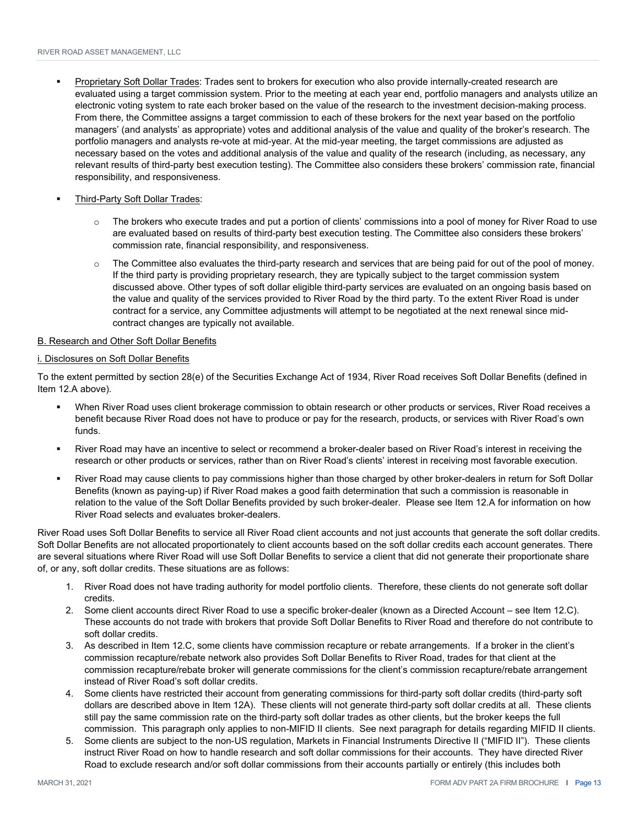- Proprietary Soft Dollar Trades: Trades sent to brokers for execution who also provide internally-created research are evaluated using a target commission system. Prior to the meeting at each year end, portfolio managers and analysts utilize an electronic voting system to rate each broker based on the value of the research to the investment decision-making process. From there, the Committee assigns a target commission to each of these brokers for the next year based on the portfolio managers' (and analysts' as appropriate) votes and additional analysis of the value and quality of the broker's research. The portfolio managers and analysts re-vote at mid-year. At the mid-year meeting, the target commissions are adjusted as necessary based on the votes and additional analysis of the value and quality of the research (including, as necessary, any relevant results of third-party best execution testing). The Committee also considers these brokers' commission rate, financial responsibility, and responsiveness.
- Third-Party Soft Dollar Trades:
	- $\circ$  The brokers who execute trades and put a portion of clients' commissions into a pool of money for River Road to use are evaluated based on results of third-party best execution testing. The Committee also considers these brokers' commission rate, financial responsibility, and responsiveness.
	- $\circ$  The Committee also evaluates the third-party research and services that are being paid for out of the pool of money. If the third party is providing proprietary research, they are typically subject to the target commission system discussed above. Other types of soft dollar eligible third-party services are evaluated on an ongoing basis based on the value and quality of the services provided to River Road by the third party. To the extent River Road is under contract for a service, any Committee adjustments will attempt to be negotiated at the next renewal since midcontract changes are typically not available.

#### B. Research and Other Soft Dollar Benefits

#### i. Disclosures on Soft Dollar Benefits

To the extent permitted by section 28(e) of the Securities Exchange Act of 1934, River Road receives Soft Dollar Benefits (defined in Item 12.A above).

- When River Road uses client brokerage commission to obtain research or other products or services, River Road receives a benefit because River Road does not have to produce or pay for the research, products, or services with River Road's own funds.
- River Road may have an incentive to select or recommend a broker-dealer based on River Road's interest in receiving the research or other products or services, rather than on River Road's clients' interest in receiving most favorable execution.
- River Road may cause clients to pay commissions higher than those charged by other broker-dealers in return for Soft Dollar Benefits (known as paying-up) if River Road makes a good faith determination that such a commission is reasonable in relation to the value of the Soft Dollar Benefits provided by such broker-dealer. Please see Item 12.A for information on how River Road selects and evaluates broker-dealers.

River Road uses Soft Dollar Benefits to service all River Road client accounts and not just accounts that generate the soft dollar credits. Soft Dollar Benefits are not allocated proportionately to client accounts based on the soft dollar credits each account generates. There are several situations where River Road will use Soft Dollar Benefits to service a client that did not generate their proportionate share of, or any, soft dollar credits. These situations are as follows:

- 1. River Road does not have trading authority for model portfolio clients. Therefore, these clients do not generate soft dollar credits.
- 2. Some client accounts direct River Road to use a specific broker-dealer (known as a Directed Account see Item 12.C). These accounts do not trade with brokers that provide Soft Dollar Benefits to River Road and therefore do not contribute to soft dollar credits.
- 3. As described in Item 12.C, some clients have commission recapture or rebate arrangements. If a broker in the client's commission recapture/rebate network also provides Soft Dollar Benefits to River Road, trades for that client at the commission recapture/rebate broker will generate commissions for the client's commission recapture/rebate arrangement instead of River Road's soft dollar credits.
- 4. Some clients have restricted their account from generating commissions for third-party soft dollar credits (third-party soft dollars are described above in Item 12A). These clients will not generate third-party soft dollar credits at all. These clients still pay the same commission rate on the third-party soft dollar trades as other clients, but the broker keeps the full commission. This paragraph only applies to non-MIFID II clients. See next paragraph for details regarding MIFID II clients.
- 5. Some clients are subject to the non-US regulation, Markets in Financial Instruments Directive II ("MIFID II"). These clients instruct River Road on how to handle research and soft dollar commissions for their accounts. They have directed River Road to exclude research and/or soft dollar commissions from their accounts partially or entirely (this includes both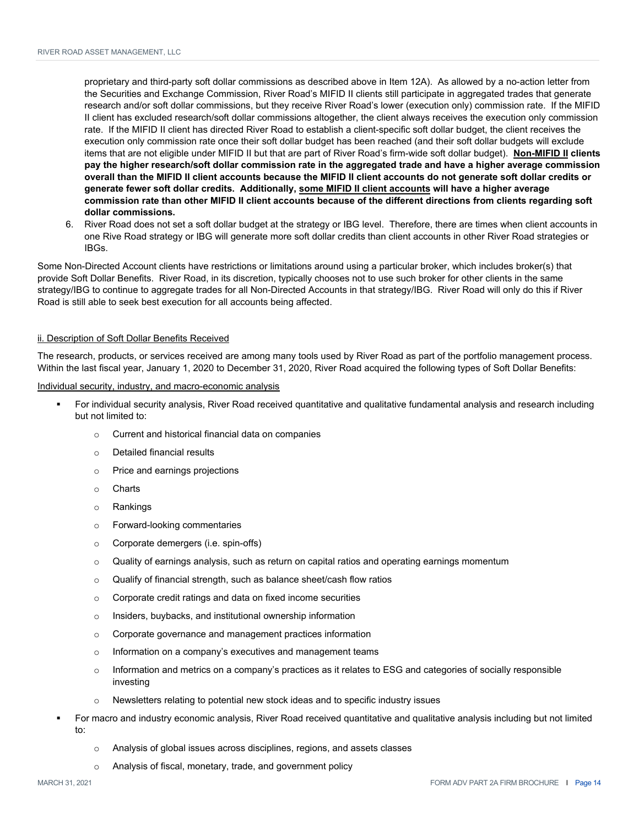proprietary and third-party soft dollar commissions as described above in Item 12A). As allowed by a no-action letter from the Securities and Exchange Commission, River Road's MIFID II clients still participate in aggregated trades that generate research and/or soft dollar commissions, but they receive River Road's lower (execution only) commission rate. If the MIFID II client has excluded research/soft dollar commissions altogether, the client always receives the execution only commission rate. If the MIFID II client has directed River Road to establish a client-specific soft dollar budget, the client receives the execution only commission rate once their soft dollar budget has been reached (and their soft dollar budgets will exclude items that are not eligible under MIFID II but that are part of River Road's firm-wide soft dollar budget). **Non-MIFID II clients pay the higher research/soft dollar commission rate in the aggregated trade and have a higher average commission overall than the MIFID II client accounts because the MIFID II client accounts do not generate soft dollar credits or generate fewer soft dollar credits. Additionally, some MIFID II client accounts will have a higher average commission rate than other MIFID II client accounts because of the different directions from clients regarding soft dollar commissions.**

6. River Road does not set a soft dollar budget at the strategy or IBG level. Therefore, there are times when client accounts in one Rive Road strategy or IBG will generate more soft dollar credits than client accounts in other River Road strategies or IBGs.

Some Non-Directed Account clients have restrictions or limitations around using a particular broker, which includes broker(s) that provide Soft Dollar Benefits. River Road, in its discretion, typically chooses not to use such broker for other clients in the same strategy/IBG to continue to aggregate trades for all Non-Directed Accounts in that strategy/IBG. River Road will only do this if River Road is still able to seek best execution for all accounts being affected.

#### ii. Description of Soft Dollar Benefits Received

The research, products, or services received are among many tools used by River Road as part of the portfolio management process. Within the last fiscal year, January 1, 2020 to December 31, 2020, River Road acquired the following types of Soft Dollar Benefits:

Individual security, industry, and macro-economic analysis

- For individual security analysis, River Road received quantitative and qualitative fundamental analysis and research including but not limited to:
	- o Current and historical financial data on companies
	- o Detailed financial results
	- o Price and earnings projections
	- o Charts
	- o Rankings
	- o Forward-looking commentaries
	- o Corporate demergers (i.e. spin-offs)
	- $\circ$  Quality of earnings analysis, such as return on capital ratios and operating earnings momentum
	- o Qualify of financial strength, such as balance sheet/cash flow ratios
	- o Corporate credit ratings and data on fixed income securities
	- o Insiders, buybacks, and institutional ownership information
	- o Corporate governance and management practices information
	- o Information on a company's executives and management teams
	- $\circ$  Information and metrics on a company's practices as it relates to ESG and categories of socially responsible investing
	- o Newsletters relating to potential new stock ideas and to specific industry issues
- For macro and industry economic analysis, River Road received quantitative and qualitative analysis including but not limited to:
	- $\circ$  Analysis of global issues across disciplines, regions, and assets classes
	- o Analysis of fiscal, monetary, trade, and government policy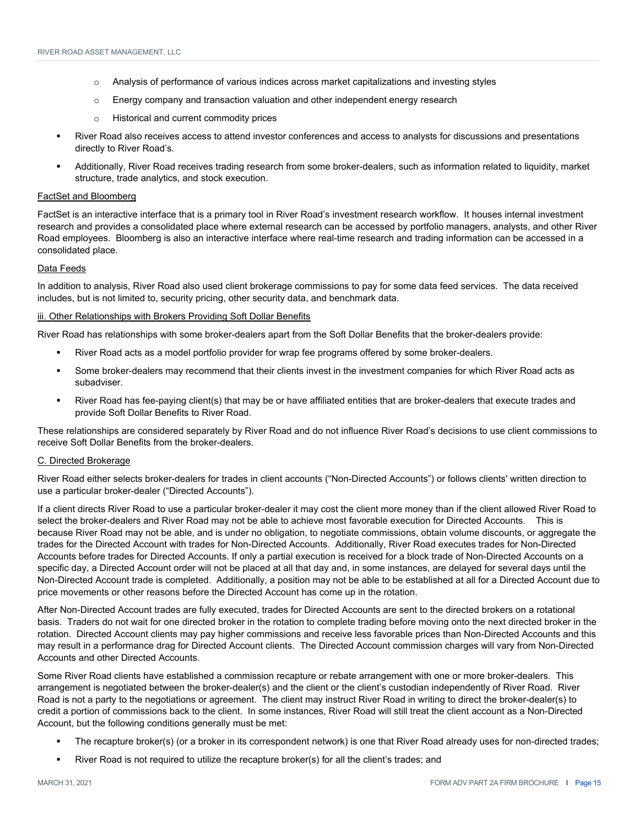- $\circ$  Analysis of performance of various indices across market capitalizations and investing styles
- $\circ$  Energy company and transaction valuation and other independent energy research
- o Historical and current commodity prices
- River Road also receives access to attend investor conferences and access to analysts for discussions and presentations directly to River Road's.
- Additionally, River Road receives trading research from some broker-dealers, such as information related to liquidity, market structure, trade analytics, and stock execution.

#### FactSet and Bloomberg

FactSet is an interactive interface that is a primary tool in River Road's investment research workflow. It houses internal investment research and provides a consolidated place where external research can be accessed by portfolio managers, analysts, and other River Road employees. Bloomberg is also an interactive interface where real-time research and trading information can be accessed in a consolidated place.

#### Data Feeds

In addition to analysis, River Road also used client brokerage commissions to pay for some data feed services. The data received includes, but is not limited to, security pricing, other security data, and benchmark data.

#### iii. Other Relationships with Brokers Providing Soft Dollar Benefits

River Road has relationships with some broker-dealers apart from the Soft Dollar Benefits that the broker-dealers provide:

- River Road acts as a model portfolio provider for wrap fee programs offered by some broker-dealers.
- Some broker-dealers may recommend that their clients invest in the investment companies for which River Road acts as subadviser.
- River Road has fee-paying client(s) that may be or have affiliated entities that are broker-dealers that execute trades and provide Soft Dollar Benefits to River Road.

These relationships are considered separately by River Road and do not influence River Road's decisions to use client commissions to receive Soft Dollar Benefits from the broker-dealers.

#### C. Directed Brokerage

River Road either selects broker-dealers for trades in client accounts ("Non-Directed Accounts") or follows clients' written direction to use a particular broker-dealer ("Directed Accounts").

If a client directs River Road to use a particular broker-dealer it may cost the client more money than if the client allowed River Road to select the broker-dealers and River Road may not be able to achieve most favorable execution for Directed Accounts. This is because River Road may not be able, and is under no obligation, to negotiate commissions, obtain volume discounts, or aggregate the trades for the Directed Account with trades for Non-Directed Accounts. Additionally, River Road executes trades for Non-Directed Accounts before trades for Directed Accounts. If only a partial execution is received for a block trade of Non-Directed Accounts on a specific day, a Directed Account order will not be placed at all that day and, in some instances, are delayed for several days until the Non-Directed Account trade is completed. Additionally, a position may not be able to be established at all for a Directed Account due to price movements or other reasons before the Directed Account has come up in the rotation.

After Non-Directed Account trades are fully executed, trades for Directed Accounts are sent to the directed brokers on a rotational basis. Traders do not wait for one directed broker in the rotation to complete trading before moving onto the next directed broker in the rotation. Directed Account clients may pay higher commissions and receive less favorable prices than Non-Directed Accounts and this may result in a performance drag for Directed Account clients. The Directed Account commission charges will vary from Non-Directed Accounts and other Directed Accounts.

Some River Road clients have established a commission recapture or rebate arrangement with one or more broker-dealers. This arrangement is negotiated between the broker-dealer(s) and the client or the client's custodian independently of River Road. River Road is not a party to the negotiations or agreement. The client may instruct River Road in writing to direct the broker-dealer(s) to credit a portion of commissions back to the client. In some instances, River Road will still treat the client account as a Non-Directed Account, but the following conditions generally must be met:

- The recapture broker(s) (or a broker in its correspondent network) is one that River Road already uses for non-directed trades;
- River Road is not required to utilize the recapture broker(s) for all the client's trades; and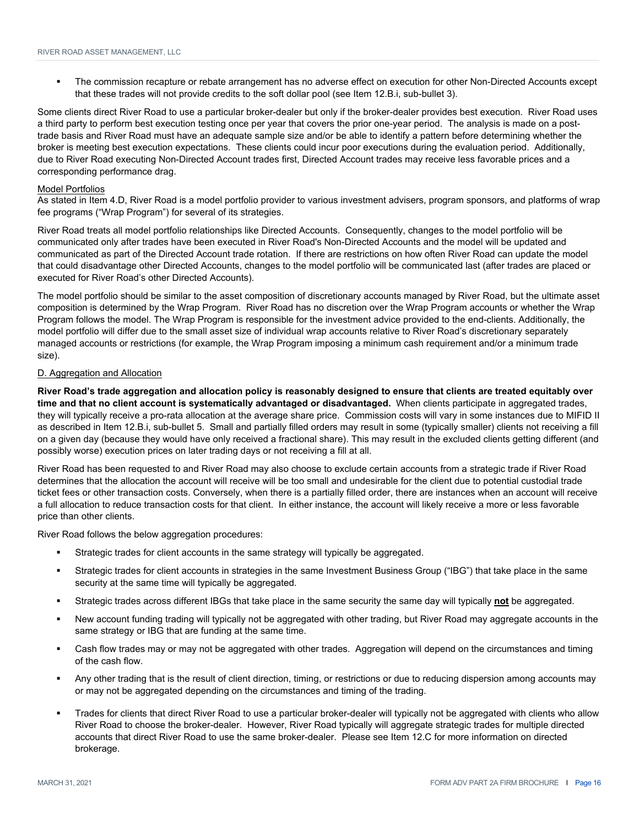The commission recapture or rebate arrangement has no adverse effect on execution for other Non-Directed Accounts except that these trades will not provide credits to the soft dollar pool (see Item 12.B.i, sub-bullet 3).

Some clients direct River Road to use a particular broker-dealer but only if the broker-dealer provides best execution. River Road uses a third party to perform best execution testing once per year that covers the prior one-year period. The analysis is made on a posttrade basis and River Road must have an adequate sample size and/or be able to identify a pattern before determining whether the broker is meeting best execution expectations. These clients could incur poor executions during the evaluation period. Additionally, due to River Road executing Non-Directed Account trades first, Directed Account trades may receive less favorable prices and a corresponding performance drag.

#### Model Portfolios

As stated in Item 4.D, River Road is a model portfolio provider to various investment advisers, program sponsors, and platforms of wrap fee programs ("Wrap Program") for several of its strategies.

River Road treats all model portfolio relationships like Directed Accounts. Consequently, changes to the model portfolio will be communicated only after trades have been executed in River Road's Non-Directed Accounts and the model will be updated and communicated as part of the Directed Account trade rotation. If there are restrictions on how often River Road can update the model that could disadvantage other Directed Accounts, changes to the model portfolio will be communicated last (after trades are placed or executed for River Road's other Directed Accounts).

The model portfolio should be similar to the asset composition of discretionary accounts managed by River Road, but the ultimate asset composition is determined by the Wrap Program. River Road has no discretion over the Wrap Program accounts or whether the Wrap Program follows the model. The Wrap Program is responsible for the investment advice provided to the end-clients. Additionally, the model portfolio will differ due to the small asset size of individual wrap accounts relative to River Road's discretionary separately managed accounts or restrictions (for example, the Wrap Program imposing a minimum cash requirement and/or a minimum trade size).

#### D. Aggregation and Allocation

**River Road's trade aggregation and allocation policy is reasonably designed to ensure that clients are treated equitably over time and that no client account is systematically advantaged or disadvantaged.** When clients participate in aggregated trades, they will typically receive a pro-rata allocation at the average share price. Commission costs will vary in some instances due to MIFID II as described in Item 12.B.i, sub-bullet 5. Small and partially filled orders may result in some (typically smaller) clients not receiving a fill on a given day (because they would have only received a fractional share). This may result in the excluded clients getting different (and possibly worse) execution prices on later trading days or not receiving a fill at all.

River Road has been requested to and River Road may also choose to exclude certain accounts from a strategic trade if River Road determines that the allocation the account will receive will be too small and undesirable for the client due to potential custodial trade ticket fees or other transaction costs. Conversely, when there is a partially filled order, there are instances when an account will receive a full allocation to reduce transaction costs for that client. In either instance, the account will likely receive a more or less favorable price than other clients.

River Road follows the below aggregation procedures:

- Strategic trades for client accounts in the same strategy will typically be aggregated.
- Strategic trades for client accounts in strategies in the same Investment Business Group ("IBG") that take place in the same security at the same time will typically be aggregated.
- Strategic trades across different IBGs that take place in the same security the same day will typically **not** be aggregated.
- New account funding trading will typically not be aggregated with other trading, but River Road may aggregate accounts in the same strategy or IBG that are funding at the same time.
- Cash flow trades may or may not be aggregated with other trades. Aggregation will depend on the circumstances and timing of the cash flow.
- Any other trading that is the result of client direction, timing, or restrictions or due to reducing dispersion among accounts may or may not be aggregated depending on the circumstances and timing of the trading.
- Trades for clients that direct River Road to use a particular broker-dealer will typically not be aggregated with clients who allow River Road to choose the broker-dealer. However, River Road typically will aggregate strategic trades for multiple directed accounts that direct River Road to use the same broker-dealer. Please see Item 12.C for more information on directed brokerage.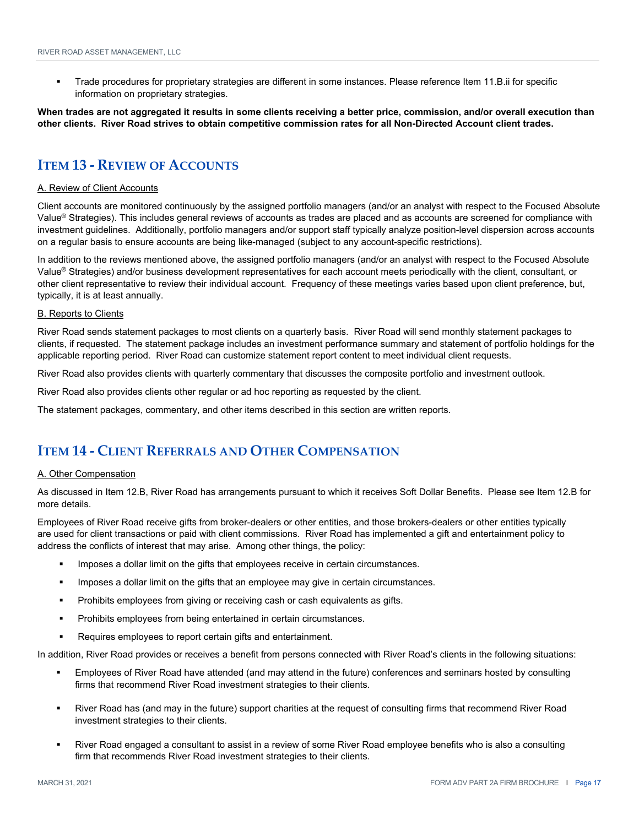Trade procedures for proprietary strategies are different in some instances. Please reference Item 11.B.ii for specific information on proprietary strategies.

**When trades are not aggregated it results in some clients receiving a better price, commission, and/or overall execution than other clients. River Road strives to obtain competitive commission rates for all Non-Directed Account client trades.** 

### **ITEM 13 ‐ REVIEW OF ACCOUNTS**

#### A. Review of Client Accounts

Client accounts are monitored continuously by the assigned portfolio managers (and/or an analyst with respect to the Focused Absolute Value® Strategies). This includes general reviews of accounts as trades are placed and as accounts are screened for compliance with investment guidelines. Additionally, portfolio managers and/or support staff typically analyze position-level dispersion across accounts on a regular basis to ensure accounts are being like-managed (subject to any account-specific restrictions).

In addition to the reviews mentioned above, the assigned portfolio managers (and/or an analyst with respect to the Focused Absolute Value® Strategies) and/or business development representatives for each account meets periodically with the client, consultant, or other client representative to review their individual account. Frequency of these meetings varies based upon client preference, but, typically, it is at least annually.

#### B. Reports to Clients

River Road sends statement packages to most clients on a quarterly basis. River Road will send monthly statement packages to clients, if requested. The statement package includes an investment performance summary and statement of portfolio holdings for the applicable reporting period. River Road can customize statement report content to meet individual client requests.

River Road also provides clients with quarterly commentary that discusses the composite portfolio and investment outlook.

River Road also provides clients other regular or ad hoc reporting as requested by the client.

The statement packages, commentary, and other items described in this section are written reports.

#### **ITEM 14 ‐ CLIENT REFERRALS AND OTHER COMPENSATION**

#### A. Other Compensation

As discussed in Item 12.B, River Road has arrangements pursuant to which it receives Soft Dollar Benefits. Please see Item 12.B for more details.

Employees of River Road receive gifts from broker-dealers or other entities, and those brokers-dealers or other entities typically are used for client transactions or paid with client commissions. River Road has implemented a gift and entertainment policy to address the conflicts of interest that may arise. Among other things, the policy:

- Imposes a dollar limit on the gifts that employees receive in certain circumstances.
- **IMPODE:** Imposes a dollar limit on the gifts that an employee may give in certain circumstances.
- Prohibits employees from giving or receiving cash or cash equivalents as gifts.
- **Prohibits employees from being entertained in certain circumstances.**
- Requires employees to report certain gifts and entertainment.

In addition, River Road provides or receives a benefit from persons connected with River Road's clients in the following situations:

- Employees of River Road have attended (and may attend in the future) conferences and seminars hosted by consulting firms that recommend River Road investment strategies to their clients.
- River Road has (and may in the future) support charities at the request of consulting firms that recommend River Road investment strategies to their clients.
- River Road engaged a consultant to assist in a review of some River Road employee benefits who is also a consulting firm that recommends River Road investment strategies to their clients.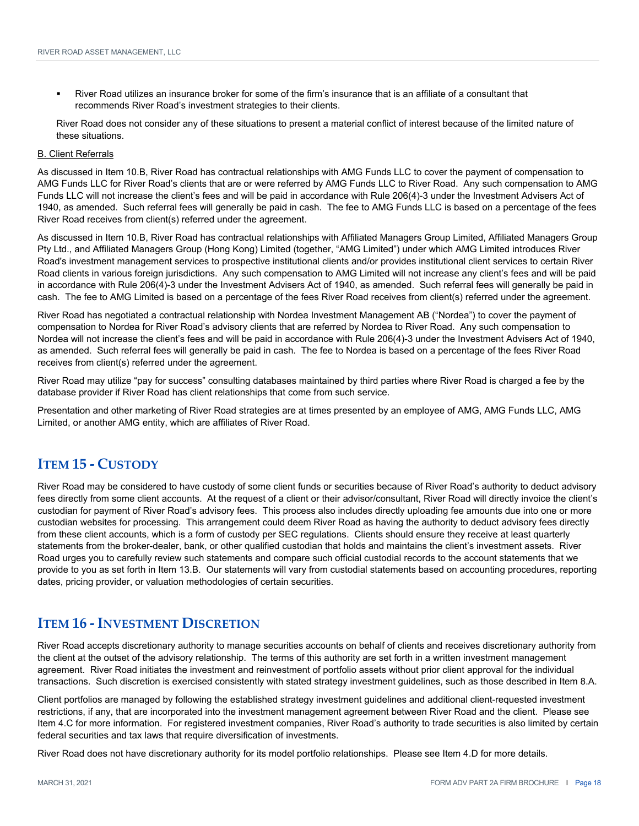River Road utilizes an insurance broker for some of the firm's insurance that is an affiliate of a consultant that recommends River Road's investment strategies to their clients.

River Road does not consider any of these situations to present a material conflict of interest because of the limited nature of these situations.

#### B. Client Referrals

As discussed in Item 10.B, River Road has contractual relationships with AMG Funds LLC to cover the payment of compensation to AMG Funds LLC for River Road's clients that are or were referred by AMG Funds LLC to River Road. Any such compensation to AMG Funds LLC will not increase the client's fees and will be paid in accordance with Rule 206(4)-3 under the Investment Advisers Act of 1940, as amended. Such referral fees will generally be paid in cash. The fee to AMG Funds LLC is based on a percentage of the fees River Road receives from client(s) referred under the agreement.

As discussed in Item 10.B, River Road has contractual relationships with Affiliated Managers Group Limited, Affiliated Managers Group Pty Ltd., and Affiliated Managers Group (Hong Kong) Limited (together, "AMG Limited") under which AMG Limited introduces River Road's investment management services to prospective institutional clients and/or provides institutional client services to certain River Road clients in various foreign jurisdictions. Any such compensation to AMG Limited will not increase any client's fees and will be paid in accordance with Rule 206(4)-3 under the Investment Advisers Act of 1940, as amended. Such referral fees will generally be paid in cash. The fee to AMG Limited is based on a percentage of the fees River Road receives from client(s) referred under the agreement.

River Road has negotiated a contractual relationship with Nordea Investment Management AB ("Nordea") to cover the payment of compensation to Nordea for River Road's advisory clients that are referred by Nordea to River Road. Any such compensation to Nordea will not increase the client's fees and will be paid in accordance with Rule 206(4)-3 under the Investment Advisers Act of 1940, as amended. Such referral fees will generally be paid in cash. The fee to Nordea is based on a percentage of the fees River Road receives from client(s) referred under the agreement.

River Road may utilize "pay for success" consulting databases maintained by third parties where River Road is charged a fee by the database provider if River Road has client relationships that come from such service.

Presentation and other marketing of River Road strategies are at times presented by an employee of AMG, AMG Funds LLC, AMG Limited, or another AMG entity, which are affiliates of River Road.

#### **ITEM 15 ‐ CUSTODY**

River Road may be considered to have custody of some client funds or securities because of River Road's authority to deduct advisory fees directly from some client accounts. At the request of a client or their advisor/consultant, River Road will directly invoice the client's custodian for payment of River Road's advisory fees. This process also includes directly uploading fee amounts due into one or more custodian websites for processing. This arrangement could deem River Road as having the authority to deduct advisory fees directly from these client accounts, which is a form of custody per SEC regulations. Clients should ensure they receive at least quarterly statements from the broker-dealer, bank, or other qualified custodian that holds and maintains the client's investment assets. River Road urges you to carefully review such statements and compare such official custodial records to the account statements that we provide to you as set forth in Item 13.B. Our statements will vary from custodial statements based on accounting procedures, reporting dates, pricing provider, or valuation methodologies of certain securities.

#### **ITEM 16 ‐ INVESTMENT DISCRETION**

River Road accepts discretionary authority to manage securities accounts on behalf of clients and receives discretionary authority from the client at the outset of the advisory relationship. The terms of this authority are set forth in a written investment management agreement. River Road initiates the investment and reinvestment of portfolio assets without prior client approval for the individual transactions. Such discretion is exercised consistently with stated strategy investment guidelines, such as those described in Item 8.A.

Client portfolios are managed by following the established strategy investment guidelines and additional client-requested investment restrictions, if any, that are incorporated into the investment management agreement between River Road and the client. Please see Item 4.C for more information. For registered investment companies, River Road's authority to trade securities is also limited by certain federal securities and tax laws that require diversification of investments.

River Road does not have discretionary authority for its model portfolio relationships. Please see Item 4.D for more details.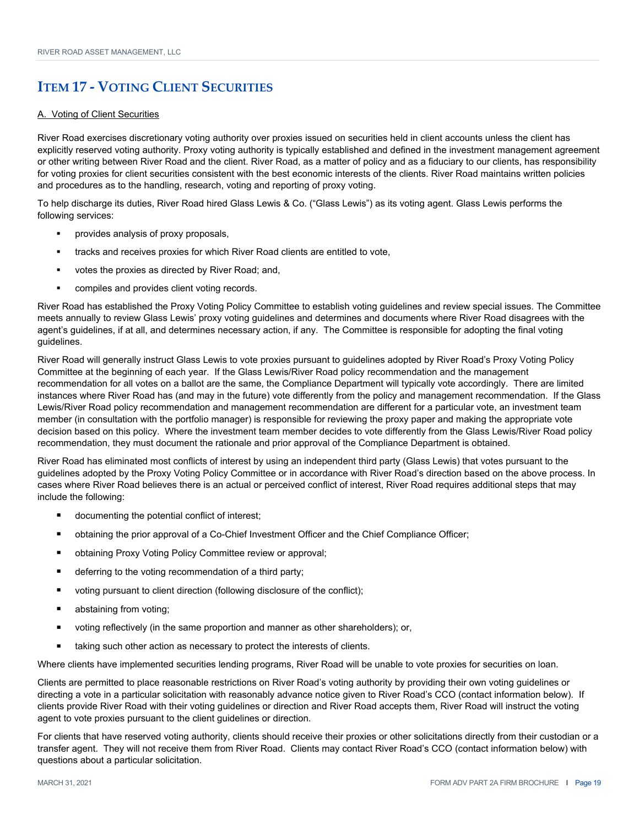## **ITEM 17 ‐ VOTING CLIENT SECURITIES**

#### A. Voting of Client Securities

River Road exercises discretionary voting authority over proxies issued on securities held in client accounts unless the client has explicitly reserved voting authority. Proxy voting authority is typically established and defined in the investment management agreement or other writing between River Road and the client. River Road, as a matter of policy and as a fiduciary to our clients, has responsibility for voting proxies for client securities consistent with the best economic interests of the clients. River Road maintains written policies and procedures as to the handling, research, voting and reporting of proxy voting.

To help discharge its duties, River Road hired Glass Lewis & Co. ("Glass Lewis") as its voting agent. Glass Lewis performs the following services:

- provides analysis of proxy proposals,
- tracks and receives proxies for which River Road clients are entitled to vote,
- votes the proxies as directed by River Road; and,
- compiles and provides client voting records.

River Road has established the Proxy Voting Policy Committee to establish voting guidelines and review special issues. The Committee meets annually to review Glass Lewis' proxy voting guidelines and determines and documents where River Road disagrees with the agent's guidelines, if at all, and determines necessary action, if any. The Committee is responsible for adopting the final voting guidelines.

River Road will generally instruct Glass Lewis to vote proxies pursuant to guidelines adopted by River Road's Proxy Voting Policy Committee at the beginning of each year. If the Glass Lewis/River Road policy recommendation and the management recommendation for all votes on a ballot are the same, the Compliance Department will typically vote accordingly. There are limited instances where River Road has (and may in the future) vote differently from the policy and management recommendation. If the Glass Lewis/River Road policy recommendation and management recommendation are different for a particular vote, an investment team member (in consultation with the portfolio manager) is responsible for reviewing the proxy paper and making the appropriate vote decision based on this policy. Where the investment team member decides to vote differently from the Glass Lewis/River Road policy recommendation, they must document the rationale and prior approval of the Compliance Department is obtained.

River Road has eliminated most conflicts of interest by using an independent third party (Glass Lewis) that votes pursuant to the guidelines adopted by the Proxy Voting Policy Committee or in accordance with River Road's direction based on the above process. In cases where River Road believes there is an actual or perceived conflict of interest, River Road requires additional steps that may include the following:

- documenting the potential conflict of interest;
- obtaining the prior approval of a Co-Chief Investment Officer and the Chief Compliance Officer;
- obtaining Proxy Voting Policy Committee review or approval;
- deferring to the voting recommendation of a third party;
- voting pursuant to client direction (following disclosure of the conflict);
- abstaining from voting;
- voting reflectively (in the same proportion and manner as other shareholders); or,
- taking such other action as necessary to protect the interests of clients.

Where clients have implemented securities lending programs, River Road will be unable to vote proxies for securities on loan.

Clients are permitted to place reasonable restrictions on River Road's voting authority by providing their own voting guidelines or directing a vote in a particular solicitation with reasonably advance notice given to River Road's CCO (contact information below). If clients provide River Road with their voting guidelines or direction and River Road accepts them, River Road will instruct the voting agent to vote proxies pursuant to the client guidelines or direction.

For clients that have reserved voting authority, clients should receive their proxies or other solicitations directly from their custodian or a transfer agent. They will not receive them from River Road. Clients may contact River Road's CCO (contact information below) with questions about a particular solicitation.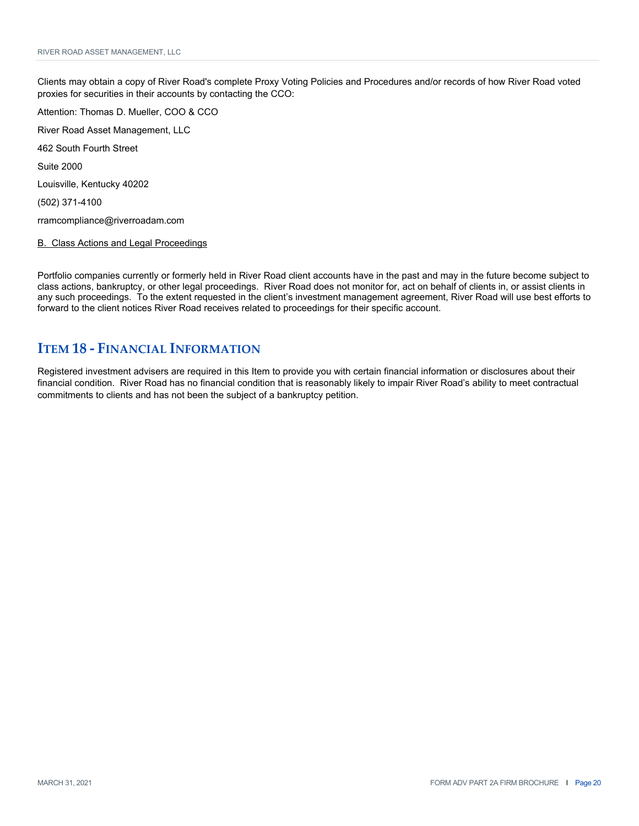Clients may obtain a copy of River Road's complete Proxy Voting Policies and Procedures and/or records of how River Road voted proxies for securities in their accounts by contacting the CCO:

Attention: Thomas D. Mueller, COO & CCO River Road Asset Management, LLC 462 South Fourth Street Suite 2000 Louisville, Kentucky 40202 (502) 371-4100 rramcompliance@riverroadam.com

B. Class Actions and Legal Proceedings

Portfolio companies currently or formerly held in River Road client accounts have in the past and may in the future become subject to class actions, bankruptcy, or other legal proceedings. River Road does not monitor for, act on behalf of clients in, or assist clients in any such proceedings. To the extent requested in the client's investment management agreement, River Road will use best efforts to forward to the client notices River Road receives related to proceedings for their specific account.

#### **ITEM 18 ‐ FINANCIAL INFORMATION**

Registered investment advisers are required in this Item to provide you with certain financial information or disclosures about their financial condition. River Road has no financial condition that is reasonably likely to impair River Road's ability to meet contractual commitments to clients and has not been the subject of a bankruptcy petition.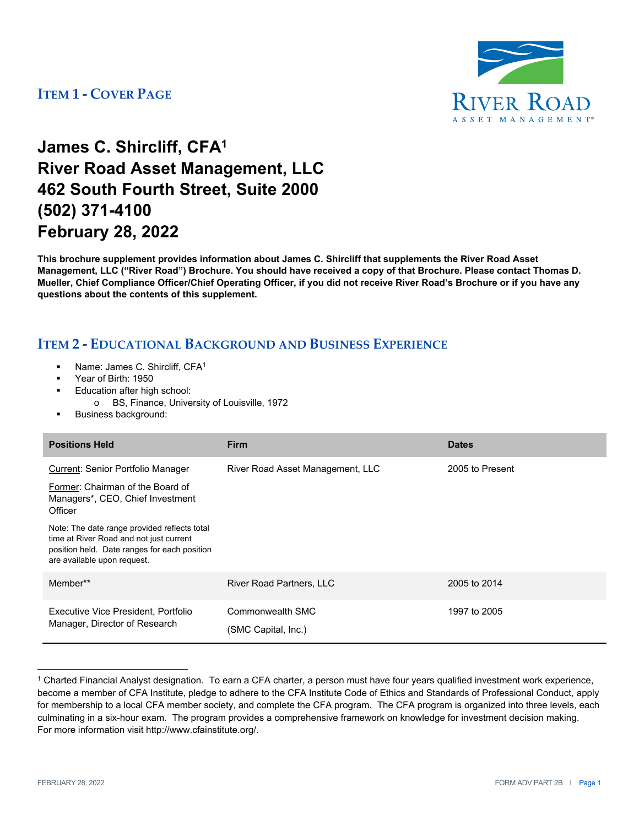

## **James C. Shircliff, CFA1 River Road Asset Management, LLC 462 South Fourth Street, Suite 2000 (502) 371-4100 February 28, 2022**

**This brochure supplement provides information about James C. Shircliff that supplements the River Road Asset Management, LLC ("River Road") Brochure. You should have received a copy of that Brochure. Please contact Thomas D. Mueller, Chief Compliance Officer/Chief Operating Officer, if you did not receive River Road's Brochure or if you have any questions about the contents of this supplement.** 

- Name: James C. Shircliff, CFA1
- Year of Birth: 1950
- Education after high school:
	- o BS, Finance, University of Louisville, 1972
- Business background:

| <b>Positions Held</b>                                                                                                                                                  | <b>Firm</b>                             | <b>Dates</b>    |
|------------------------------------------------------------------------------------------------------------------------------------------------------------------------|-----------------------------------------|-----------------|
| Current: Senior Portfolio Manager                                                                                                                                      | River Road Asset Management, LLC        | 2005 to Present |
| Former: Chairman of the Board of<br>Managers*, CEO, Chief Investment<br>Officer                                                                                        |                                         |                 |
| Note: The date range provided reflects total<br>time at River Road and not just current<br>position held. Date ranges for each position<br>are available upon request. |                                         |                 |
| Member**                                                                                                                                                               | <b>River Road Partners, LLC</b>         | 2005 to 2014    |
| Executive Vice President, Portfolio<br>Manager, Director of Research                                                                                                   | Commonwealth SMC<br>(SMC Capital, Inc.) | 1997 to 2005    |

<sup>1</sup> Charted Financial Analyst designation. To earn a CFA charter, a person must have four years qualified investment work experience, become a member of CFA Institute, pledge to adhere to the CFA Institute Code of Ethics and Standards of Professional Conduct, apply for membership to a local CFA member society, and complete the CFA program. The CFA program is organized into three levels, each culminating in a six-hour exam. The program provides a comprehensive framework on knowledge for investment decision making. For more information visit http://www.cfainstitute.org/.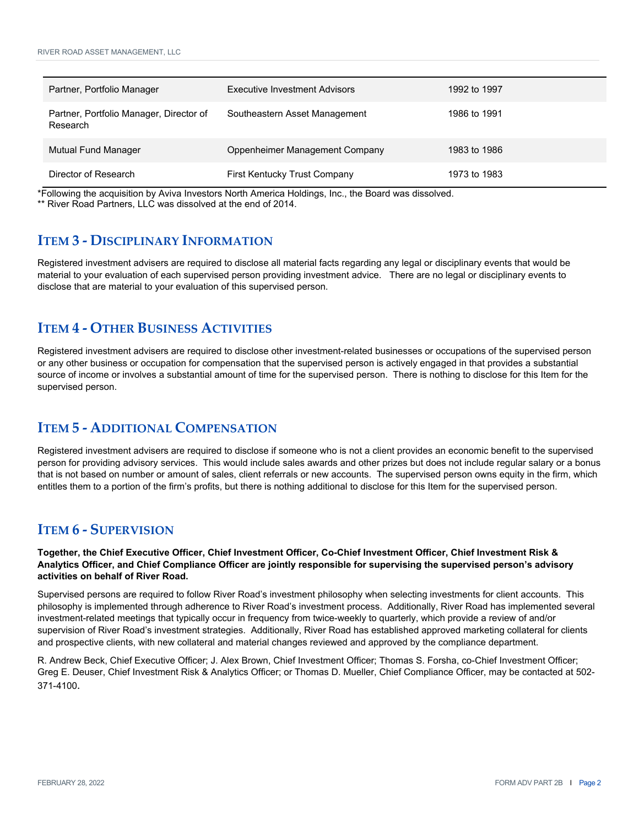| Partner, Portfolio Manager                          | Executive Investment Advisors  | 1992 to 1997 |
|-----------------------------------------------------|--------------------------------|--------------|
| Partner, Portfolio Manager, Director of<br>Research | Southeastern Asset Management  | 1986 to 1991 |
| Mutual Fund Manager                                 | Oppenheimer Management Company | 1983 to 1986 |
| Director of Research                                | First Kentucky Trust Company   | 1973 to 1983 |

\*Following the acquisition by Aviva Investors North America Holdings, Inc., the Board was dissolved.

\*\* River Road Partners, LLC was dissolved at the end of 2014.

### **ITEM 3 ‐ DISCIPLINARY INFORMATION**

Registered investment advisers are required to disclose all material facts regarding any legal or disciplinary events that would be material to your evaluation of each supervised person providing investment advice. There are no legal or disciplinary events to disclose that are material to your evaluation of this supervised person.

### **ITEM 4 ‐ OTHER BUSINESS ACTIVITIES**

Registered investment advisers are required to disclose other investment-related businesses or occupations of the supervised person or any other business or occupation for compensation that the supervised person is actively engaged in that provides a substantial source of income or involves a substantial amount of time for the supervised person. There is nothing to disclose for this Item for the supervised person.

### **ITEM 5 ‐ ADDITIONAL COMPENSATION**

Registered investment advisers are required to disclose if someone who is not a client provides an economic benefit to the supervised person for providing advisory services. This would include sales awards and other prizes but does not include regular salary or a bonus that is not based on number or amount of sales, client referrals or new accounts. The supervised person owns equity in the firm, which entitles them to a portion of the firm's profits, but there is nothing additional to disclose for this Item for the supervised person.

### **ITEM 6 ‐ SUPERVISION**

**Together, the Chief Executive Officer, Chief Investment Officer, Co-Chief Investment Officer, Chief Investment Risk & Analytics Officer, and Chief Compliance Officer are jointly responsible for supervising the supervised person's advisory activities on behalf of River Road.**

Supervised persons are required to follow River Road's investment philosophy when selecting investments for client accounts. This philosophy is implemented through adherence to River Road's investment process. Additionally, River Road has implemented several investment-related meetings that typically occur in frequency from twice-weekly to quarterly, which provide a review of and/or supervision of River Road's investment strategies. Additionally, River Road has established approved marketing collateral for clients and prospective clients, with new collateral and material changes reviewed and approved by the compliance department.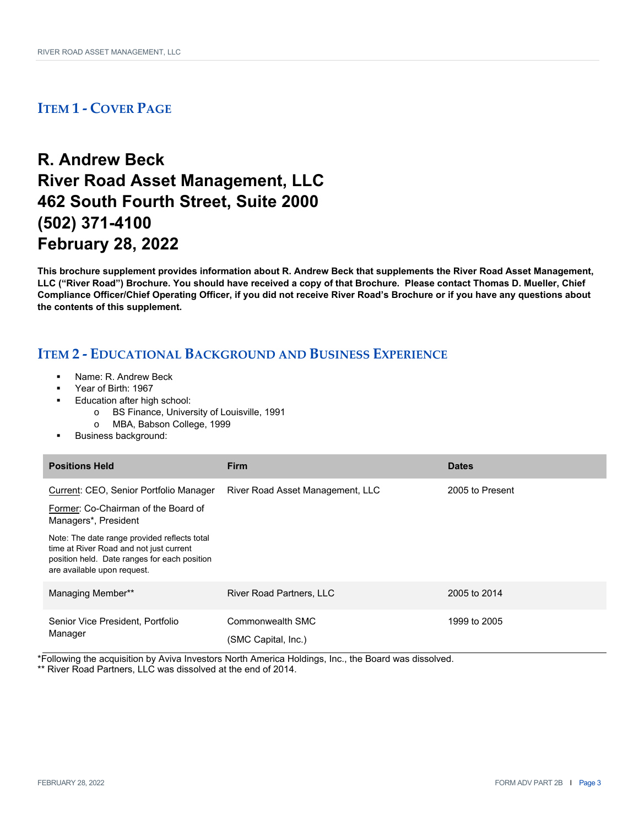## **R. Andrew Beck River Road Asset Management, LLC 462 South Fourth Street, Suite 2000 (502) 371-4100 February 28, 2022**

**This brochure supplement provides information about R. Andrew Beck that supplements the River Road Asset Management, LLC ("River Road") Brochure. You should have received a copy of that Brochure. Please contact Thomas D. Mueller, Chief Compliance Officer/Chief Operating Officer, if you did not receive River Road's Brochure or if you have any questions about the contents of this supplement.** 

### **ITEM 2 ‐ EDUCATIONAL BACKGROUND AND BUSINESS EXPERIENCE**

- Name: R. Andrew Beck
- Year of Birth: 1967
- Education after high school:
	- o BS Finance, University of Louisville, 1991
	- o MBA, Babson College, 1999
- Business background:

| <b>Positions Held</b>                                                                                                                                                  | <b>Firm</b>                             | <b>Dates</b>    |
|------------------------------------------------------------------------------------------------------------------------------------------------------------------------|-----------------------------------------|-----------------|
| Current: CEO, Senior Portfolio Manager                                                                                                                                 | River Road Asset Management, LLC        | 2005 to Present |
| Former: Co-Chairman of the Board of<br>Managers*, President                                                                                                            |                                         |                 |
| Note: The date range provided reflects total<br>time at River Road and not just current<br>position held. Date ranges for each position<br>are available upon request. |                                         |                 |
| Managing Member**                                                                                                                                                      | <b>River Road Partners, LLC</b>         | 2005 to 2014    |
| Senior Vice President, Portfolio<br>Manager                                                                                                                            | Commonwealth SMC<br>(SMC Capital, Inc.) | 1999 to 2005    |

\*Following the acquisition by Aviva Investors North America Holdings, Inc., the Board was dissolved.

\*\* River Road Partners, LLC was dissolved at the end of 2014.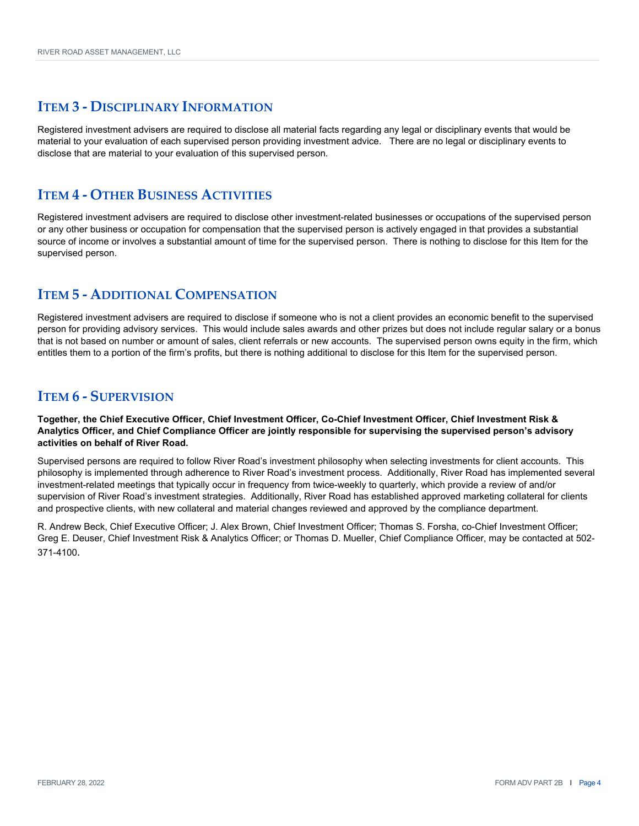Registered investment advisers are required to disclose all material facts regarding any legal or disciplinary events that would be material to your evaluation of each supervised person providing investment advice. There are no legal or disciplinary events to disclose that are material to your evaluation of this supervised person.

#### **ITEM 4 ‐ OTHER BUSINESS ACTIVITIES**

Registered investment advisers are required to disclose other investment-related businesses or occupations of the supervised person or any other business or occupation for compensation that the supervised person is actively engaged in that provides a substantial source of income or involves a substantial amount of time for the supervised person. There is nothing to disclose for this Item for the supervised person.

### **ITEM 5 ‐ ADDITIONAL COMPENSATION**

Registered investment advisers are required to disclose if someone who is not a client provides an economic benefit to the supervised person for providing advisory services. This would include sales awards and other prizes but does not include regular salary or a bonus that is not based on number or amount of sales, client referrals or new accounts. The supervised person owns equity in the firm, which entitles them to a portion of the firm's profits, but there is nothing additional to disclose for this Item for the supervised person.

### **ITEM 6 ‐ SUPERVISION**

**Together, the Chief Executive Officer, Chief Investment Officer, Co-Chief Investment Officer, Chief Investment Risk & Analytics Officer, and Chief Compliance Officer are jointly responsible for supervising the supervised person's advisory activities on behalf of River Road.**

Supervised persons are required to follow River Road's investment philosophy when selecting investments for client accounts. This philosophy is implemented through adherence to River Road's investment process. Additionally, River Road has implemented several investment-related meetings that typically occur in frequency from twice-weekly to quarterly, which provide a review of and/or supervision of River Road's investment strategies. Additionally, River Road has established approved marketing collateral for clients and prospective clients, with new collateral and material changes reviewed and approved by the compliance department.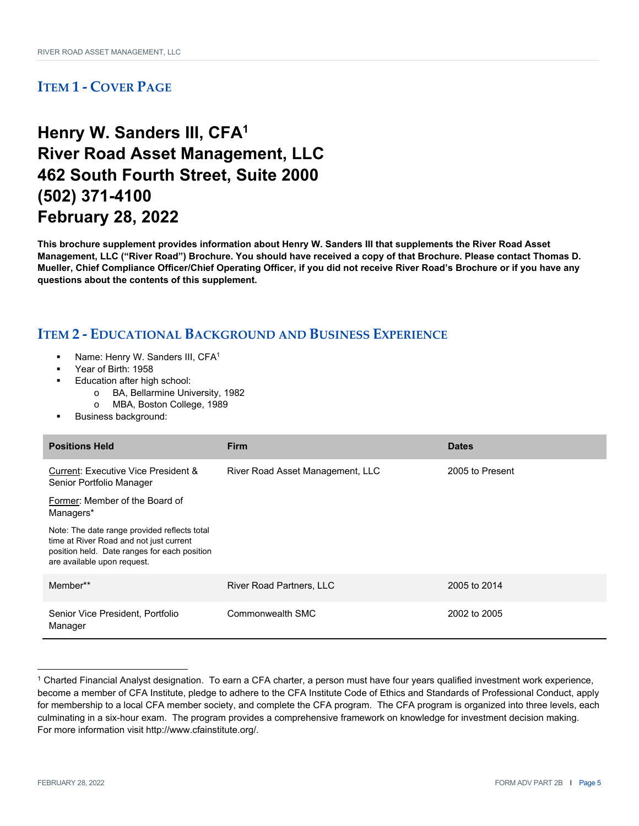## **Henry W. Sanders III, CFA1 River Road Asset Management, LLC 462 South Fourth Street, Suite 2000 (502) 371-4100 February 28, 2022**

**This brochure supplement provides information about Henry W. Sanders III that supplements the River Road Asset Management, LLC ("River Road") Brochure. You should have received a copy of that Brochure. Please contact Thomas D. Mueller, Chief Compliance Officer/Chief Operating Officer, if you did not receive River Road's Brochure or if you have any questions about the contents of this supplement.** 

- Name: Henry W. Sanders III, CFA1
- Year of Birth: 1958
- Education after high school:
	- o BA, Bellarmine University, 1982
	- o MBA, Boston College, 1989
- Business background:

| <b>Positions Held</b>                                                                                                                                                  | <b>Firm</b>                      | <b>Dates</b>    |
|------------------------------------------------------------------------------------------------------------------------------------------------------------------------|----------------------------------|-----------------|
| Current: Executive Vice President &<br>Senior Portfolio Manager                                                                                                        | River Road Asset Management, LLC | 2005 to Present |
| Former: Member of the Board of<br>Managers*                                                                                                                            |                                  |                 |
| Note: The date range provided reflects total<br>time at River Road and not just current<br>position held. Date ranges for each position<br>are available upon request. |                                  |                 |
| Member**                                                                                                                                                               | <b>River Road Partners, LLC</b>  | 2005 to 2014    |
| Senior Vice President, Portfolio<br>Manager                                                                                                                            | Commonwealth SMC                 | 2002 to 2005    |

<sup>1</sup> Charted Financial Analyst designation. To earn a CFA charter, a person must have four years qualified investment work experience, become a member of CFA Institute, pledge to adhere to the CFA Institute Code of Ethics and Standards of Professional Conduct, apply for membership to a local CFA member society, and complete the CFA program. The CFA program is organized into three levels, each culminating in a six-hour exam. The program provides a comprehensive framework on knowledge for investment decision making. For more information visit http://www.cfainstitute.org/.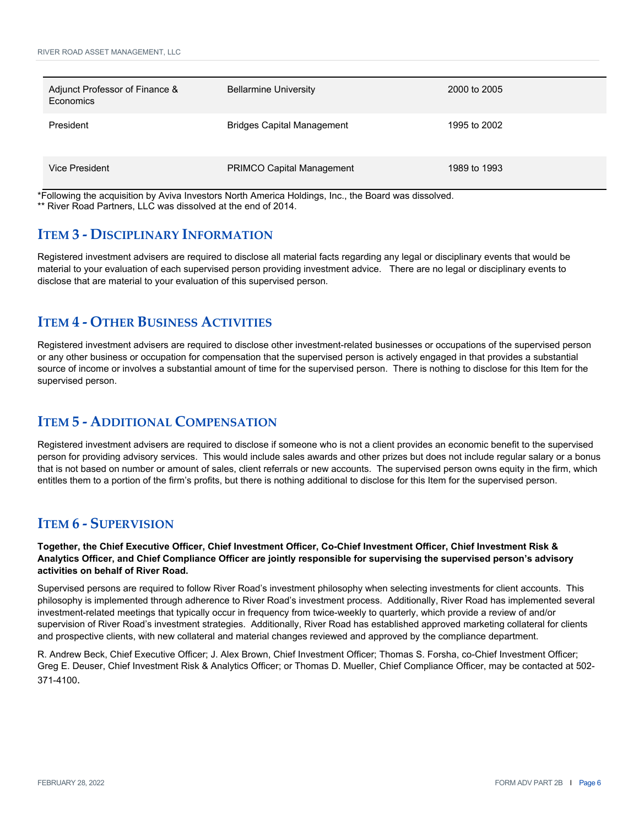| Adjunct Professor of Finance &<br>Economics | <b>Bellarmine University</b>      | 2000 to 2005 |
|---------------------------------------------|-----------------------------------|--------------|
| President                                   | <b>Bridges Capital Management</b> | 1995 to 2002 |
| <b>Vice President</b>                       | <b>PRIMCO Capital Management</b>  | 1989 to 1993 |

\*Following the acquisition by Aviva Investors North America Holdings, Inc., the Board was dissolved. \*\* River Road Partners, LLC was dissolved at the end of 2014.

### **ITEM 3 ‐ DISCIPLINARY INFORMATION**

Registered investment advisers are required to disclose all material facts regarding any legal or disciplinary events that would be material to your evaluation of each supervised person providing investment advice. There are no legal or disciplinary events to disclose that are material to your evaluation of this supervised person.

### **ITEM 4 ‐ OTHER BUSINESS ACTIVITIES**

Registered investment advisers are required to disclose other investment-related businesses or occupations of the supervised person or any other business or occupation for compensation that the supervised person is actively engaged in that provides a substantial source of income or involves a substantial amount of time for the supervised person. There is nothing to disclose for this Item for the supervised person.

### **ITEM 5 ‐ ADDITIONAL COMPENSATION**

Registered investment advisers are required to disclose if someone who is not a client provides an economic benefit to the supervised person for providing advisory services. This would include sales awards and other prizes but does not include regular salary or a bonus that is not based on number or amount of sales, client referrals or new accounts. The supervised person owns equity in the firm, which entitles them to a portion of the firm's profits, but there is nothing additional to disclose for this Item for the supervised person.

### **ITEM 6 ‐ SUPERVISION**

**Together, the Chief Executive Officer, Chief Investment Officer, Co-Chief Investment Officer, Chief Investment Risk & Analytics Officer, and Chief Compliance Officer are jointly responsible for supervising the supervised person's advisory activities on behalf of River Road.**

Supervised persons are required to follow River Road's investment philosophy when selecting investments for client accounts. This philosophy is implemented through adherence to River Road's investment process. Additionally, River Road has implemented several investment-related meetings that typically occur in frequency from twice-weekly to quarterly, which provide a review of and/or supervision of River Road's investment strategies. Additionally, River Road has established approved marketing collateral for clients and prospective clients, with new collateral and material changes reviewed and approved by the compliance department.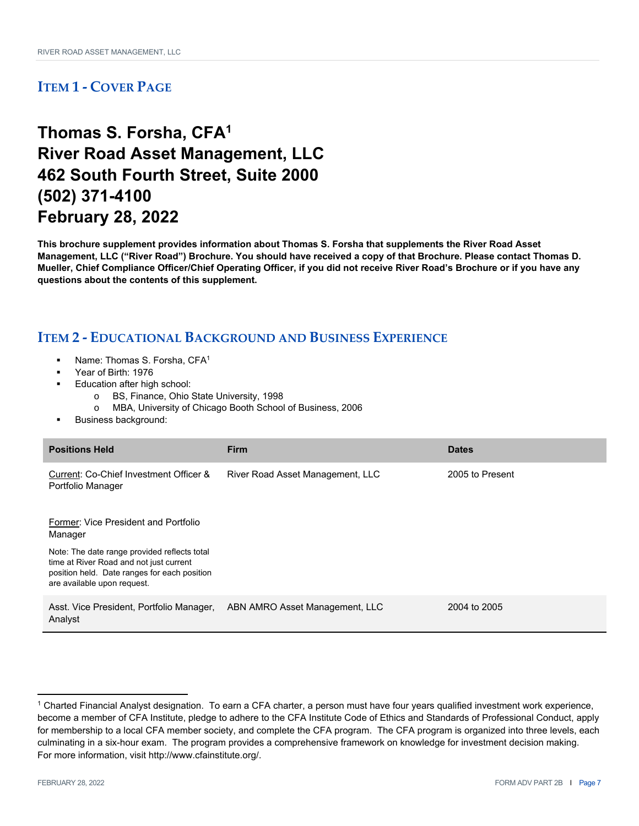## **Thomas S. Forsha, CFA1 River Road Asset Management, LLC 462 South Fourth Street, Suite 2000 (502) 371-4100 February 28, 2022**

**This brochure supplement provides information about Thomas S. Forsha that supplements the River Road Asset Management, LLC ("River Road") Brochure. You should have received a copy of that Brochure. Please contact Thomas D. Mueller, Chief Compliance Officer/Chief Operating Officer, if you did not receive River Road's Brochure or if you have any questions about the contents of this supplement.** 

- Name: Thomas S. Forsha, CFA1
- Year of Birth: 1976
- Education after high school:
	- o BS, Finance, Ohio State University, 1998
	- o MBA, University of Chicago Booth School of Business, 2006
- Business background:

| <b>Positions Held</b>                                                                                                                                                  | <b>Firm</b>                      | <b>Dates</b>    |
|------------------------------------------------------------------------------------------------------------------------------------------------------------------------|----------------------------------|-----------------|
| Current: Co-Chief Investment Officer &<br>Portfolio Manager                                                                                                            | River Road Asset Management, LLC | 2005 to Present |
| Former: Vice President and Portfolio<br>Manager                                                                                                                        |                                  |                 |
| Note: The date range provided reflects total<br>time at River Road and not just current<br>position held. Date ranges for each position<br>are available upon request. |                                  |                 |
| Asst. Vice President, Portfolio Manager,<br>Analyst                                                                                                                    | ABN AMRO Asset Management, LLC   | 2004 to 2005    |

<sup>1</sup> Charted Financial Analyst designation. To earn a CFA charter, a person must have four years qualified investment work experience, become a member of CFA Institute, pledge to adhere to the CFA Institute Code of Ethics and Standards of Professional Conduct, apply for membership to a local CFA member society, and complete the CFA program. The CFA program is organized into three levels, each culminating in a six-hour exam. The program provides a comprehensive framework on knowledge for investment decision making. For more information, visit http://www.cfainstitute.org/.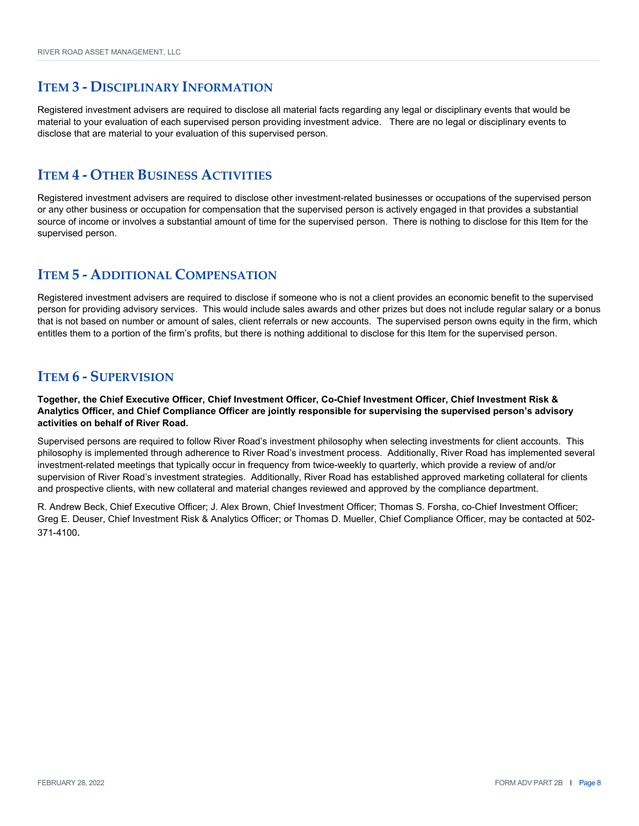Registered investment advisers are required to disclose all material facts regarding any legal or disciplinary events that would be material to your evaluation of each supervised person providing investment advice. There are no legal or disciplinary events to disclose that are material to your evaluation of this supervised person.

#### **ITEM 4 ‐ OTHER BUSINESS ACTIVITIES**

Registered investment advisers are required to disclose other investment-related businesses or occupations of the supervised person or any other business or occupation for compensation that the supervised person is actively engaged in that provides a substantial source of income or involves a substantial amount of time for the supervised person. There is nothing to disclose for this Item for the supervised person.

### **ITEM 5 ‐ ADDITIONAL COMPENSATION**

Registered investment advisers are required to disclose if someone who is not a client provides an economic benefit to the supervised person for providing advisory services. This would include sales awards and other prizes but does not include regular salary or a bonus that is not based on number or amount of sales, client referrals or new accounts. The supervised person owns equity in the firm, which entitles them to a portion of the firm's profits, but there is nothing additional to disclose for this Item for the supervised person.

### **ITEM 6 ‐ SUPERVISION**

**Together, the Chief Executive Officer, Chief Investment Officer, Co-Chief Investment Officer, Chief Investment Risk & Analytics Officer, and Chief Compliance Officer are jointly responsible for supervising the supervised person's advisory activities on behalf of River Road.**

Supervised persons are required to follow River Road's investment philosophy when selecting investments for client accounts. This philosophy is implemented through adherence to River Road's investment process. Additionally, River Road has implemented several investment-related meetings that typically occur in frequency from twice-weekly to quarterly, which provide a review of and/or supervision of River Road's investment strategies. Additionally, River Road has established approved marketing collateral for clients and prospective clients, with new collateral and material changes reviewed and approved by the compliance department.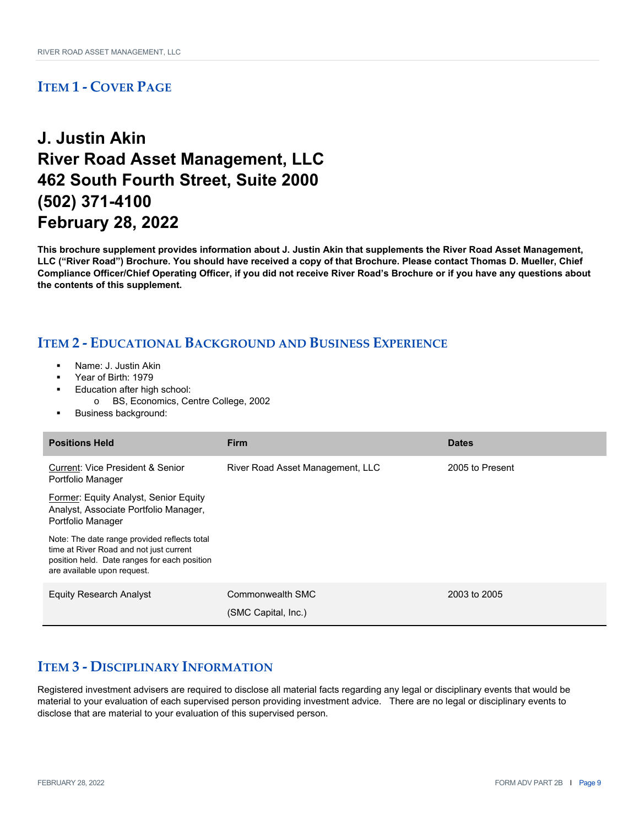## **J. Justin Akin River Road Asset Management, LLC 462 South Fourth Street, Suite 2000 (502) 371-4100 February 28, 2022**

**This brochure supplement provides information about J. Justin Akin that supplements the River Road Asset Management, LLC ("River Road") Brochure. You should have received a copy of that Brochure. Please contact Thomas D. Mueller, Chief Compliance Officer/Chief Operating Officer, if you did not receive River Road's Brochure or if you have any questions about the contents of this supplement.** 

### **ITEM 2 ‐ EDUCATIONAL BACKGROUND AND BUSINESS EXPERIENCE**

- Name: J. Justin Akin
- Year of Birth: 1979
- Education after high school:
	- o BS, Economics, Centre College, 2002
- Business background:

| <b>Positions Held</b>                                                                                                                                                  | <b>Firm</b>                             | <b>Dates</b>    |
|------------------------------------------------------------------------------------------------------------------------------------------------------------------------|-----------------------------------------|-----------------|
| Current: Vice President & Senior<br>Portfolio Manager                                                                                                                  | River Road Asset Management, LLC        | 2005 to Present |
| Former: Equity Analyst, Senior Equity<br>Analyst, Associate Portfolio Manager,<br>Portfolio Manager                                                                    |                                         |                 |
| Note: The date range provided reflects total<br>time at River Road and not just current<br>position held. Date ranges for each position<br>are available upon request. |                                         |                 |
| Equity Research Analyst                                                                                                                                                | Commonwealth SMC<br>(SMC Capital, Inc.) | 2003 to 2005    |

### **ITEM 3 ‐ DISCIPLINARY INFORMATION**

Registered investment advisers are required to disclose all material facts regarding any legal or disciplinary events that would be material to your evaluation of each supervised person providing investment advice. There are no legal or disciplinary events to disclose that are material to your evaluation of this supervised person.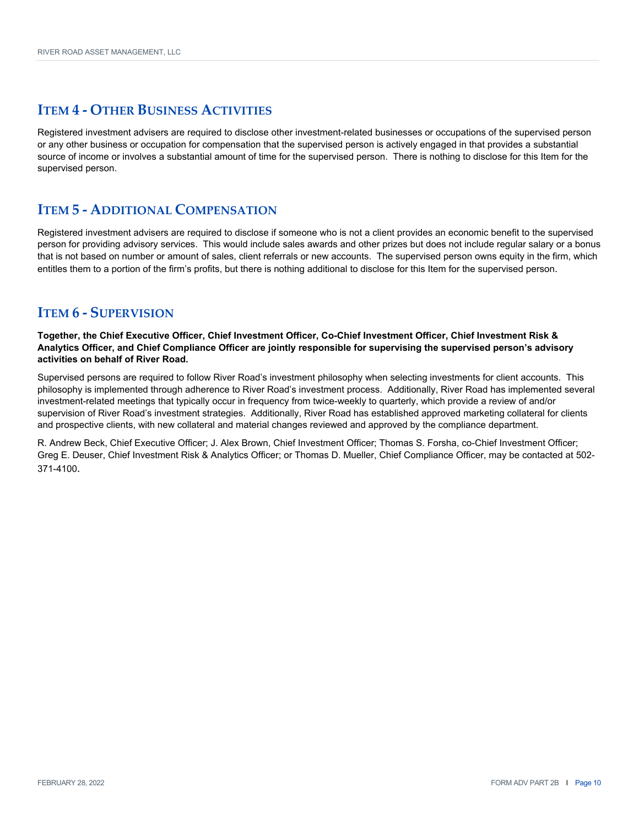### **ITEM 4 ‐ OTHER BUSINESS ACTIVITIES**

Registered investment advisers are required to disclose other investment-related businesses or occupations of the supervised person or any other business or occupation for compensation that the supervised person is actively engaged in that provides a substantial source of income or involves a substantial amount of time for the supervised person. There is nothing to disclose for this Item for the supervised person.

#### **ITEM 5 ‐ ADDITIONAL COMPENSATION**

Registered investment advisers are required to disclose if someone who is not a client provides an economic benefit to the supervised person for providing advisory services. This would include sales awards and other prizes but does not include regular salary or a bonus that is not based on number or amount of sales, client referrals or new accounts. The supervised person owns equity in the firm, which entitles them to a portion of the firm's profits, but there is nothing additional to disclose for this Item for the supervised person.

#### **ITEM 6 ‐ SUPERVISION**

**Together, the Chief Executive Officer, Chief Investment Officer, Co-Chief Investment Officer, Chief Investment Risk & Analytics Officer, and Chief Compliance Officer are jointly responsible for supervising the supervised person's advisory activities on behalf of River Road.**

Supervised persons are required to follow River Road's investment philosophy when selecting investments for client accounts. This philosophy is implemented through adherence to River Road's investment process. Additionally, River Road has implemented several investment-related meetings that typically occur in frequency from twice-weekly to quarterly, which provide a review of and/or supervision of River Road's investment strategies. Additionally, River Road has established approved marketing collateral for clients and prospective clients, with new collateral and material changes reviewed and approved by the compliance department.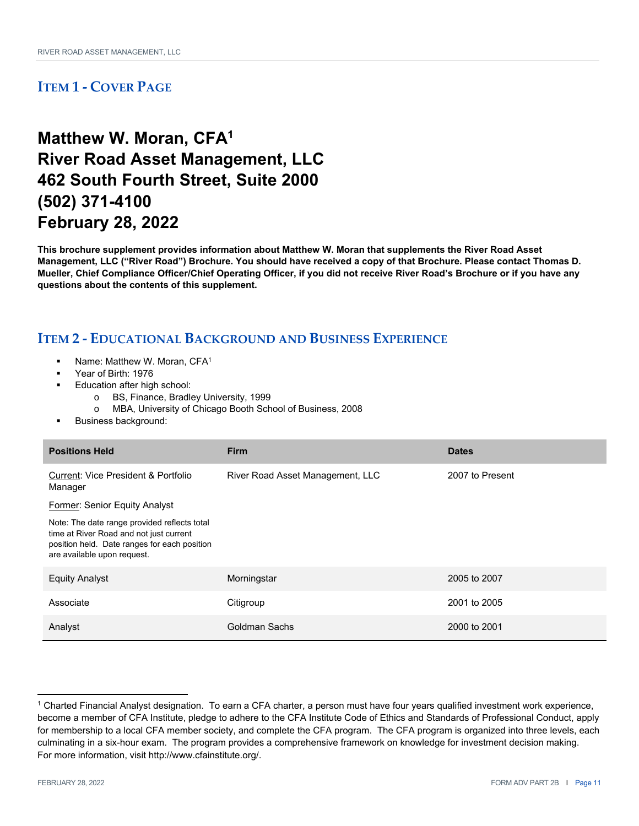## **Matthew W. Moran, CFA1 River Road Asset Management, LLC 462 South Fourth Street, Suite 2000 (502) 371-4100 February 28, 2022**

**This brochure supplement provides information about Matthew W. Moran that supplements the River Road Asset Management, LLC ("River Road") Brochure. You should have received a copy of that Brochure. Please contact Thomas D. Mueller, Chief Compliance Officer/Chief Operating Officer, if you did not receive River Road's Brochure or if you have any questions about the contents of this supplement.** 

- Name: Matthew W. Moran, CFA1
- Year of Birth: 1976
- Education after high school:
	- o BS, Finance, Bradley University, 1999
	- o MBA, University of Chicago Booth School of Business, 2008
- Business background:

| <b>Positions Held</b>                                                                                                                                                  | <b>Firm</b>                      | <b>Dates</b>    |
|------------------------------------------------------------------------------------------------------------------------------------------------------------------------|----------------------------------|-----------------|
| <b>Current: Vice President &amp; Portfolio</b><br>Manager                                                                                                              | River Road Asset Management, LLC | 2007 to Present |
| <b>Former: Senior Equity Analyst</b>                                                                                                                                   |                                  |                 |
| Note: The date range provided reflects total<br>time at River Road and not just current<br>position held. Date ranges for each position<br>are available upon request. |                                  |                 |
| <b>Equity Analyst</b>                                                                                                                                                  | Morningstar                      | 2005 to 2007    |
| Associate                                                                                                                                                              | Citigroup                        | 2001 to 2005    |
| Analyst                                                                                                                                                                | Goldman Sachs                    | 2000 to 2001    |

<sup>1</sup> Charted Financial Analyst designation. To earn a CFA charter, a person must have four years qualified investment work experience, become a member of CFA Institute, pledge to adhere to the CFA Institute Code of Ethics and Standards of Professional Conduct, apply for membership to a local CFA member society, and complete the CFA program. The CFA program is organized into three levels, each culminating in a six-hour exam. The program provides a comprehensive framework on knowledge for investment decision making. For more information, visit http://www.cfainstitute.org/.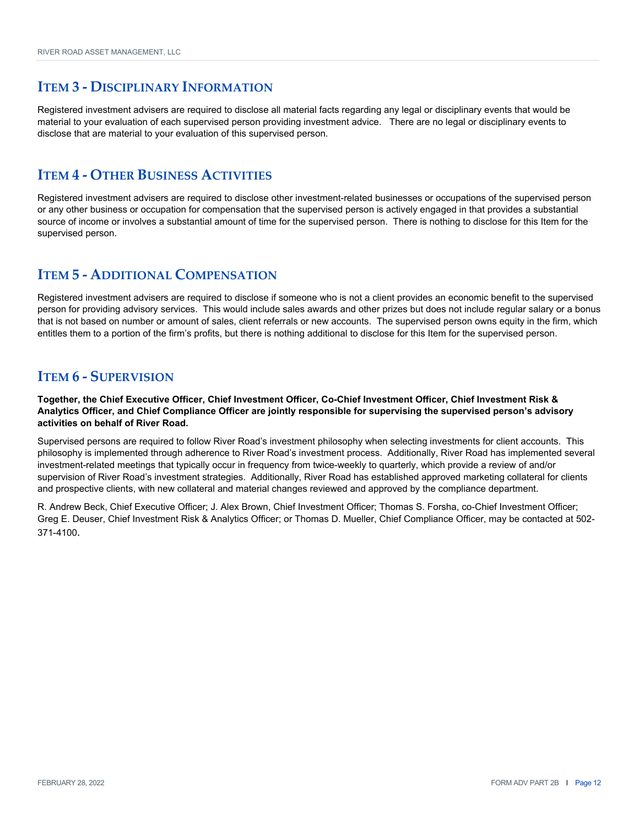Registered investment advisers are required to disclose all material facts regarding any legal or disciplinary events that would be material to your evaluation of each supervised person providing investment advice. There are no legal or disciplinary events to disclose that are material to your evaluation of this supervised person.

#### **ITEM 4 ‐ OTHER BUSINESS ACTIVITIES**

Registered investment advisers are required to disclose other investment-related businesses or occupations of the supervised person or any other business or occupation for compensation that the supervised person is actively engaged in that provides a substantial source of income or involves a substantial amount of time for the supervised person. There is nothing to disclose for this Item for the supervised person.

### **ITEM 5 ‐ ADDITIONAL COMPENSATION**

Registered investment advisers are required to disclose if someone who is not a client provides an economic benefit to the supervised person for providing advisory services. This would include sales awards and other prizes but does not include regular salary or a bonus that is not based on number or amount of sales, client referrals or new accounts. The supervised person owns equity in the firm, which entitles them to a portion of the firm's profits, but there is nothing additional to disclose for this Item for the supervised person.

### **ITEM 6 ‐ SUPERVISION**

**Together, the Chief Executive Officer, Chief Investment Officer, Co-Chief Investment Officer, Chief Investment Risk & Analytics Officer, and Chief Compliance Officer are jointly responsible for supervising the supervised person's advisory activities on behalf of River Road.**

Supervised persons are required to follow River Road's investment philosophy when selecting investments for client accounts. This philosophy is implemented through adherence to River Road's investment process. Additionally, River Road has implemented several investment-related meetings that typically occur in frequency from twice-weekly to quarterly, which provide a review of and/or supervision of River Road's investment strategies. Additionally, River Road has established approved marketing collateral for clients and prospective clients, with new collateral and material changes reviewed and approved by the compliance department.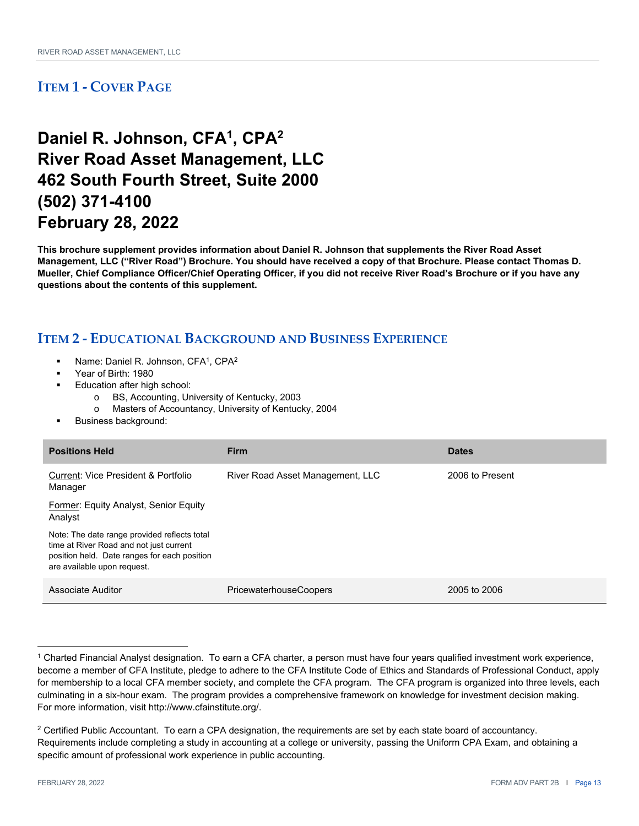## **Daniel R. Johnson, CFA1, CPA2 River Road Asset Management, LLC 462 South Fourth Street, Suite 2000 (502) 371-4100 February 28, 2022**

**This brochure supplement provides information about Daniel R. Johnson that supplements the River Road Asset Management, LLC ("River Road") Brochure. You should have received a copy of that Brochure. Please contact Thomas D. Mueller, Chief Compliance Officer/Chief Operating Officer, if you did not receive River Road's Brochure or if you have any questions about the contents of this supplement.** 

- Name: Daniel R. Johnson, CFA<sup>1</sup>, CPA<sup>2</sup>
- Year of Birth: 1980
- Education after high school:
	- o BS, Accounting, University of Kentucky, 2003
	- o Masters of Accountancy, University of Kentucky, 2004
- Business background:

| <b>Positions Held</b>                                                                                                                                                  | <b>Firm</b>                      | <b>Dates</b>    |
|------------------------------------------------------------------------------------------------------------------------------------------------------------------------|----------------------------------|-----------------|
| Current: Vice President & Portfolio<br>Manager                                                                                                                         | River Road Asset Management, LLC | 2006 to Present |
| Former: Equity Analyst, Senior Equity<br>Analyst                                                                                                                       |                                  |                 |
| Note: The date range provided reflects total<br>time at River Road and not just current<br>position held. Date ranges for each position<br>are available upon request. |                                  |                 |
| Associate Auditor                                                                                                                                                      | <b>PricewaterhouseCoopers</b>    | 2005 to 2006    |

 $1$  Charted Financial Analyst designation. To earn a CFA charter, a person must have four years qualified investment work experience, become a member of CFA Institute, pledge to adhere to the CFA Institute Code of Ethics and Standards of Professional Conduct, apply for membership to a local CFA member society, and complete the CFA program. The CFA program is organized into three levels, each culminating in a six-hour exam. The program provides a comprehensive framework on knowledge for investment decision making. For more information, visit http://www.cfainstitute.org/.

 $2$  Certified Public Accountant. To earn a CPA designation, the requirements are set by each state board of accountancy. Requirements include completing a study in accounting at a college or university, passing the Uniform CPA Exam, and obtaining a specific amount of professional work experience in public accounting.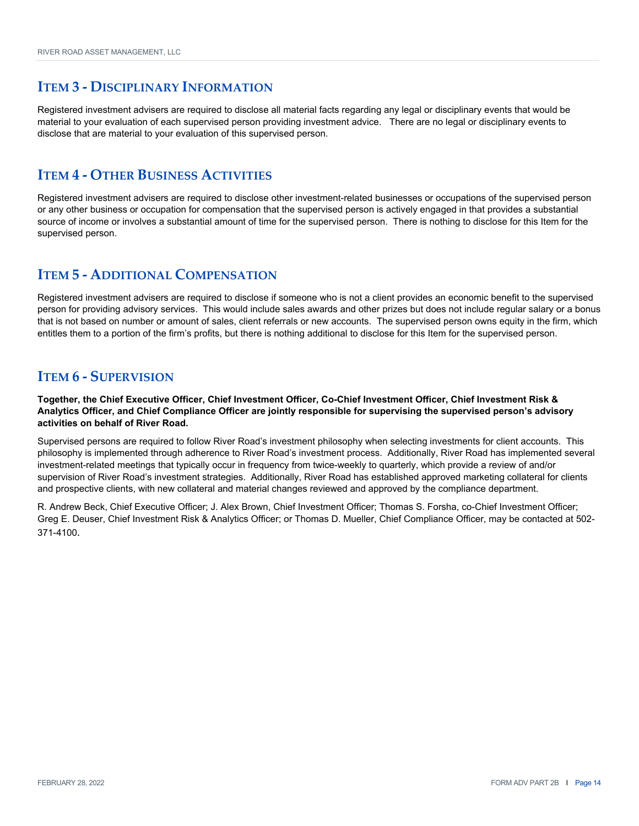Registered investment advisers are required to disclose all material facts regarding any legal or disciplinary events that would be material to your evaluation of each supervised person providing investment advice. There are no legal or disciplinary events to disclose that are material to your evaluation of this supervised person.

#### **ITEM 4 ‐ OTHER BUSINESS ACTIVITIES**

Registered investment advisers are required to disclose other investment-related businesses or occupations of the supervised person or any other business or occupation for compensation that the supervised person is actively engaged in that provides a substantial source of income or involves a substantial amount of time for the supervised person. There is nothing to disclose for this Item for the supervised person.

### **ITEM 5 ‐ ADDITIONAL COMPENSATION**

Registered investment advisers are required to disclose if someone who is not a client provides an economic benefit to the supervised person for providing advisory services. This would include sales awards and other prizes but does not include regular salary or a bonus that is not based on number or amount of sales, client referrals or new accounts. The supervised person owns equity in the firm, which entitles them to a portion of the firm's profits, but there is nothing additional to disclose for this Item for the supervised person.

### **ITEM 6 ‐ SUPERVISION**

**Together, the Chief Executive Officer, Chief Investment Officer, Co-Chief Investment Officer, Chief Investment Risk & Analytics Officer, and Chief Compliance Officer are jointly responsible for supervising the supervised person's advisory activities on behalf of River Road.**

Supervised persons are required to follow River Road's investment philosophy when selecting investments for client accounts. This philosophy is implemented through adherence to River Road's investment process. Additionally, River Road has implemented several investment-related meetings that typically occur in frequency from twice-weekly to quarterly, which provide a review of and/or supervision of River Road's investment strategies. Additionally, River Road has established approved marketing collateral for clients and prospective clients, with new collateral and material changes reviewed and approved by the compliance department.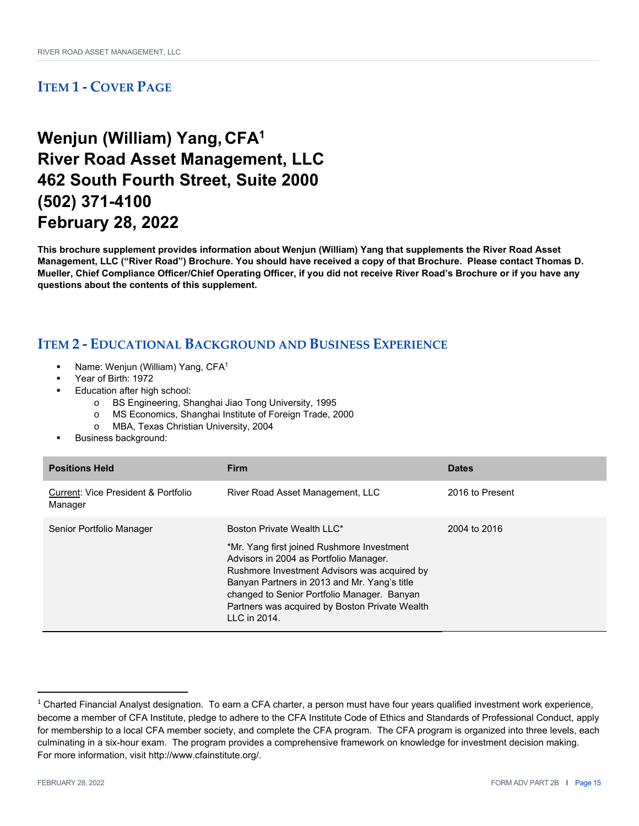## **Wenjun (William) Yang, CFA1 River Road Asset Management, LLC 462 South Fourth Street, Suite 2000 (502) 371-4100 February 28, 2022**

**This brochure supplement provides information about Wenjun (William) Yang that supplements the River Road Asset Management, LLC ("River Road") Brochure. You should have received a copy of that Brochure. Please contact Thomas D. Mueller, Chief Compliance Officer/Chief Operating Officer, if you did not receive River Road's Brochure or if you have any questions about the contents of this supplement.** 

- Name: Wenjun (William) Yang, CFA1
- Year of Birth: 1972
	- Education after high school:
		- o BS Engineering, Shanghai Jiao Tong University, 1995
		- o MS Economics, Shanghai Institute of Foreign Trade, 2000
		- o MBA, Texas Christian University, 2004
- Business background:

| <b>Positions Held</b>                                     | <b>Firm</b>                                                                                                                                                                                                                                                                                                                         | <b>Dates</b>    |
|-----------------------------------------------------------|-------------------------------------------------------------------------------------------------------------------------------------------------------------------------------------------------------------------------------------------------------------------------------------------------------------------------------------|-----------------|
| <b>Current: Vice President &amp; Portfolio</b><br>Manager | River Road Asset Management, LLC                                                                                                                                                                                                                                                                                                    | 2016 to Present |
| Senior Portfolio Manager                                  | Boston Private Wealth LLC*<br>*Mr. Yang first joined Rushmore Investment<br>Advisors in 2004 as Portfolio Manager.<br>Rushmore Investment Advisors was acquired by<br>Banyan Partners in 2013 and Mr. Yang's title<br>changed to Senior Portfolio Manager. Banyan<br>Partners was acquired by Boston Private Wealth<br>LLC in 2014. | 2004 to 2016    |

 $1$  Charted Financial Analyst designation. To earn a CFA charter, a person must have four years qualified investment work experience, become a member of CFA Institute, pledge to adhere to the CFA Institute Code of Ethics and Standards of Professional Conduct, apply for membership to a local CFA member society, and complete the CFA program. The CFA program is organized into three levels, each culminating in a six-hour exam. The program provides a comprehensive framework on knowledge for investment decision making. For more information, visit http://www.cfainstitute.org/.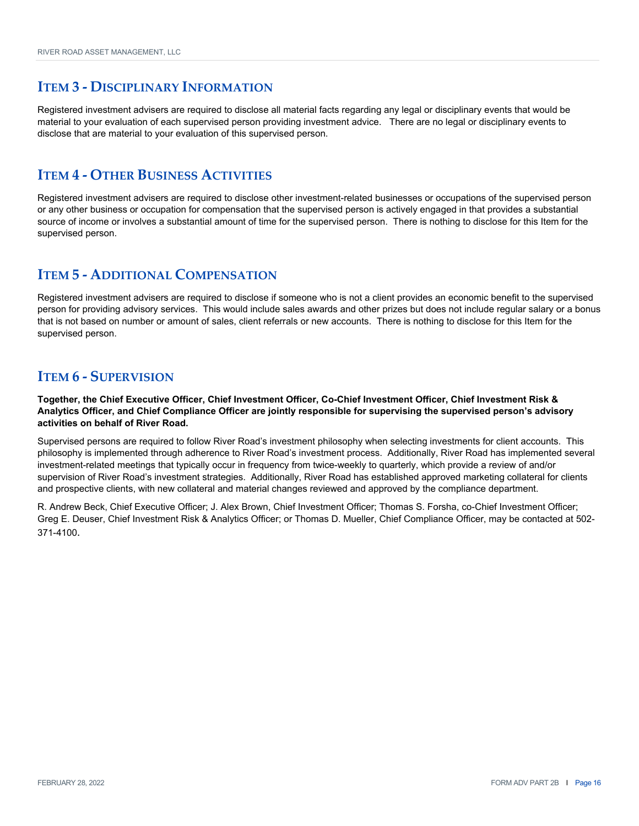Registered investment advisers are required to disclose all material facts regarding any legal or disciplinary events that would be material to your evaluation of each supervised person providing investment advice. There are no legal or disciplinary events to disclose that are material to your evaluation of this supervised person.

#### **ITEM 4 ‐ OTHER BUSINESS ACTIVITIES**

Registered investment advisers are required to disclose other investment-related businesses or occupations of the supervised person or any other business or occupation for compensation that the supervised person is actively engaged in that provides a substantial source of income or involves a substantial amount of time for the supervised person. There is nothing to disclose for this Item for the supervised person.

### **ITEM 5 ‐ ADDITIONAL COMPENSATION**

Registered investment advisers are required to disclose if someone who is not a client provides an economic benefit to the supervised person for providing advisory services. This would include sales awards and other prizes but does not include regular salary or a bonus that is not based on number or amount of sales, client referrals or new accounts. There is nothing to disclose for this Item for the supervised person.

### **ITEM 6 ‐ SUPERVISION**

**Together, the Chief Executive Officer, Chief Investment Officer, Co-Chief Investment Officer, Chief Investment Risk & Analytics Officer, and Chief Compliance Officer are jointly responsible for supervising the supervised person's advisory activities on behalf of River Road.**

Supervised persons are required to follow River Road's investment philosophy when selecting investments for client accounts. This philosophy is implemented through adherence to River Road's investment process. Additionally, River Road has implemented several investment-related meetings that typically occur in frequency from twice-weekly to quarterly, which provide a review of and/or supervision of River Road's investment strategies. Additionally, River Road has established approved marketing collateral for clients and prospective clients, with new collateral and material changes reviewed and approved by the compliance department.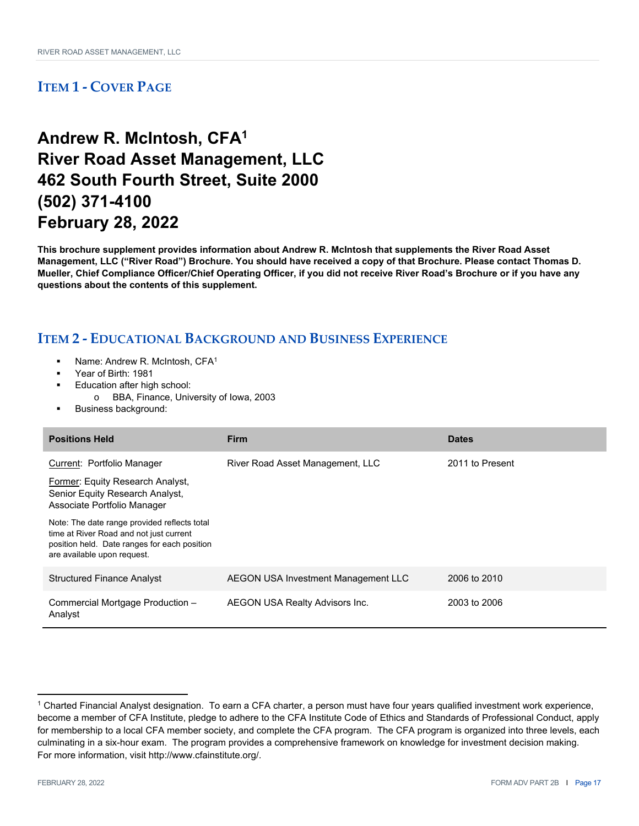## **Andrew R. McIntosh, CFA1 River Road Asset Management, LLC 462 South Fourth Street, Suite 2000 (502) 371-4100 February 28, 2022**

**This brochure supplement provides information about Andrew R. McIntosh that supplements the River Road Asset Management, LLC ("River Road") Brochure. You should have received a copy of that Brochure. Please contact Thomas D. Mueller, Chief Compliance Officer/Chief Operating Officer, if you did not receive River Road's Brochure or if you have any questions about the contents of this supplement.** 

- Name: Andrew R. McIntosh, CFA<sup>1</sup>
- Year of Birth: 1981
- Education after high school:
- o BBA, Finance, University of Iowa, 2003
- Business background:

| <b>Positions Held</b>                                                                                                                                                  | <b>Firm</b>                         | <b>Dates</b>    |
|------------------------------------------------------------------------------------------------------------------------------------------------------------------------|-------------------------------------|-----------------|
| Current: Portfolio Manager                                                                                                                                             | River Road Asset Management, LLC    | 2011 to Present |
| Former: Equity Research Analyst,<br>Senior Equity Research Analyst,<br>Associate Portfolio Manager                                                                     |                                     |                 |
| Note: The date range provided reflects total<br>time at River Road and not just current<br>position held. Date ranges for each position<br>are available upon request. |                                     |                 |
| <b>Structured Finance Analyst</b>                                                                                                                                      | AEGON USA Investment Management LLC | 2006 to 2010    |
| Commercial Mortgage Production -<br>Analyst                                                                                                                            | AEGON USA Realty Advisors Inc.      | 2003 to 2006    |

<sup>1</sup> Charted Financial Analyst designation. To earn a CFA charter, a person must have four years qualified investment work experience, become a member of CFA Institute, pledge to adhere to the CFA Institute Code of Ethics and Standards of Professional Conduct, apply for membership to a local CFA member society, and complete the CFA program. The CFA program is organized into three levels, each culminating in a six-hour exam. The program provides a comprehensive framework on knowledge for investment decision making. For more information, visit http://www.cfainstitute.org/.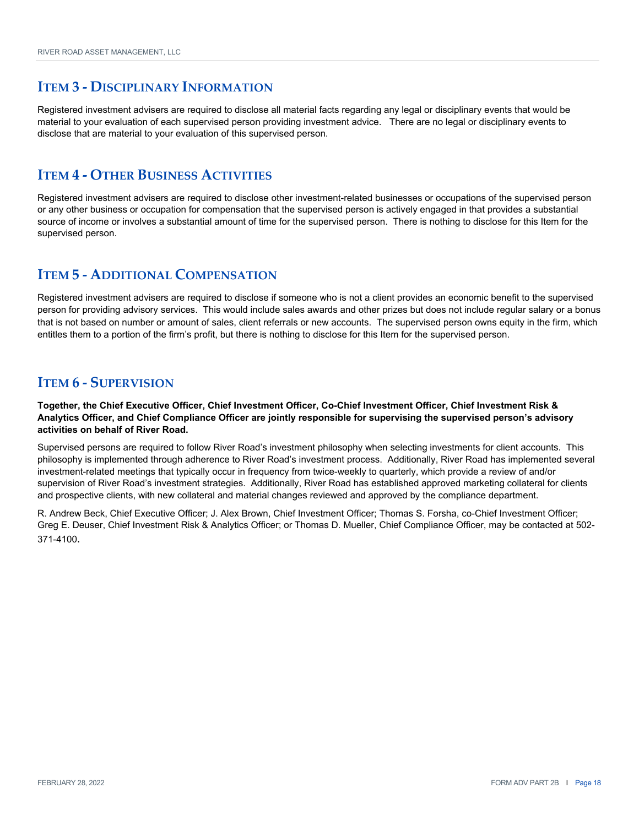Registered investment advisers are required to disclose all material facts regarding any legal or disciplinary events that would be material to your evaluation of each supervised person providing investment advice. There are no legal or disciplinary events to disclose that are material to your evaluation of this supervised person.

#### **ITEM 4 ‐ OTHER BUSINESS ACTIVITIES**

Registered investment advisers are required to disclose other investment-related businesses or occupations of the supervised person or any other business or occupation for compensation that the supervised person is actively engaged in that provides a substantial source of income or involves a substantial amount of time for the supervised person. There is nothing to disclose for this Item for the supervised person.

### **ITEM 5 ‐ ADDITIONAL COMPENSATION**

Registered investment advisers are required to disclose if someone who is not a client provides an economic benefit to the supervised person for providing advisory services. This would include sales awards and other prizes but does not include regular salary or a bonus that is not based on number or amount of sales, client referrals or new accounts. The supervised person owns equity in the firm, which entitles them to a portion of the firm's profit, but there is nothing to disclose for this Item for the supervised person.

### **ITEM 6 ‐ SUPERVISION**

**Together, the Chief Executive Officer, Chief Investment Officer, Co-Chief Investment Officer, Chief Investment Risk & Analytics Officer, and Chief Compliance Officer are jointly responsible for supervising the supervised person's advisory activities on behalf of River Road.**

Supervised persons are required to follow River Road's investment philosophy when selecting investments for client accounts. This philosophy is implemented through adherence to River Road's investment process. Additionally, River Road has implemented several investment-related meetings that typically occur in frequency from twice-weekly to quarterly, which provide a review of and/or supervision of River Road's investment strategies. Additionally, River Road has established approved marketing collateral for clients and prospective clients, with new collateral and material changes reviewed and approved by the compliance department.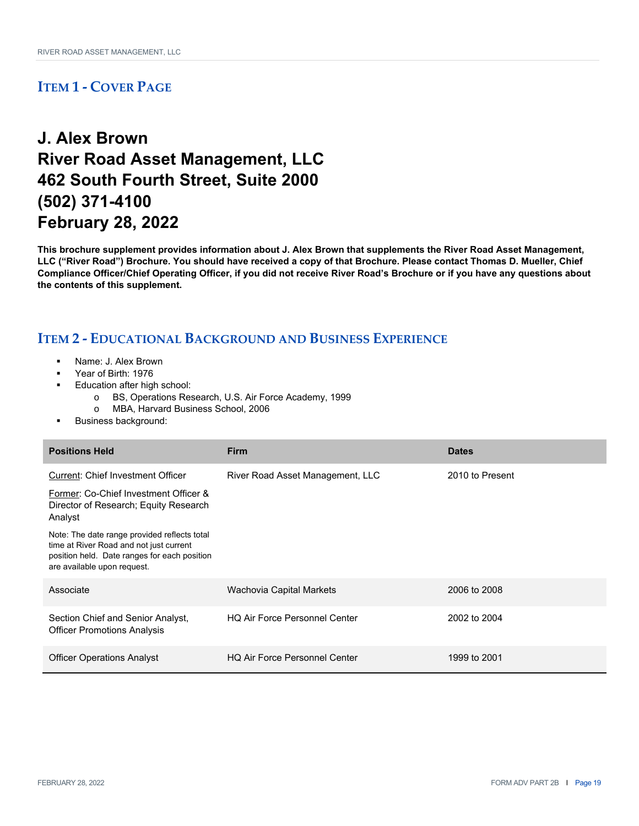## **J. Alex Brown River Road Asset Management, LLC 462 South Fourth Street, Suite 2000 (502) 371-4100 February 28, 2022**

**This brochure supplement provides information about J. Alex Brown that supplements the River Road Asset Management, LLC ("River Road") Brochure. You should have received a copy of that Brochure. Please contact Thomas D. Mueller, Chief Compliance Officer/Chief Operating Officer, if you did not receive River Road's Brochure or if you have any questions about the contents of this supplement.** 

- Name: J. Alex Brown
- Year of Birth: 1976
- Education after high school:
	- o BS, Operations Research, U.S. Air Force Academy, 1999
	- o MBA, Harvard Business School, 2006
- Business background:

| <b>Positions Held</b>                                                                                                                                                  | <b>Firm</b>                          | <b>Dates</b>    |
|------------------------------------------------------------------------------------------------------------------------------------------------------------------------|--------------------------------------|-----------------|
| <b>Current: Chief Investment Officer</b>                                                                                                                               | River Road Asset Management, LLC     | 2010 to Present |
| Former: Co-Chief Investment Officer &<br>Director of Research; Equity Research<br>Analyst                                                                              |                                      |                 |
| Note: The date range provided reflects total<br>time at River Road and not just current<br>position held. Date ranges for each position<br>are available upon request. |                                      |                 |
| Associate                                                                                                                                                              | Wachovia Capital Markets             | 2006 to 2008    |
| Section Chief and Senior Analyst,<br><b>Officer Promotions Analysis</b>                                                                                                | <b>HQ Air Force Personnel Center</b> | 2002 to 2004    |
| <b>Officer Operations Analyst</b>                                                                                                                                      | <b>HQ Air Force Personnel Center</b> | 1999 to 2001    |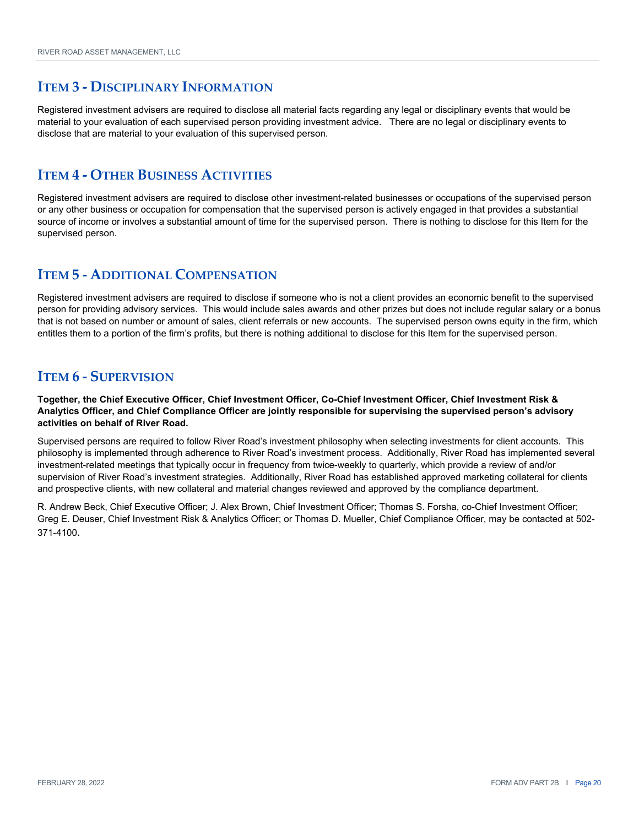Registered investment advisers are required to disclose all material facts regarding any legal or disciplinary events that would be material to your evaluation of each supervised person providing investment advice. There are no legal or disciplinary events to disclose that are material to your evaluation of this supervised person.

#### **ITEM 4 ‐ OTHER BUSINESS ACTIVITIES**

Registered investment advisers are required to disclose other investment-related businesses or occupations of the supervised person or any other business or occupation for compensation that the supervised person is actively engaged in that provides a substantial source of income or involves a substantial amount of time for the supervised person. There is nothing to disclose for this Item for the supervised person.

### **ITEM 5 ‐ ADDITIONAL COMPENSATION**

Registered investment advisers are required to disclose if someone who is not a client provides an economic benefit to the supervised person for providing advisory services. This would include sales awards and other prizes but does not include regular salary or a bonus that is not based on number or amount of sales, client referrals or new accounts. The supervised person owns equity in the firm, which entitles them to a portion of the firm's profits, but there is nothing additional to disclose for this Item for the supervised person.

### **ITEM 6 ‐ SUPERVISION**

**Together, the Chief Executive Officer, Chief Investment Officer, Co-Chief Investment Officer, Chief Investment Risk & Analytics Officer, and Chief Compliance Officer are jointly responsible for supervising the supervised person's advisory activities on behalf of River Road.**

Supervised persons are required to follow River Road's investment philosophy when selecting investments for client accounts. This philosophy is implemented through adherence to River Road's investment process. Additionally, River Road has implemented several investment-related meetings that typically occur in frequency from twice-weekly to quarterly, which provide a review of and/or supervision of River Road's investment strategies. Additionally, River Road has established approved marketing collateral for clients and prospective clients, with new collateral and material changes reviewed and approved by the compliance department.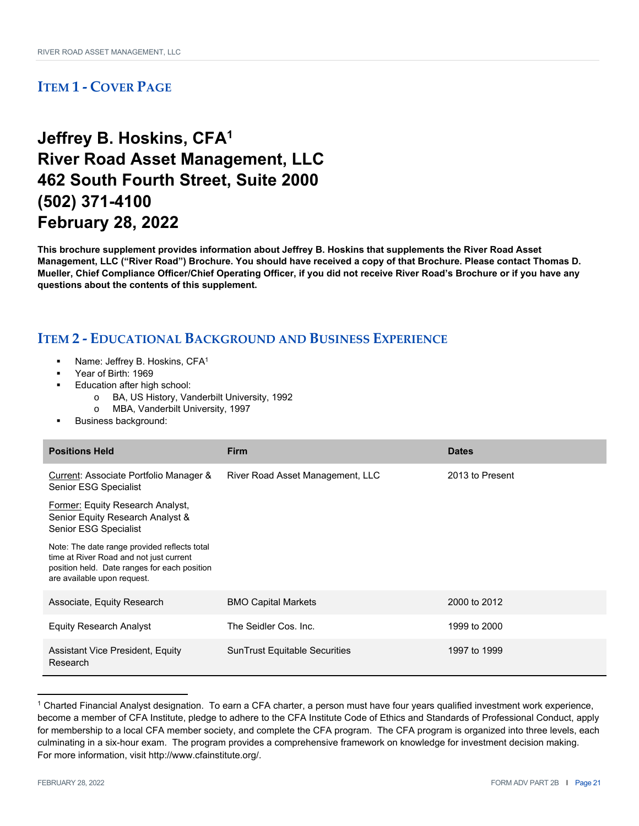## **Jeffrey B. Hoskins, CFA1 River Road Asset Management, LLC 462 South Fourth Street, Suite 2000 (502) 371-4100 February 28, 2022**

**This brochure supplement provides information about Jeffrey B. Hoskins that supplements the River Road Asset Management, LLC ("River Road") Brochure. You should have received a copy of that Brochure. Please contact Thomas D. Mueller, Chief Compliance Officer/Chief Operating Officer, if you did not receive River Road's Brochure or if you have any questions about the contents of this supplement.** 

- Name: Jeffrey B. Hoskins, CFA1
- Year of Birth: 1969
- Education after high school:
	- o BA, US History, Vanderbilt University, 1992
	- o MBA, Vanderbilt University, 1997
- Business background:

| <b>Positions Held</b>                                                                                                                                                  | <b>Firm</b>                          | <b>Dates</b>    |
|------------------------------------------------------------------------------------------------------------------------------------------------------------------------|--------------------------------------|-----------------|
| Current: Associate Portfolio Manager &<br>Senior ESG Specialist                                                                                                        | River Road Asset Management, LLC     | 2013 to Present |
| Former: Equity Research Analyst,<br>Senior Equity Research Analyst &<br><b>Senior ESG Specialist</b>                                                                   |                                      |                 |
| Note: The date range provided reflects total<br>time at River Road and not just current<br>position held. Date ranges for each position<br>are available upon request. |                                      |                 |
| Associate, Equity Research                                                                                                                                             | <b>BMO Capital Markets</b>           | 2000 to 2012    |
| <b>Equity Research Analyst</b>                                                                                                                                         | The Seidler Cos. Inc.                | 1999 to 2000    |
| Assistant Vice President, Equity<br>Research                                                                                                                           | <b>SunTrust Equitable Securities</b> | 1997 to 1999    |

<sup>1</sup> Charted Financial Analyst designation. To earn a CFA charter, a person must have four years qualified investment work experience, become a member of CFA Institute, pledge to adhere to the CFA Institute Code of Ethics and Standards of Professional Conduct, apply for membership to a local CFA member society, and complete the CFA program. The CFA program is organized into three levels, each culminating in a six-hour exam. The program provides a comprehensive framework on knowledge for investment decision making. For more information, visit http://www.cfainstitute.org/.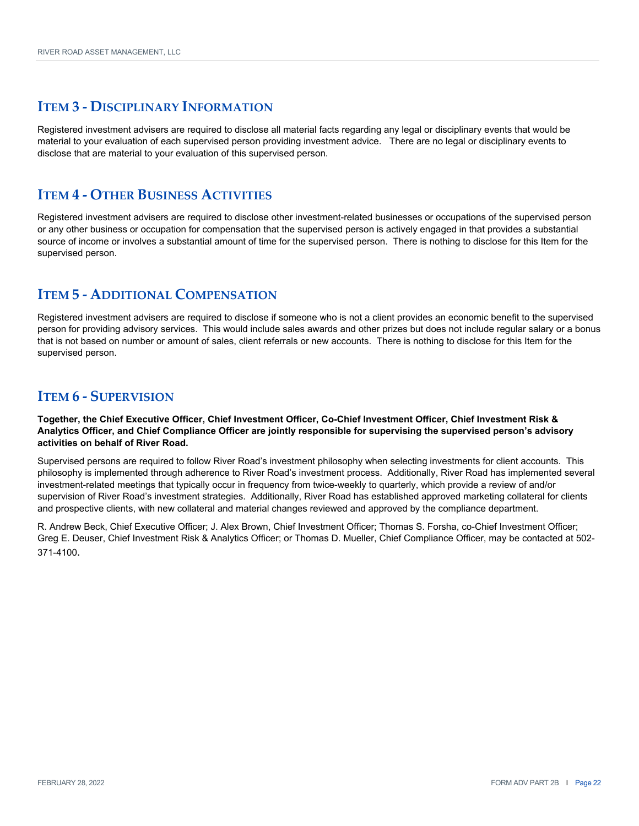Registered investment advisers are required to disclose all material facts regarding any legal or disciplinary events that would be material to your evaluation of each supervised person providing investment advice. There are no legal or disciplinary events to disclose that are material to your evaluation of this supervised person.

#### **ITEM 4 ‐ OTHER BUSINESS ACTIVITIES**

Registered investment advisers are required to disclose other investment-related businesses or occupations of the supervised person or any other business or occupation for compensation that the supervised person is actively engaged in that provides a substantial source of income or involves a substantial amount of time for the supervised person. There is nothing to disclose for this Item for the supervised person.

### **ITEM 5 ‐ ADDITIONAL COMPENSATION**

Registered investment advisers are required to disclose if someone who is not a client provides an economic benefit to the supervised person for providing advisory services. This would include sales awards and other prizes but does not include regular salary or a bonus that is not based on number or amount of sales, client referrals or new accounts. There is nothing to disclose for this Item for the supervised person.

### **ITEM 6 ‐ SUPERVISION**

**Together, the Chief Executive Officer, Chief Investment Officer, Co-Chief Investment Officer, Chief Investment Risk & Analytics Officer, and Chief Compliance Officer are jointly responsible for supervising the supervised person's advisory activities on behalf of River Road.**

Supervised persons are required to follow River Road's investment philosophy when selecting investments for client accounts. This philosophy is implemented through adherence to River Road's investment process. Additionally, River Road has implemented several investment-related meetings that typically occur in frequency from twice-weekly to quarterly, which provide a review of and/or supervision of River Road's investment strategies. Additionally, River Road has established approved marketing collateral for clients and prospective clients, with new collateral and material changes reviewed and approved by the compliance department.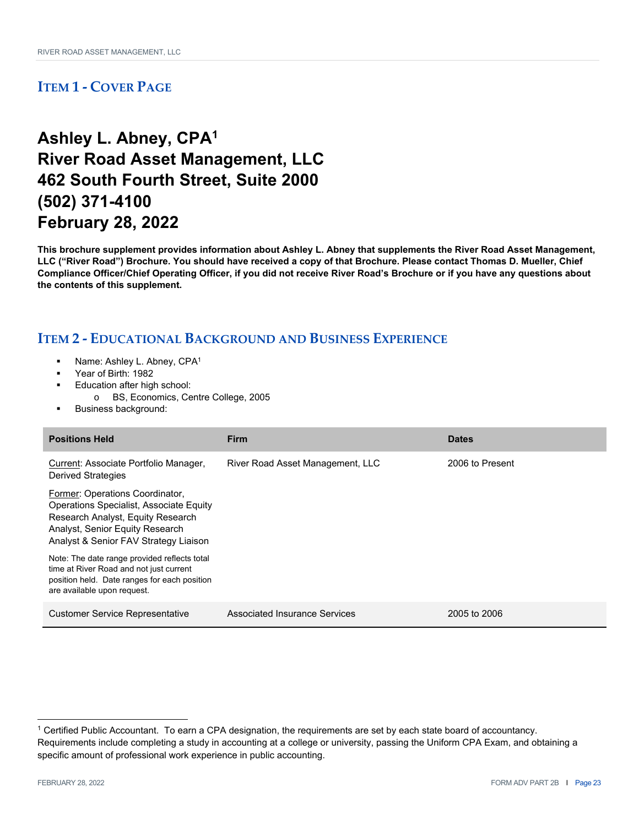## **Ashley L. Abney, CPA1 River Road Asset Management, LLC 462 South Fourth Street, Suite 2000 (502) 371-4100 February 28, 2022**

**This brochure supplement provides information about Ashley L. Abney that supplements the River Road Asset Management, LLC ("River Road") Brochure. You should have received a copy of that Brochure. Please contact Thomas D. Mueller, Chief Compliance Officer/Chief Operating Officer, if you did not receive River Road's Brochure or if you have any questions about the contents of this supplement.** 

- Name: Ashley L. Abney, CPA1
- Year of Birth: 1982
- Education after high school:
- o BS, Economics, Centre College, 2005
- Business background:

| <b>Positions Held</b>                                                                                                                                                                              | <b>Firm</b>                      | <b>Dates</b>    |
|----------------------------------------------------------------------------------------------------------------------------------------------------------------------------------------------------|----------------------------------|-----------------|
| Current: Associate Portfolio Manager,<br><b>Derived Strategies</b>                                                                                                                                 | River Road Asset Management, LLC | 2006 to Present |
| Former: Operations Coordinator,<br><b>Operations Specialist, Associate Equity</b><br>Research Analyst, Equity Research<br>Analyst, Senior Equity Research<br>Analyst & Senior FAV Strategy Liaison |                                  |                 |
| Note: The date range provided reflects total<br>time at River Road and not just current<br>position held. Date ranges for each position<br>are available upon request.                             |                                  |                 |
| <b>Customer Service Representative</b>                                                                                                                                                             | Associated Insurance Services    | 2005 to 2006    |

<sup>1</sup> Certified Public Accountant. To earn a CPA designation, the requirements are set by each state board of accountancy. Requirements include completing a study in accounting at a college or university, passing the Uniform CPA Exam, and obtaining a specific amount of professional work experience in public accounting.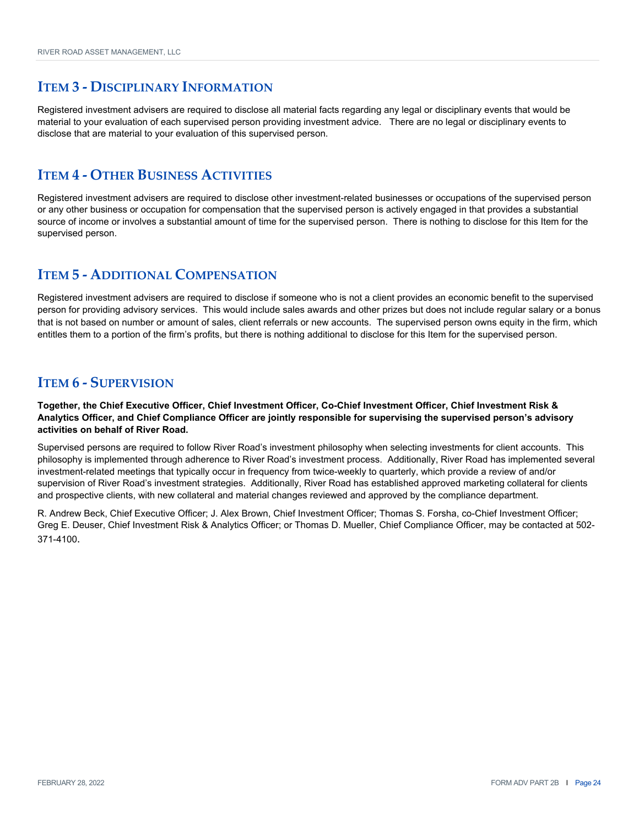Registered investment advisers are required to disclose all material facts regarding any legal or disciplinary events that would be material to your evaluation of each supervised person providing investment advice. There are no legal or disciplinary events to disclose that are material to your evaluation of this supervised person.

#### **ITEM 4 ‐ OTHER BUSINESS ACTIVITIES**

Registered investment advisers are required to disclose other investment-related businesses or occupations of the supervised person or any other business or occupation for compensation that the supervised person is actively engaged in that provides a substantial source of income or involves a substantial amount of time for the supervised person. There is nothing to disclose for this Item for the supervised person.

### **ITEM 5 ‐ ADDITIONAL COMPENSATION**

Registered investment advisers are required to disclose if someone who is not a client provides an economic benefit to the supervised person for providing advisory services. This would include sales awards and other prizes but does not include regular salary or a bonus that is not based on number or amount of sales, client referrals or new accounts. The supervised person owns equity in the firm, which entitles them to a portion of the firm's profits, but there is nothing additional to disclose for this Item for the supervised person.

### **ITEM 6 ‐ SUPERVISION**

**Together, the Chief Executive Officer, Chief Investment Officer, Co-Chief Investment Officer, Chief Investment Risk & Analytics Officer, and Chief Compliance Officer are jointly responsible for supervising the supervised person's advisory activities on behalf of River Road.**

Supervised persons are required to follow River Road's investment philosophy when selecting investments for client accounts. This philosophy is implemented through adherence to River Road's investment process. Additionally, River Road has implemented several investment-related meetings that typically occur in frequency from twice-weekly to quarterly, which provide a review of and/or supervision of River Road's investment strategies. Additionally, River Road has established approved marketing collateral for clients and prospective clients, with new collateral and material changes reviewed and approved by the compliance department.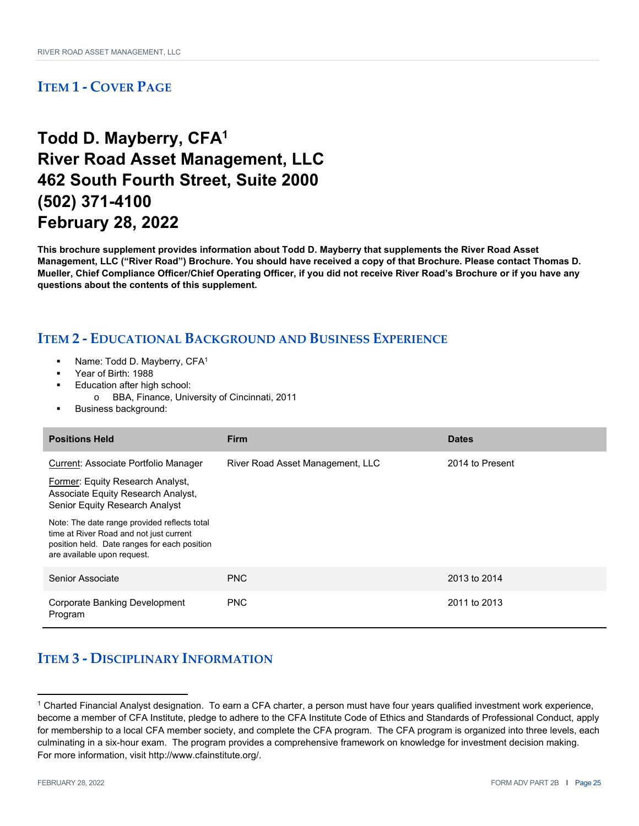## **Todd D. Mayberry, CFA1 River Road Asset Management, LLC 462 South Fourth Street, Suite 2000 (502) 371-4100 February 28, 2022**

**This brochure supplement provides information about Todd D. Mayberry that supplements the River Road Asset Management, LLC ("River Road") Brochure. You should have received a copy of that Brochure. Please contact Thomas D. Mueller, Chief Compliance Officer/Chief Operating Officer, if you did not receive River Road's Brochure or if you have any questions about the contents of this supplement.** 

#### **ITEM 2 ‐ EDUCATIONAL BACKGROUND AND BUSINESS EXPERIENCE**

- Name: Todd D. Mayberry, CFA1
- Year of Birth: 1988
- Education after high school:
- o BBA, Finance, University of Cincinnati, 2011
- Business background:

| <b>Positions Held</b>                                                                                                                                                  | <b>Firm</b>                      | <b>Dates</b>    |
|------------------------------------------------------------------------------------------------------------------------------------------------------------------------|----------------------------------|-----------------|
| Current: Associate Portfolio Manager                                                                                                                                   | River Road Asset Management, LLC | 2014 to Present |
| Former: Equity Research Analyst,<br>Associate Equity Research Analyst,<br>Senior Equity Research Analyst                                                               |                                  |                 |
| Note: The date range provided reflects total<br>time at River Road and not just current<br>position held. Date ranges for each position<br>are available upon request. |                                  |                 |
| Senior Associate                                                                                                                                                       | <b>PNC</b>                       | 2013 to 2014    |
| <b>Corporate Banking Development</b><br>Program                                                                                                                        | <b>PNC</b>                       | 2011 to 2013    |

### **ITEM 3 ‐ DISCIPLINARY INFORMATION**

<sup>1</sup> Charted Financial Analyst designation. To earn a CFA charter, a person must have four years qualified investment work experience, become a member of CFA Institute, pledge to adhere to the CFA Institute Code of Ethics and Standards of Professional Conduct, apply for membership to a local CFA member society, and complete the CFA program. The CFA program is organized into three levels, each culminating in a six-hour exam. The program provides a comprehensive framework on knowledge for investment decision making. For more information, visit http://www.cfainstitute.org/.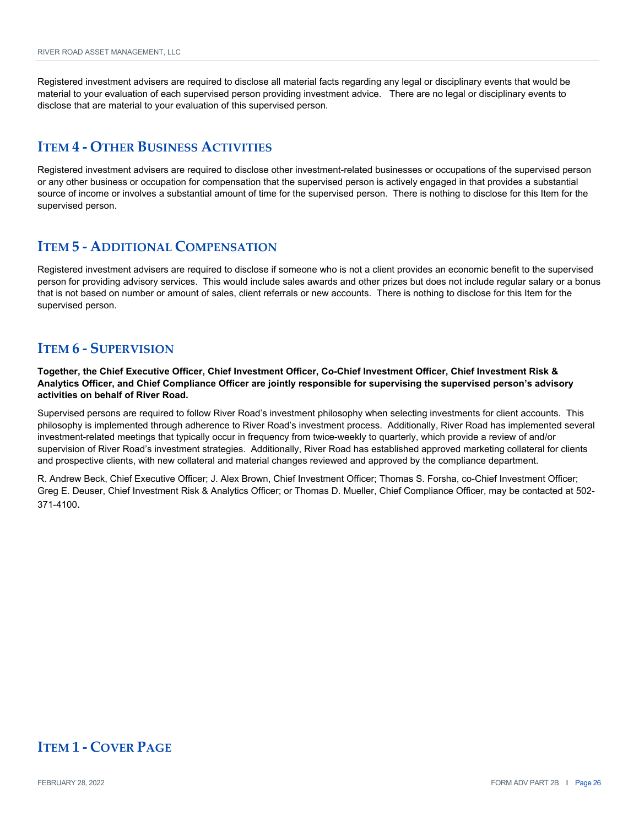Registered investment advisers are required to disclose all material facts regarding any legal or disciplinary events that would be material to your evaluation of each supervised person providing investment advice. There are no legal or disciplinary events to disclose that are material to your evaluation of this supervised person.

#### **ITEM 4 ‐ OTHER BUSINESS ACTIVITIES**

Registered investment advisers are required to disclose other investment-related businesses or occupations of the supervised person or any other business or occupation for compensation that the supervised person is actively engaged in that provides a substantial source of income or involves a substantial amount of time for the supervised person. There is nothing to disclose for this Item for the supervised person.

#### **ITEM 5 ‐ ADDITIONAL COMPENSATION**

Registered investment advisers are required to disclose if someone who is not a client provides an economic benefit to the supervised person for providing advisory services. This would include sales awards and other prizes but does not include regular salary or a bonus that is not based on number or amount of sales, client referrals or new accounts. There is nothing to disclose for this Item for the supervised person.

#### **ITEM 6 ‐ SUPERVISION**

**Together, the Chief Executive Officer, Chief Investment Officer, Co-Chief Investment Officer, Chief Investment Risk & Analytics Officer, and Chief Compliance Officer are jointly responsible for supervising the supervised person's advisory activities on behalf of River Road.**

Supervised persons are required to follow River Road's investment philosophy when selecting investments for client accounts. This philosophy is implemented through adherence to River Road's investment process. Additionally, River Road has implemented several investment-related meetings that typically occur in frequency from twice-weekly to quarterly, which provide a review of and/or supervision of River Road's investment strategies. Additionally, River Road has established approved marketing collateral for clients and prospective clients, with new collateral and material changes reviewed and approved by the compliance department.

R. Andrew Beck, Chief Executive Officer; J. Alex Brown, Chief Investment Officer; Thomas S. Forsha, co-Chief Investment Officer; Greg E. Deuser, Chief Investment Risk & Analytics Officer; or Thomas D. Mueller, Chief Compliance Officer, may be contacted at 502- 371-4100.

### **ITEM 1 ‐ COVER PAGE**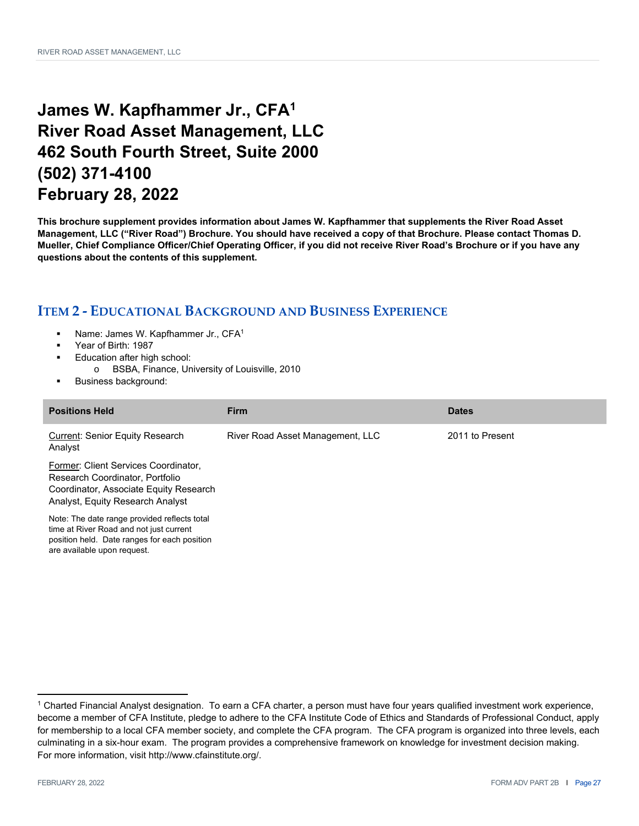## **James W. Kapfhammer Jr., CFA1 River Road Asset Management, LLC 462 South Fourth Street, Suite 2000 (502) 371-4100 February 28, 2022**

**This brochure supplement provides information about James W. Kapfhammer that supplements the River Road Asset Management, LLC ("River Road") Brochure. You should have received a copy of that Brochure. Please contact Thomas D. Mueller, Chief Compliance Officer/Chief Operating Officer, if you did not receive River Road's Brochure or if you have any questions about the contents of this supplement.** 

- Name: James W. Kapfhammer Jr., CFA1
- Year of Birth: 1987
- Education after high school:
	- o BSBA, Finance, University of Louisville, 2010
- Business background:

| <b>Positions Held</b>                                                                                                                                                  | <b>Firm</b>                      | <b>Dates</b>    |
|------------------------------------------------------------------------------------------------------------------------------------------------------------------------|----------------------------------|-----------------|
| Current: Senior Equity Research<br>Analyst                                                                                                                             | River Road Asset Management, LLC | 2011 to Present |
| Former: Client Services Coordinator.<br>Research Coordinator, Portfolio<br>Coordinator, Associate Equity Research<br>Analyst, Equity Research Analyst                  |                                  |                 |
| Note: The date range provided reflects total<br>time at River Road and not just current<br>position held. Date ranges for each position<br>are available upon request. |                                  |                 |

<sup>1</sup> Charted Financial Analyst designation. To earn a CFA charter, a person must have four years qualified investment work experience, become a member of CFA Institute, pledge to adhere to the CFA Institute Code of Ethics and Standards of Professional Conduct, apply for membership to a local CFA member society, and complete the CFA program. The CFA program is organized into three levels, each culminating in a six-hour exam. The program provides a comprehensive framework on knowledge for investment decision making. For more information, visit http://www.cfainstitute.org/.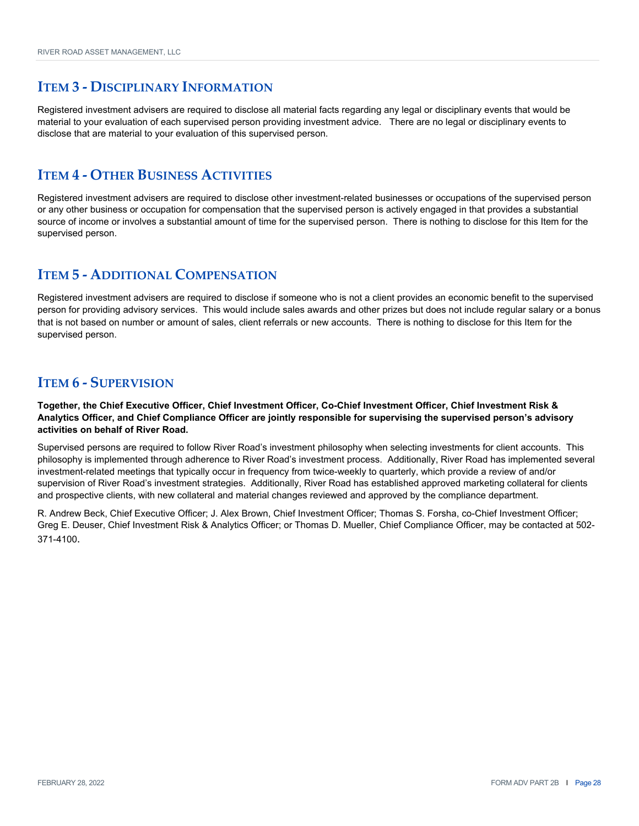Registered investment advisers are required to disclose all material facts regarding any legal or disciplinary events that would be material to your evaluation of each supervised person providing investment advice. There are no legal or disciplinary events to disclose that are material to your evaluation of this supervised person.

#### **ITEM 4 ‐ OTHER BUSINESS ACTIVITIES**

Registered investment advisers are required to disclose other investment-related businesses or occupations of the supervised person or any other business or occupation for compensation that the supervised person is actively engaged in that provides a substantial source of income or involves a substantial amount of time for the supervised person. There is nothing to disclose for this Item for the supervised person.

### **ITEM 5 ‐ ADDITIONAL COMPENSATION**

Registered investment advisers are required to disclose if someone who is not a client provides an economic benefit to the supervised person for providing advisory services. This would include sales awards and other prizes but does not include regular salary or a bonus that is not based on number or amount of sales, client referrals or new accounts. There is nothing to disclose for this Item for the supervised person.

### **ITEM 6 ‐ SUPERVISION**

**Together, the Chief Executive Officer, Chief Investment Officer, Co-Chief Investment Officer, Chief Investment Risk & Analytics Officer, and Chief Compliance Officer are jointly responsible for supervising the supervised person's advisory activities on behalf of River Road.**

Supervised persons are required to follow River Road's investment philosophy when selecting investments for client accounts. This philosophy is implemented through adherence to River Road's investment process. Additionally, River Road has implemented several investment-related meetings that typically occur in frequency from twice-weekly to quarterly, which provide a review of and/or supervision of River Road's investment strategies. Additionally, River Road has established approved marketing collateral for clients and prospective clients, with new collateral and material changes reviewed and approved by the compliance department.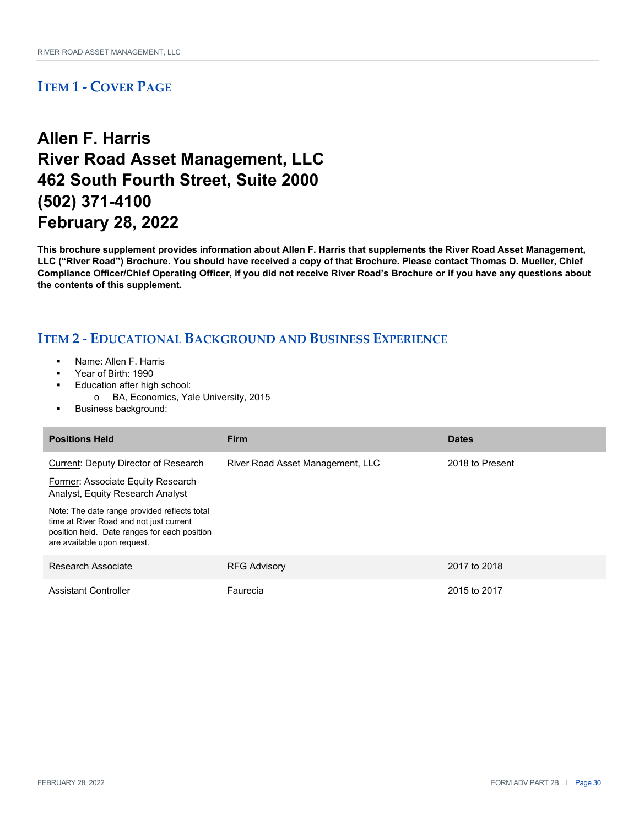## **Allen F. Harris River Road Asset Management, LLC 462 South Fourth Street, Suite 2000 (502) 371-4100 February 28, 2022**

**This brochure supplement provides information about Allen F. Harris that supplements the River Road Asset Management, LLC ("River Road") Brochure. You should have received a copy of that Brochure. Please contact Thomas D. Mueller, Chief Compliance Officer/Chief Operating Officer, if you did not receive River Road's Brochure or if you have any questions about the contents of this supplement.** 

- Name: Allen F. Harris
- Year of Birth: 1990
- Education after high school:
	- o BA, Economics, Yale University, 2015
- Business background:

| <b>Positions Held</b>                                                                                                                                                  | <b>Firm</b>                      | <b>Dates</b>    |
|------------------------------------------------------------------------------------------------------------------------------------------------------------------------|----------------------------------|-----------------|
| Current: Deputy Director of Research                                                                                                                                   | River Road Asset Management, LLC | 2018 to Present |
| Former: Associate Equity Research<br>Analyst, Equity Research Analyst                                                                                                  |                                  |                 |
| Note: The date range provided reflects total<br>time at River Road and not just current<br>position held. Date ranges for each position<br>are available upon request. |                                  |                 |
| Research Associate                                                                                                                                                     | <b>RFG Advisory</b>              | 2017 to 2018    |
| Assistant Controller                                                                                                                                                   | Faurecia                         | 2015 to 2017    |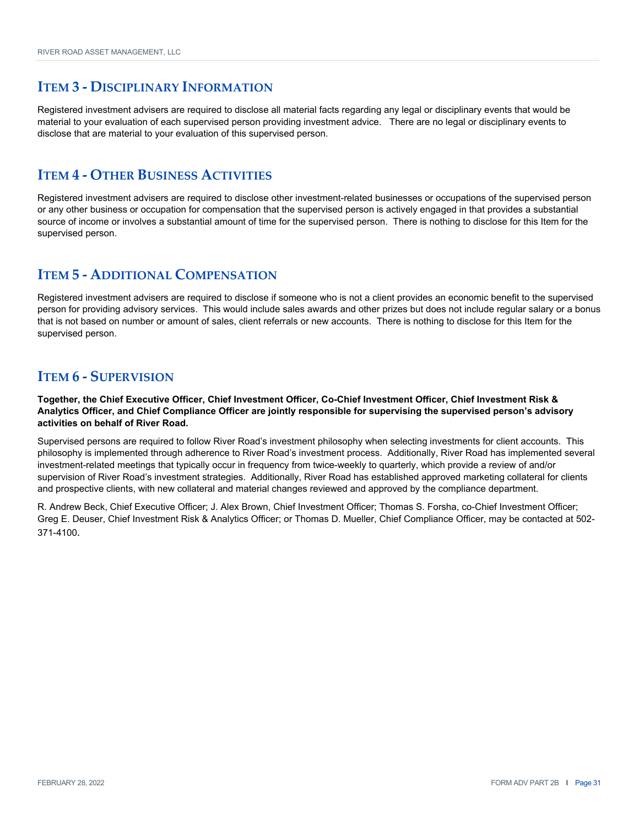Registered investment advisers are required to disclose all material facts regarding any legal or disciplinary events that would be material to your evaluation of each supervised person providing investment advice. There are no legal or disciplinary events to disclose that are material to your evaluation of this supervised person.

#### **ITEM 4 ‐ OTHER BUSINESS ACTIVITIES**

Registered investment advisers are required to disclose other investment-related businesses or occupations of the supervised person or any other business or occupation for compensation that the supervised person is actively engaged in that provides a substantial source of income or involves a substantial amount of time for the supervised person. There is nothing to disclose for this Item for the supervised person.

### **ITEM 5 ‐ ADDITIONAL COMPENSATION**

Registered investment advisers are required to disclose if someone who is not a client provides an economic benefit to the supervised person for providing advisory services. This would include sales awards and other prizes but does not include regular salary or a bonus that is not based on number or amount of sales, client referrals or new accounts. There is nothing to disclose for this Item for the supervised person.

### **ITEM 6 ‐ SUPERVISION**

**Together, the Chief Executive Officer, Chief Investment Officer, Co-Chief Investment Officer, Chief Investment Risk & Analytics Officer, and Chief Compliance Officer are jointly responsible for supervising the supervised person's advisory activities on behalf of River Road.**

Supervised persons are required to follow River Road's investment philosophy when selecting investments for client accounts. This philosophy is implemented through adherence to River Road's investment process. Additionally, River Road has implemented several investment-related meetings that typically occur in frequency from twice-weekly to quarterly, which provide a review of and/or supervision of River Road's investment strategies. Additionally, River Road has established approved marketing collateral for clients and prospective clients, with new collateral and material changes reviewed and approved by the compliance department.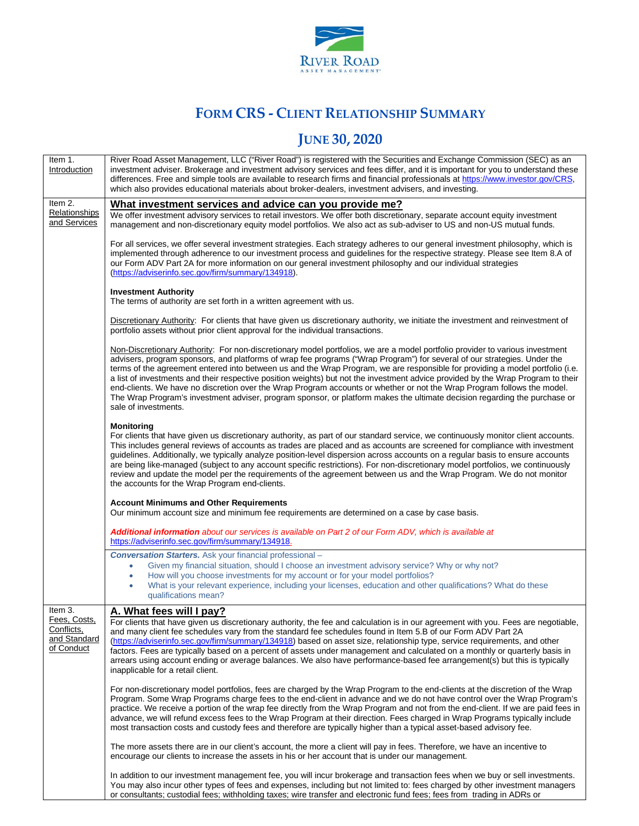

## **FORM CRS - CLIENT RELATIONSHIP SUMMARY**

## **JUNE 30, 2020**

| Item 1.<br>Introduction                                             | River Road Asset Management, LLC ("River Road") is registered with the Securities and Exchange Commission (SEC) as an<br>investment adviser. Brokerage and investment advisory services and fees differ, and it is important for you to understand these<br>differences. Free and simple tools are available to research firms and financial professionals at https://www.investor.gov/CRS,<br>which also provides educational materials about broker-dealers, investment advisers, and investing.                                                                                                                                                                                                                                                                                                            |
|---------------------------------------------------------------------|---------------------------------------------------------------------------------------------------------------------------------------------------------------------------------------------------------------------------------------------------------------------------------------------------------------------------------------------------------------------------------------------------------------------------------------------------------------------------------------------------------------------------------------------------------------------------------------------------------------------------------------------------------------------------------------------------------------------------------------------------------------------------------------------------------------|
| Item 2.                                                             | What investment services and advice can you provide me?                                                                                                                                                                                                                                                                                                                                                                                                                                                                                                                                                                                                                                                                                                                                                       |
| Relationships<br>and Services                                       | We offer investment advisory services to retail investors. We offer both discretionary, separate account equity investment<br>management and non-discretionary equity model portfolios. We also act as sub-adviser to US and non-US mutual funds.                                                                                                                                                                                                                                                                                                                                                                                                                                                                                                                                                             |
|                                                                     | For all services, we offer several investment strategies. Each strategy adheres to our general investment philosophy, which is<br>implemented through adherence to our investment process and guidelines for the respective strategy. Please see Item 8.A of<br>our Form ADV Part 2A for more information on our general investment philosophy and our individual strategies<br>(https://adviserinfo.sec.gov/firm/summary/134918).                                                                                                                                                                                                                                                                                                                                                                            |
|                                                                     | <b>Investment Authority</b><br>The terms of authority are set forth in a written agreement with us.                                                                                                                                                                                                                                                                                                                                                                                                                                                                                                                                                                                                                                                                                                           |
|                                                                     | Discretionary Authority: For clients that have given us discretionary authority, we initiate the investment and reinvestment of<br>portfolio assets without prior client approval for the individual transactions.                                                                                                                                                                                                                                                                                                                                                                                                                                                                                                                                                                                            |
|                                                                     | Non-Discretionary Authority: For non-discretionary model portfolios, we are a model portfolio provider to various investment<br>advisers, program sponsors, and platforms of wrap fee programs ("Wrap Program") for several of our strategies. Under the<br>terms of the agreement entered into between us and the Wrap Program, we are responsible for providing a model portfolio (i.e.<br>a list of investments and their respective position weights) but not the investment advice provided by the Wrap Program to their<br>end-clients. We have no discretion over the Wrap Program accounts or whether or not the Wrap Program follows the model.<br>The Wrap Program's investment adviser, program sponsor, or platform makes the ultimate decision regarding the purchase or<br>sale of investments. |
|                                                                     | <b>Monitoring</b><br>For clients that have given us discretionary authority, as part of our standard service, we continuously monitor client accounts.<br>This includes general reviews of accounts as trades are placed and as accounts are screened for compliance with investment<br>guidelines. Additionally, we typically analyze position-level dispersion across accounts on a regular basis to ensure accounts<br>are being like-managed (subject to any account specific restrictions). For non-discretionary model portfolios, we continuously<br>review and update the model per the requirements of the agreement between us and the Wrap Program. We do not monitor<br>the accounts for the Wrap Program end-clients.                                                                            |
|                                                                     | <b>Account Minimums and Other Requirements</b><br>Our minimum account size and minimum fee requirements are determined on a case by case basis.                                                                                                                                                                                                                                                                                                                                                                                                                                                                                                                                                                                                                                                               |
|                                                                     | <b>Additional information</b> about our services is available on Part 2 of our Form ADV, which is available at<br>https://adviserinfo.sec.gov/firm/summary/134918.                                                                                                                                                                                                                                                                                                                                                                                                                                                                                                                                                                                                                                            |
|                                                                     | <b>Conversation Starters.</b> Ask your financial professional -                                                                                                                                                                                                                                                                                                                                                                                                                                                                                                                                                                                                                                                                                                                                               |
|                                                                     | Given my financial situation, should I choose an investment advisory service? Why or why not?<br>$\bullet$                                                                                                                                                                                                                                                                                                                                                                                                                                                                                                                                                                                                                                                                                                    |
|                                                                     | How will you choose investments for my account or for your model portfolios?<br>۰<br>What is your relevant experience, including your licenses, education and other qualifications? What do these<br>٠<br>qualifications mean?                                                                                                                                                                                                                                                                                                                                                                                                                                                                                                                                                                                |
| Item 3.<br>Fees, Costs,<br>Conflicts,<br>and Standard<br>of Conduct | A. What fees will I pay?<br>For clients that have given us discretionary authority, the fee and calculation is in our agreement with you. Fees are negotiable,<br>and many client fee schedules vary from the standard fee schedules found in Item 5.B of our Form ADV Part 2A<br>(https://adviserinfo.sec.gov/firm/summary/134918) based on asset size, relationship type, service requirements, and other<br>factors. Fees are typically based on a percent of assets under management and calculated on a monthly or quarterly basis in<br>arrears using account ending or average balances. We also have performance-based fee arrangement(s) but this is typically<br>inapplicable for a retail client.                                                                                                  |
|                                                                     | For non-discretionary model portfolios, fees are charged by the Wrap Program to the end-clients at the discretion of the Wrap<br>Program. Some Wrap Programs charge fees to the end-client in advance and we do not have control over the Wrap Program's<br>practice. We receive a portion of the wrap fee directly from the Wrap Program and not from the end-client. If we are paid fees in<br>advance, we will refund excess fees to the Wrap Program at their direction. Fees charged in Wrap Programs typically include<br>most transaction costs and custody fees and therefore are typically higher than a typical asset-based advisory fee.                                                                                                                                                           |
|                                                                     | The more assets there are in our client's account, the more a client will pay in fees. Therefore, we have an incentive to<br>encourage our clients to increase the assets in his or her account that is under our management.                                                                                                                                                                                                                                                                                                                                                                                                                                                                                                                                                                                 |
|                                                                     | In addition to our investment management fee, you will incur brokerage and transaction fees when we buy or sell investments.<br>You may also incur other types of fees and expenses, including but not limited to: fees charged by other investment managers<br>or consultants; custodial fees; withholding taxes; wire transfer and electronic fund fees; fees from trading in ADRs or                                                                                                                                                                                                                                                                                                                                                                                                                       |